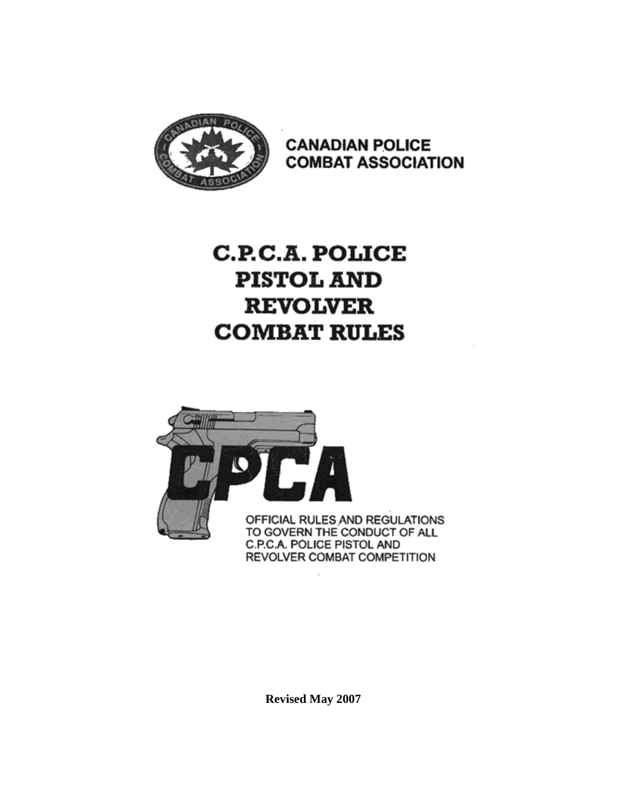

**CANADIAN POLICE COMBAT ASSOCIATION** 

# **C.P.C.A. POLICE PISTOL AND REVOLVER COMBAT RULES**



**Revised May 2007**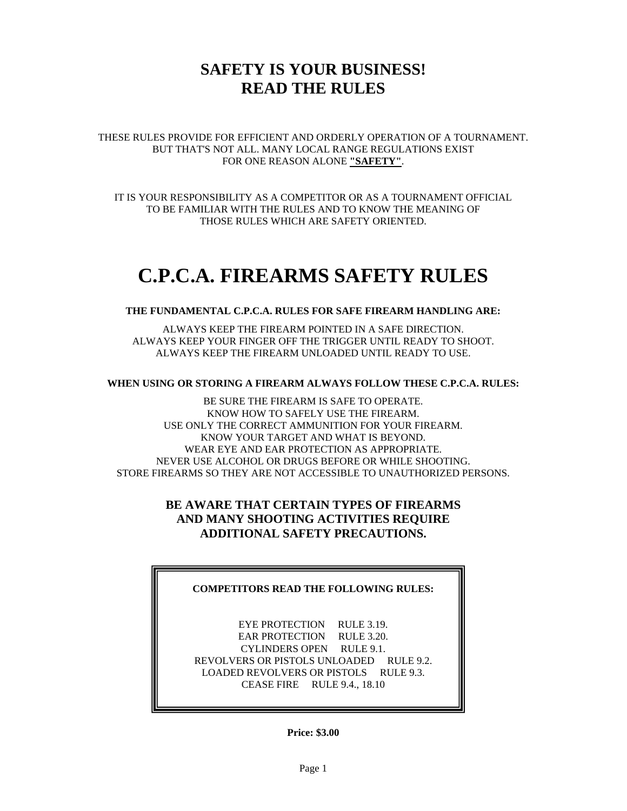## **SAFETY IS YOUR BUSINESS! READ THE RULES**

THESE RULES PROVIDE FOR EFFICIENT AND ORDERLY OPERATION OF A TOURNAMENT. BUT THAT'S NOT ALL. MANY LOCAL RANGE REGULATIONS EXIST FOR ONE REASON ALONE **"SAFETY"**.

IT IS YOUR RESPONSIBILITY AS A COMPETITOR OR AS A TOURNAMENT OFFICIAL TO BE FAMILIAR WITH THE RULES AND TO KNOW THE MEANING OF THOSE RULES WHICH ARE SAFETY ORIENTED.

# **C.P.C.A. FIREARMS SAFETY RULES**

#### **THE FUNDAMENTAL C.P.C.A. RULES FOR SAFE FIREARM HANDLING ARE:**

ALWAYS KEEP THE FIREARM POINTED IN A SAFE DIRECTION. ALWAYS KEEP YOUR FINGER OFF THE TRIGGER UNTIL READY TO SHOOT. ALWAYS KEEP THE FIREARM UNLOADED UNTIL READY TO USE.

#### **WHEN USING OR STORING A FIREARM ALWAYS FOLLOW THESE C.P.C.A. RULES:**

BE SURE THE FIREARM IS SAFE TO OPERATE. KNOW HOW TO SAFELY USE THE FIREARM. USE ONLY THE CORRECT AMMUNITION FOR YOUR FIREARM. KNOW YOUR TARGET AND WHAT IS BEYOND. WEAR EYE AND EAR PROTECTION AS APPROPRIATE. NEVER USE ALCOHOL OR DRUGS BEFORE OR WHILE SHOOTING. STORE FIREARMS SO THEY ARE NOT ACCESSIBLE TO UNAUTHORIZED PERSONS.

#### **BE AWARE THAT CERTAIN TYPES OF FIREARMS AND MANY SHOOTING ACTIVITIES REQUIRE ADDITIONAL SAFETY PRECAUTIONS.**

#### **COMPETITORS READ THE FOLLOWING RULES:**

EYE PROTECTION RULE 3.19. EAR PROTECTION RULE 3.20. CYLINDERS OPEN RULE 9.1. REVOLVERS OR PISTOLS UNLOADED RULE 9.2. LOADED REVOLVERS OR PISTOLS RULE 9.3. CEASE FIRE RULE 9.4., 18.10

**Price: \$3.00**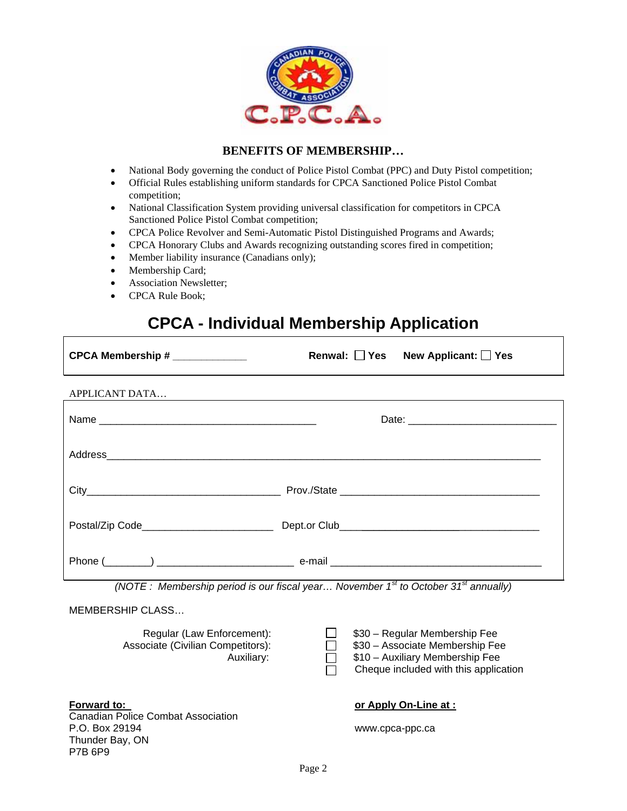

#### **BENEFITS OF MEMBERSHIP…**

- National Body governing the conduct of Police Pistol Combat (PPC) and Duty Pistol competition;
- Official Rules establishing uniform standards for CPCA Sanctioned Police Pistol Combat competition;
- National Classification System providing universal classification for competitors in CPCA Sanctioned Police Pistol Combat competition;
- CPCA Police Revolver and Semi-Automatic Pistol Distinguished Programs and Awards;
- CPCA Honorary Clubs and Awards recognizing outstanding scores fired in competition;
- Member liability insurance (Canadians only);
- Membership Card;
- Association Newsletter;
- CPCA Rule Book;

## **CPCA - Individual Membership Application**

| CPCA Membership # ____________               | Renwal: Yes New Applicant: Yes                                                                                                                                                                                                                                                           |
|----------------------------------------------|------------------------------------------------------------------------------------------------------------------------------------------------------------------------------------------------------------------------------------------------------------------------------------------|
| APPLICANT DATA                               |                                                                                                                                                                                                                                                                                          |
|                                              |                                                                                                                                                                                                                                                                                          |
|                                              |                                                                                                                                                                                                                                                                                          |
|                                              |                                                                                                                                                                                                                                                                                          |
| Postal/Zip Code_____________________________ |                                                                                                                                                                                                                                                                                          |
|                                              | $\mathbf{C}^t$ and $\mathbf{C}^t$ and $\mathbf{C}^t$ and $\mathbf{C}^t$ and $\mathbf{C}^t$ and $\mathbf{C}^t$ and $\mathbf{C}^t$ and $\mathbf{C}^t$ and $\mathbf{C}^t$ and $\mathbf{C}^t$ and $\mathbf{C}^t$ and $\mathbf{C}^t$ and $\mathbf{C}^t$ and $\mathbf{C}^t$ and $\mathbf{C}^t$ |

*(NOTE : Membership period is our fiscal year… November 1st to October 31st annually)* 

#### MEMBERSHIP CLASS…

Regular (Law Enforcement):  $\Box$  \$30 – Regular Membership Fee Associate (Civilian Competitors): <br> **120 S30 – Associate Membership Fee**  Auxiliary: \$10 – Auxiliary Membership Fee Cheque included with this application ٦

**Forward to: but a set of the set of Apply On-Line at : or Apply On-Line at :** 

Canadian Police Combat Association P.O. Box 29194 www.cpca-ppc.ca Thunder Bay, ON P7B 6P9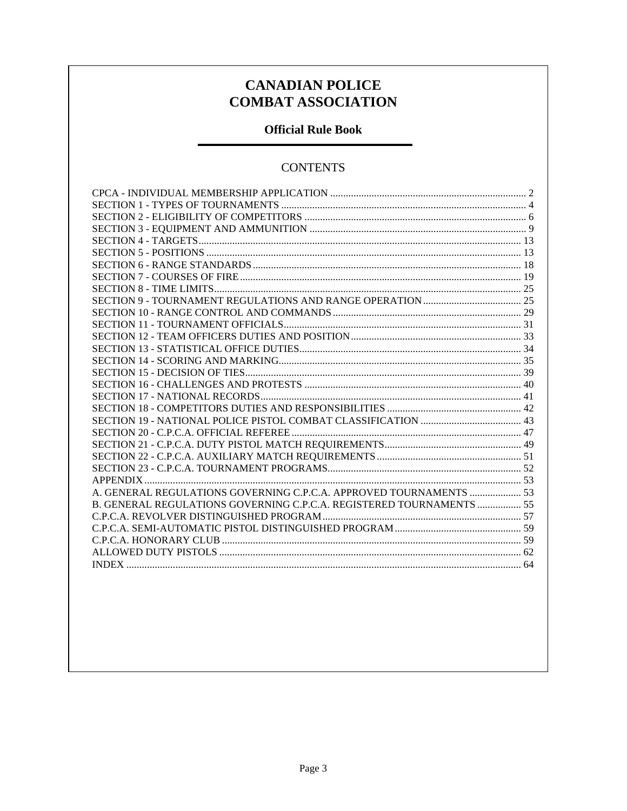### **CANADIAN POLICE COMBAT ASSOCIATION**

### **Official Rule Book**

### **CONTENTS**

| A. GENERAL REGULATIONS GOVERNING C.P.C.A. APPROVED TOURNAMENTS  53   |
|----------------------------------------------------------------------|
| B. GENERAL REGULATIONS GOVERNING C.P.C.A. REGISTERED TOURNAMENTS  55 |
|                                                                      |
|                                                                      |
|                                                                      |
|                                                                      |
|                                                                      |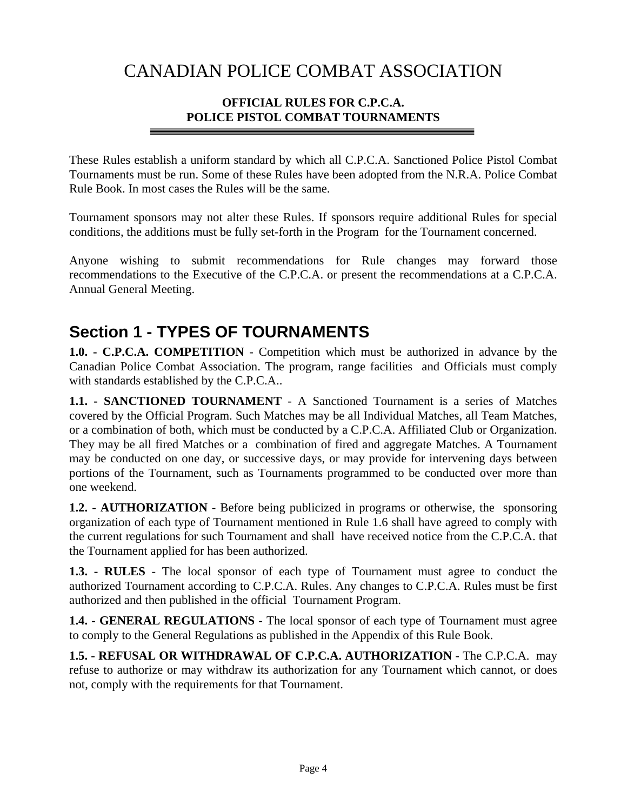## CANADIAN POLICE COMBAT ASSOCIATION

### **OFFICIAL RULES FOR C.P.C.A. POLICE PISTOL COMBAT TOURNAMENTS**

These Rules establish a uniform standard by which all C.P.C.A. Sanctioned Police Pistol Combat Tournaments must be run. Some of these Rules have been adopted from the N.R.A. Police Combat Rule Book. In most cases the Rules will be the same.

Tournament sponsors may not alter these Rules. If sponsors require additional Rules for special conditions, the additions must be fully set-forth in the Program for the Tournament concerned.

Anyone wishing to submit recommendations for Rule changes may forward those recommendations to the Executive of the C.P.C.A. or present the recommendations at a C.P.C.A. Annual General Meeting.

## **Section 1 - TYPES OF TOURNAMENTS**

**1.0. - C.P.C.A. COMPETITION** - Competition which must be authorized in advance by the Canadian Police Combat Association. The program, range facilities and Officials must comply with standards established by the C.P.C.A..

**1.1. - SANCTIONED TOURNAMENT** - A Sanctioned Tournament is a series of Matches covered by the Official Program. Such Matches may be all Individual Matches, all Team Matches, or a combination of both, which must be conducted by a C.P.C.A. Affiliated Club or Organization. They may be all fired Matches or a combination of fired and aggregate Matches. A Tournament may be conducted on one day, or successive days, or may provide for intervening days between portions of the Tournament, such as Tournaments programmed to be conducted over more than one weekend.

**1.2. - AUTHORIZATION** - Before being publicized in programs or otherwise, the sponsoring organization of each type of Tournament mentioned in Rule 1.6 shall have agreed to comply with the current regulations for such Tournament and shall have received notice from the C.P.C.A. that the Tournament applied for has been authorized.

**1.3. - RULES** - The local sponsor of each type of Tournament must agree to conduct the authorized Tournament according to C.P.C.A. Rules. Any changes to C.P.C.A. Rules must be first authorized and then published in the official Tournament Program.

**1.4. - GENERAL REGULATIONS** - The local sponsor of each type of Tournament must agree to comply to the General Regulations as published in the Appendix of this Rule Book.

**1.5. - REFUSAL OR WITHDRAWAL OF C.P.C.A. AUTHORIZATION** - The C.P.C.A. may refuse to authorize or may withdraw its authorization for any Tournament which cannot, or does not, comply with the requirements for that Tournament.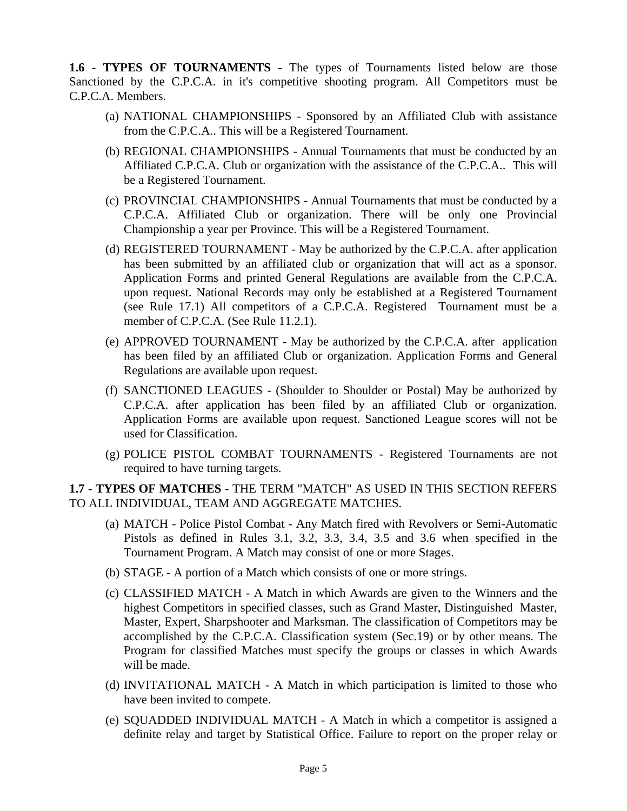**1.6 - TYPES OF TOURNAMENTS** - The types of Tournaments listed below are those Sanctioned by the C.P.C.A. in it's competitive shooting program. All Competitors must be C.P.C.A. Members.

- (a) NATIONAL CHAMPIONSHIPS Sponsored by an Affiliated Club with assistance from the C.P.C.A.. This will be a Registered Tournament.
- (b) REGIONAL CHAMPIONSHIPS Annual Tournaments that must be conducted by an Affiliated C.P.C.A. Club or organization with the assistance of the C.P.C.A.. This will be a Registered Tournament.
- (c) PROVINCIAL CHAMPIONSHIPS Annual Tournaments that must be conducted by a C.P.C.A. Affiliated Club or organization. There will be only one Provincial Championship a year per Province. This will be a Registered Tournament.
- (d) REGISTERED TOURNAMENT May be authorized by the C.P.C.A. after application has been submitted by an affiliated club or organization that will act as a sponsor. Application Forms and printed General Regulations are available from the C.P.C.A. upon request. National Records may only be established at a Registered Tournament (see Rule 17.1) All competitors of a C.P.C.A. Registered Tournament must be a member of C.P.C.A. (See Rule 11.2.1).
- (e) APPROVED TOURNAMENT May be authorized by the C.P.C.A. after application has been filed by an affiliated Club or organization. Application Forms and General Regulations are available upon request.
- (f) SANCTIONED LEAGUES (Shoulder to Shoulder or Postal) May be authorized by C.P.C.A. after application has been filed by an affiliated Club or organization. Application Forms are available upon request. Sanctioned League scores will not be used for Classification.
- (g) POLICE PISTOL COMBAT TOURNAMENTS Registered Tournaments are not required to have turning targets.

#### **1.7 - TYPES OF MATCHES** - THE TERM "MATCH" AS USED IN THIS SECTION REFERS TO ALL INDIVIDUAL, TEAM AND AGGREGATE MATCHES.

- (a) MATCH Police Pistol Combat Any Match fired with Revolvers or Semi-Automatic Pistols as defined in Rules 3.1, 3.2, 3.3, 3.4, 3.5 and 3.6 when specified in the Tournament Program. A Match may consist of one or more Stages.
- (b) STAGE A portion of a Match which consists of one or more strings.
- (c) CLASSIFIED MATCH A Match in which Awards are given to the Winners and the highest Competitors in specified classes, such as Grand Master, Distinguished Master, Master, Expert, Sharpshooter and Marksman. The classification of Competitors may be accomplished by the C.P.C.A. Classification system (Sec.19) or by other means. The Program for classified Matches must specify the groups or classes in which Awards will be made.
- (d) INVITATIONAL MATCH A Match in which participation is limited to those who have been invited to compete.
- (e) SQUADDED INDIVIDUAL MATCH A Match in which a competitor is assigned a definite relay and target by Statistical Office. Failure to report on the proper relay or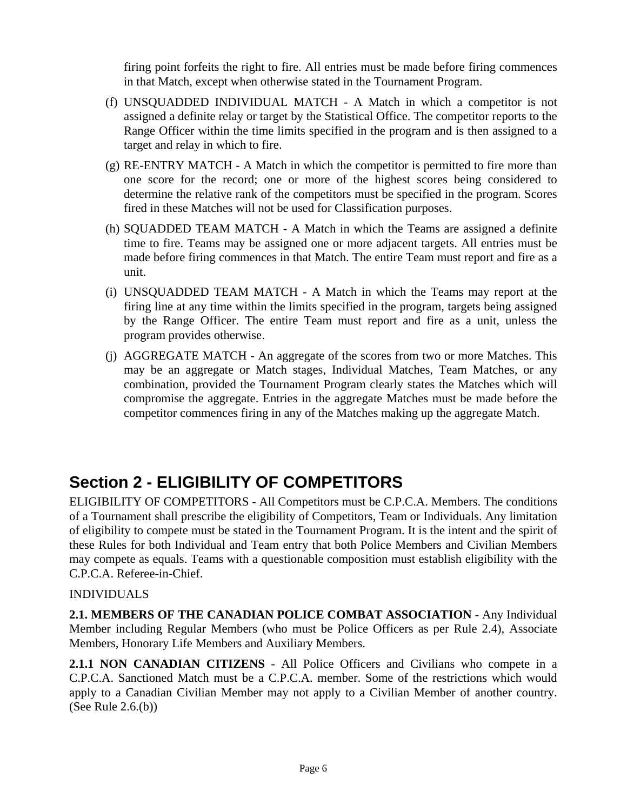firing point forfeits the right to fire. All entries must be made before firing commences in that Match, except when otherwise stated in the Tournament Program.

- (f) UNSQUADDED INDIVIDUAL MATCH A Match in which a competitor is not assigned a definite relay or target by the Statistical Office. The competitor reports to the Range Officer within the time limits specified in the program and is then assigned to a target and relay in which to fire.
- (g) RE-ENTRY MATCH A Match in which the competitor is permitted to fire more than one score for the record; one or more of the highest scores being considered to determine the relative rank of the competitors must be specified in the program. Scores fired in these Matches will not be used for Classification purposes.
- (h) SQUADDED TEAM MATCH A Match in which the Teams are assigned a definite time to fire. Teams may be assigned one or more adjacent targets. All entries must be made before firing commences in that Match. The entire Team must report and fire as a unit.
- (i) UNSQUADDED TEAM MATCH A Match in which the Teams may report at the firing line at any time within the limits specified in the program, targets being assigned by the Range Officer. The entire Team must report and fire as a unit, unless the program provides otherwise.
- (j) AGGREGATE MATCH An aggregate of the scores from two or more Matches. This may be an aggregate or Match stages, Individual Matches, Team Matches, or any combination, provided the Tournament Program clearly states the Matches which will compromise the aggregate. Entries in the aggregate Matches must be made before the competitor commences firing in any of the Matches making up the aggregate Match.

## **Section 2 - ELIGIBILITY OF COMPETITORS**

ELIGIBILITY OF COMPETITORS - All Competitors must be C.P.C.A. Members. The conditions of a Tournament shall prescribe the eligibility of Competitors, Team or Individuals. Any limitation of eligibility to compete must be stated in the Tournament Program. It is the intent and the spirit of these Rules for both Individual and Team entry that both Police Members and Civilian Members may compete as equals. Teams with a questionable composition must establish eligibility with the C.P.C.A. Referee-in-Chief.

### INDIVIDUALS

**2.1. MEMBERS OF THE CANADIAN POLICE COMBAT ASSOCIATION** - Any Individual Member including Regular Members (who must be Police Officers as per Rule 2.4), Associate Members, Honorary Life Members and Auxiliary Members.

**2.1.1 NON CANADIAN CITIZENS** - All Police Officers and Civilians who compete in a C.P.C.A. Sanctioned Match must be a C.P.C.A. member. Some of the restrictions which would apply to a Canadian Civilian Member may not apply to a Civilian Member of another country. (See Rule 2.6.(b))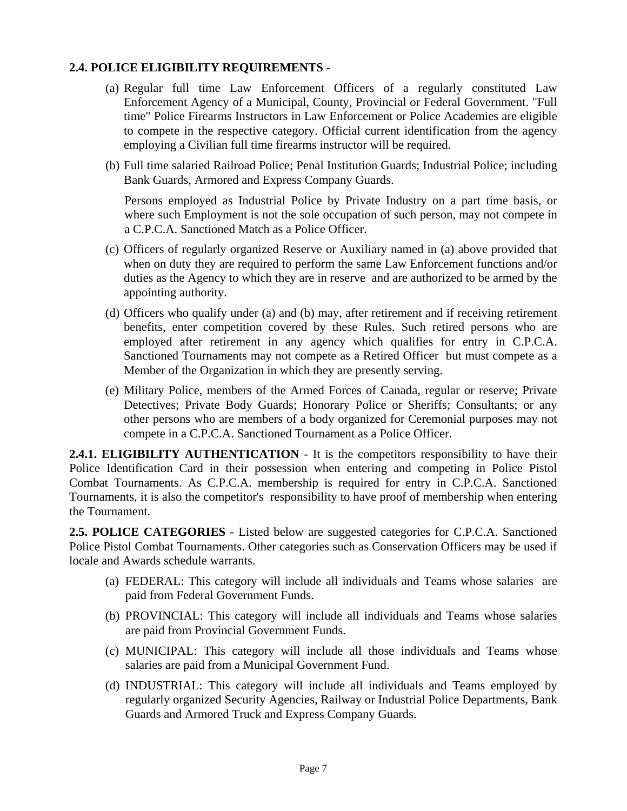### **2.4. POLICE ELIGIBILITY REQUIREMENTS** -

- (a) Regular full time Law Enforcement Officers of a regularly constituted Law Enforcement Agency of a Municipal, County, Provincial or Federal Government. "Full time" Police Firearms Instructors in Law Enforcement or Police Academies are eligible to compete in the respective category. Official current identification from the agency employing a Civilian full time firearms instructor will be required.
- (b) Full time salaried Railroad Police; Penal Institution Guards; Industrial Police; including Bank Guards, Armored and Express Company Guards.

Persons employed as Industrial Police by Private Industry on a part time basis, or where such Employment is not the sole occupation of such person, may not compete in a C.P.C.A. Sanctioned Match as a Police Officer.

- (c) Officers of regularly organized Reserve or Auxiliary named in (a) above provided that when on duty they are required to perform the same Law Enforcement functions and/or duties as the Agency to which they are in reserve and are authorized to be armed by the appointing authority.
- (d) Officers who qualify under (a) and (b) may, after retirement and if receiving retirement benefits, enter competition covered by these Rules. Such retired persons who are employed after retirement in any agency which qualifies for entry in C.P.C.A. Sanctioned Tournaments may not compete as a Retired Officer but must compete as a Member of the Organization in which they are presently serving.
- (e) Military Police, members of the Armed Forces of Canada, regular or reserve; Private Detectives; Private Body Guards; Honorary Police or Sheriffs; Consultants; or any other persons who are members of a body organized for Ceremonial purposes may not compete in a C.P.C.A. Sanctioned Tournament as a Police Officer.

**2.4.1. ELIGIBILITY AUTHENTICATION** - It is the competitors responsibility to have their Police Identification Card in their possession when entering and competing in Police Pistol Combat Tournaments. As C.P.C.A. membership is required for entry in C.P.C.A. Sanctioned Tournaments, it is also the competitor's responsibility to have proof of membership when entering the Tournament.

**2.5. POLICE CATEGORIES** - Listed below are suggested categories for C.P.C.A. Sanctioned Police Pistol Combat Tournaments. Other categories such as Conservation Officers may be used if locale and Awards schedule warrants.

- (a) FEDERAL: This category will include all individuals and Teams whose salaries are paid from Federal Government Funds.
- (b) PROVINCIAL: This category will include all individuals and Teams whose salaries are paid from Provincial Government Funds.
- (c) MUNICIPAL: This category will include all those individuals and Teams whose salaries are paid from a Municipal Government Fund.
- (d) INDUSTRIAL: This category will include all individuals and Teams employed by regularly organized Security Agencies, Railway or Industrial Police Departments, Bank Guards and Armored Truck and Express Company Guards.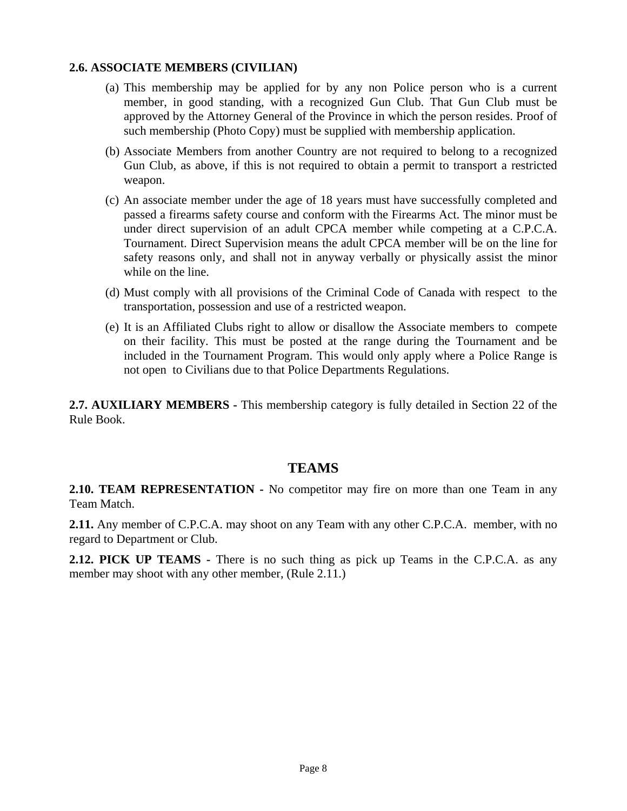#### **2.6. ASSOCIATE MEMBERS (CIVILIAN)**

- (a) This membership may be applied for by any non Police person who is a current member, in good standing, with a recognized Gun Club. That Gun Club must be approved by the Attorney General of the Province in which the person resides. Proof of such membership (Photo Copy) must be supplied with membership application.
- (b) Associate Members from another Country are not required to belong to a recognized Gun Club, as above, if this is not required to obtain a permit to transport a restricted weapon.
- (c) An associate member under the age of 18 years must have successfully completed and passed a firearms safety course and conform with the Firearms Act. The minor must be under direct supervision of an adult CPCA member while competing at a C.P.C.A. Tournament. Direct Supervision means the adult CPCA member will be on the line for safety reasons only, and shall not in anyway verbally or physically assist the minor while on the line.
- (d) Must comply with all provisions of the Criminal Code of Canada with respect to the transportation, possession and use of a restricted weapon.
- (e) It is an Affiliated Clubs right to allow or disallow the Associate members to compete on their facility. This must be posted at the range during the Tournament and be included in the Tournament Program. This would only apply where a Police Range is not open to Civilians due to that Police Departments Regulations.

**2.7. AUXILIARY MEMBERS -** This membership category is fully detailed in Section 22 of the Rule Book.

#### **TEAMS**

**2.10. TEAM REPRESENTATION -** No competitor may fire on more than one Team in any Team Match.

**2.11.** Any member of C.P.C.A. may shoot on any Team with any other C.P.C.A. member, with no regard to Department or Club.

**2.12. PICK UP TEAMS -** There is no such thing as pick up Teams in the C.P.C.A. as any member may shoot with any other member, (Rule 2.11.)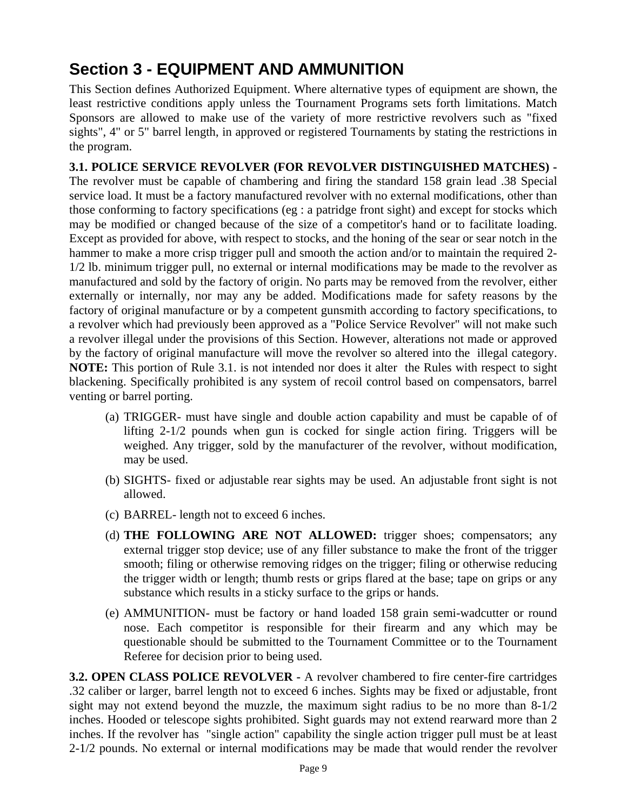# **Section 3 - EQUIPMENT AND AMMUNITION**

This Section defines Authorized Equipment. Where alternative types of equipment are shown, the least restrictive conditions apply unless the Tournament Programs sets forth limitations. Match Sponsors are allowed to make use of the variety of more restrictive revolvers such as "fixed sights", 4" or 5" barrel length, in approved or registered Tournaments by stating the restrictions in the program.

**3.1. POLICE SERVICE REVOLVER (FOR REVOLVER DISTINGUISHED MATCHES) -** The revolver must be capable of chambering and firing the standard 158 grain lead .38 Special service load. It must be a factory manufactured revolver with no external modifications, other than those conforming to factory specifications (eg : a patridge front sight) and except for stocks which may be modified or changed because of the size of a competitor's hand or to facilitate loading. Except as provided for above, with respect to stocks, and the honing of the sear or sear notch in the hammer to make a more crisp trigger pull and smooth the action and/or to maintain the required 2-1/2 lb. minimum trigger pull, no external or internal modifications may be made to the revolver as manufactured and sold by the factory of origin. No parts may be removed from the revolver, either externally or internally, nor may any be added. Modifications made for safety reasons by the factory of original manufacture or by a competent gunsmith according to factory specifications, to a revolver which had previously been approved as a "Police Service Revolver" will not make such a revolver illegal under the provisions of this Section. However, alterations not made or approved by the factory of original manufacture will move the revolver so altered into the illegal category. **NOTE:** This portion of Rule 3.1. is not intended nor does it alter the Rules with respect to sight blackening. Specifically prohibited is any system of recoil control based on compensators, barrel venting or barrel porting.

- (a) TRIGGER- must have single and double action capability and must be capable of of lifting 2-1/2 pounds when gun is cocked for single action firing. Triggers will be weighed. Any trigger, sold by the manufacturer of the revolver, without modification, may be used.
- (b) SIGHTS- fixed or adjustable rear sights may be used. An adjustable front sight is not allowed.
- (c) BARREL- length not to exceed 6 inches.
- (d) **THE FOLLOWING ARE NOT ALLOWED:** trigger shoes; compensators; any external trigger stop device; use of any filler substance to make the front of the trigger smooth; filing or otherwise removing ridges on the trigger; filing or otherwise reducing the trigger width or length; thumb rests or grips flared at the base; tape on grips or any substance which results in a sticky surface to the grips or hands.
- (e) AMMUNITION- must be factory or hand loaded 158 grain semi-wadcutter or round nose. Each competitor is responsible for their firearm and any which may be questionable should be submitted to the Tournament Committee or to the Tournament Referee for decision prior to being used.

**3.2. OPEN CLASS POLICE REVOLVER -** A revolver chambered to fire center-fire cartridges .32 caliber or larger, barrel length not to exceed 6 inches. Sights may be fixed or adjustable, front sight may not extend beyond the muzzle, the maximum sight radius to be no more than 8-1/2 inches. Hooded or telescope sights prohibited. Sight guards may not extend rearward more than 2 inches. If the revolver has "single action" capability the single action trigger pull must be at least 2-1/2 pounds. No external or internal modifications may be made that would render the revolver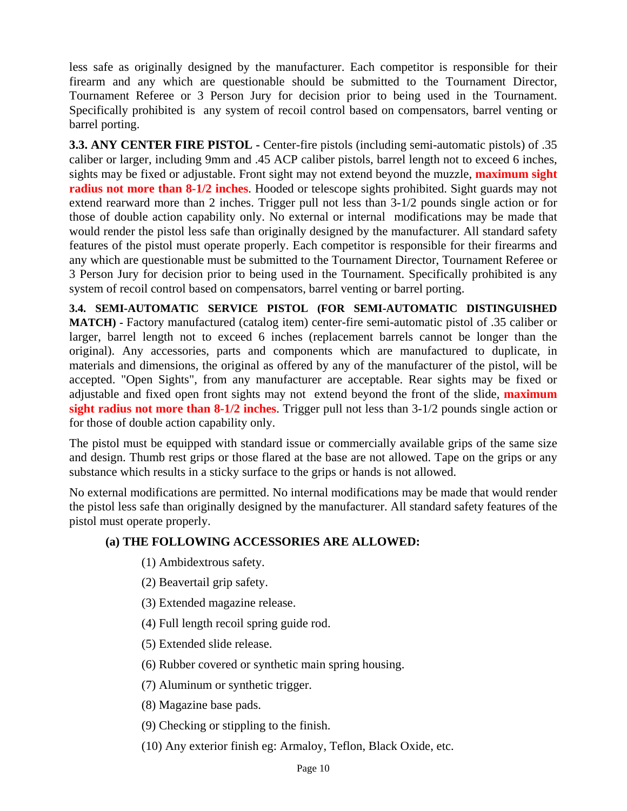less safe as originally designed by the manufacturer. Each competitor is responsible for their firearm and any which are questionable should be submitted to the Tournament Director, Tournament Referee or 3 Person Jury for decision prior to being used in the Tournament. Specifically prohibited is any system of recoil control based on compensators, barrel venting or barrel porting.

**3.3. ANY CENTER FIRE PISTOL -** Center-fire pistols (including semi-automatic pistols) of .35 caliber or larger, including 9mm and .45 ACP caliber pistols, barrel length not to exceed 6 inches, sights may be fixed or adjustable. Front sight may not extend beyond the muzzle, **maximum sight radius not more than 8-1/2 inches**. Hooded or telescope sights prohibited. Sight guards may not extend rearward more than 2 inches. Trigger pull not less than 3-1/2 pounds single action or for those of double action capability only. No external or internal modifications may be made that would render the pistol less safe than originally designed by the manufacturer. All standard safety features of the pistol must operate properly. Each competitor is responsible for their firearms and any which are questionable must be submitted to the Tournament Director, Tournament Referee or 3 Person Jury for decision prior to being used in the Tournament. Specifically prohibited is any system of recoil control based on compensators, barrel venting or barrel porting.

**3.4. SEMI-AUTOMATIC SERVICE PISTOL (FOR SEMI-AUTOMATIC DISTINGUISHED MATCH) -** Factory manufactured (catalog item) center-fire semi-automatic pistol of .35 caliber or larger, barrel length not to exceed 6 inches (replacement barrels cannot be longer than the original). Any accessories, parts and components which are manufactured to duplicate, in materials and dimensions, the original as offered by any of the manufacturer of the pistol, will be accepted. "Open Sights", from any manufacturer are acceptable. Rear sights may be fixed or adjustable and fixed open front sights may not extend beyond the front of the slide, **maximum sight radius not more than 8-1/2 inches**. Trigger pull not less than 3-1/2 pounds single action or for those of double action capability only.

The pistol must be equipped with standard issue or commercially available grips of the same size and design. Thumb rest grips or those flared at the base are not allowed. Tape on the grips or any substance which results in a sticky surface to the grips or hands is not allowed.

No external modifications are permitted. No internal modifications may be made that would render the pistol less safe than originally designed by the manufacturer. All standard safety features of the pistol must operate properly.

#### **(a) THE FOLLOWING ACCESSORIES ARE ALLOWED:**

- (1) Ambidextrous safety.
- (2) Beavertail grip safety.
- (3) Extended magazine release.
- (4) Full length recoil spring guide rod.
- (5) Extended slide release.
- (6) Rubber covered or synthetic main spring housing.
- (7) Aluminum or synthetic trigger.
- (8) Magazine base pads.
- (9) Checking or stippling to the finish.
- (10) Any exterior finish eg: Armaloy, Teflon, Black Oxide, etc.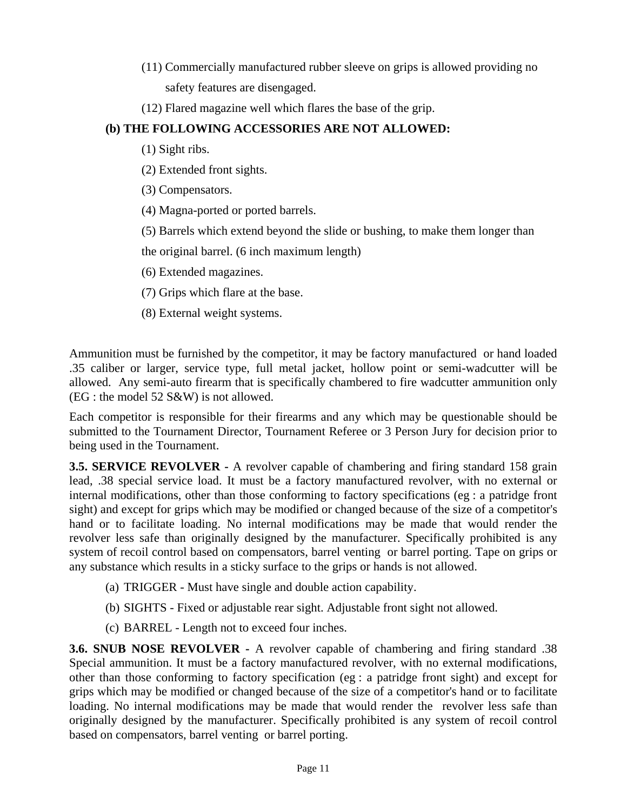- (11) Commercially manufactured rubber sleeve on grips is allowed providing no safety features are disengaged.
- (12) Flared magazine well which flares the base of the grip.

### **(b) THE FOLLOWING ACCESSORIES ARE NOT ALLOWED:**

- (1) Sight ribs.
- (2) Extended front sights.
- (3) Compensators.
- (4) Magna-ported or ported barrels.
- (5) Barrels which extend beyond the slide or bushing, to make them longer than
- the original barrel. (6 inch maximum length)
- (6) Extended magazines.
- (7) Grips which flare at the base.
- (8) External weight systems.

Ammunition must be furnished by the competitor, it may be factory manufactured or hand loaded .35 caliber or larger, service type, full metal jacket, hollow point or semi-wadcutter will be allowed. Any semi-auto firearm that is specifically chambered to fire wadcutter ammunition only (EG : the model 52 S&W) is not allowed.

Each competitor is responsible for their firearms and any which may be questionable should be submitted to the Tournament Director, Tournament Referee or 3 Person Jury for decision prior to being used in the Tournament.

**3.5. SERVICE REVOLVER -** A revolver capable of chambering and firing standard 158 grain lead, .38 special service load. It must be a factory manufactured revolver, with no external or internal modifications, other than those conforming to factory specifications (eg : a patridge front sight) and except for grips which may be modified or changed because of the size of a competitor's hand or to facilitate loading. No internal modifications may be made that would render the revolver less safe than originally designed by the manufacturer. Specifically prohibited is any system of recoil control based on compensators, barrel venting or barrel porting. Tape on grips or any substance which results in a sticky surface to the grips or hands is not allowed.

- (a) TRIGGER Must have single and double action capability.
- (b) SIGHTS Fixed or adjustable rear sight. Adjustable front sight not allowed.
- (c) BARREL Length not to exceed four inches.

**3.6. SNUB NOSE REVOLVER -** A revolver capable of chambering and firing standard .38 Special ammunition. It must be a factory manufactured revolver, with no external modifications, other than those conforming to factory specification (eg : a patridge front sight) and except for grips which may be modified or changed because of the size of a competitor's hand or to facilitate loading. No internal modifications may be made that would render the revolver less safe than originally designed by the manufacturer. Specifically prohibited is any system of recoil control based on compensators, barrel venting or barrel porting.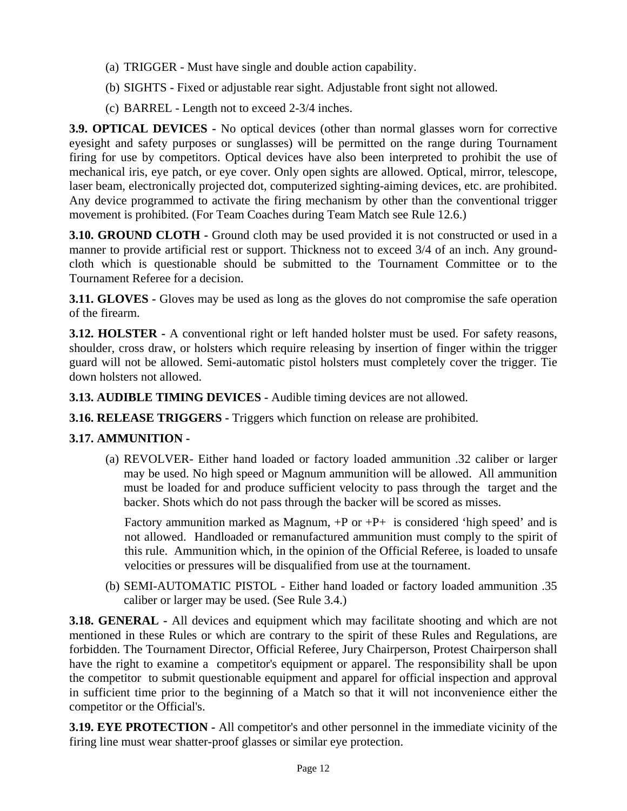- (a) TRIGGER Must have single and double action capability.
- (b) SIGHTS Fixed or adjustable rear sight. Adjustable front sight not allowed.
- (c) BARREL Length not to exceed 2-3/4 inches.

**3.9. OPTICAL DEVICES -** No optical devices (other than normal glasses worn for corrective eyesight and safety purposes or sunglasses) will be permitted on the range during Tournament firing for use by competitors. Optical devices have also been interpreted to prohibit the use of mechanical iris, eye patch, or eye cover. Only open sights are allowed. Optical, mirror, telescope, laser beam, electronically projected dot, computerized sighting-aiming devices, etc. are prohibited. Any device programmed to activate the firing mechanism by other than the conventional trigger movement is prohibited. (For Team Coaches during Team Match see Rule 12.6.)

**3.10. GROUND CLOTH -** Ground cloth may be used provided it is not constructed or used in a manner to provide artificial rest or support. Thickness not to exceed 3/4 of an inch. Any groundcloth which is questionable should be submitted to the Tournament Committee or to the Tournament Referee for a decision.

**3.11. GLOVES** - Gloves may be used as long as the gloves do not compromise the safe operation of the firearm.

**3.12. HOLSTER** - A conventional right or left handed holster must be used. For safety reasons, shoulder, cross draw, or holsters which require releasing by insertion of finger within the trigger guard will not be allowed. Semi-automatic pistol holsters must completely cover the trigger. Tie down holsters not allowed.

**3.13. AUDIBLE TIMING DEVICES -** Audible timing devices are not allowed.

**3.16. RELEASE TRIGGERS -** Triggers which function on release are prohibited.

### **3.17. AMMUNITION -**

(a) REVOLVER- Either hand loaded or factory loaded ammunition .32 caliber or larger may be used. No high speed or Magnum ammunition will be allowed. All ammunition must be loaded for and produce sufficient velocity to pass through the target and the backer. Shots which do not pass through the backer will be scored as misses.

Factory ammunition marked as Magnum,  $+P$  or  $+P+$  is considered 'high speed' and is not allowed. Handloaded or remanufactured ammunition must comply to the spirit of this rule. Ammunition which, in the opinion of the Official Referee, is loaded to unsafe velocities or pressures will be disqualified from use at the tournament.

(b) SEMI-AUTOMATIC PISTOL - Either hand loaded or factory loaded ammunition .35 caliber or larger may be used. (See Rule 3.4.)

**3.18. GENERAL -** All devices and equipment which may facilitate shooting and which are not mentioned in these Rules or which are contrary to the spirit of these Rules and Regulations, are forbidden. The Tournament Director, Official Referee, Jury Chairperson, Protest Chairperson shall have the right to examine a competitor's equipment or apparel. The responsibility shall be upon the competitor to submit questionable equipment and apparel for official inspection and approval in sufficient time prior to the beginning of a Match so that it will not inconvenience either the competitor or the Official's.

**3.19. EYE PROTECTION -** All competitor's and other personnel in the immediate vicinity of the firing line must wear shatter-proof glasses or similar eye protection.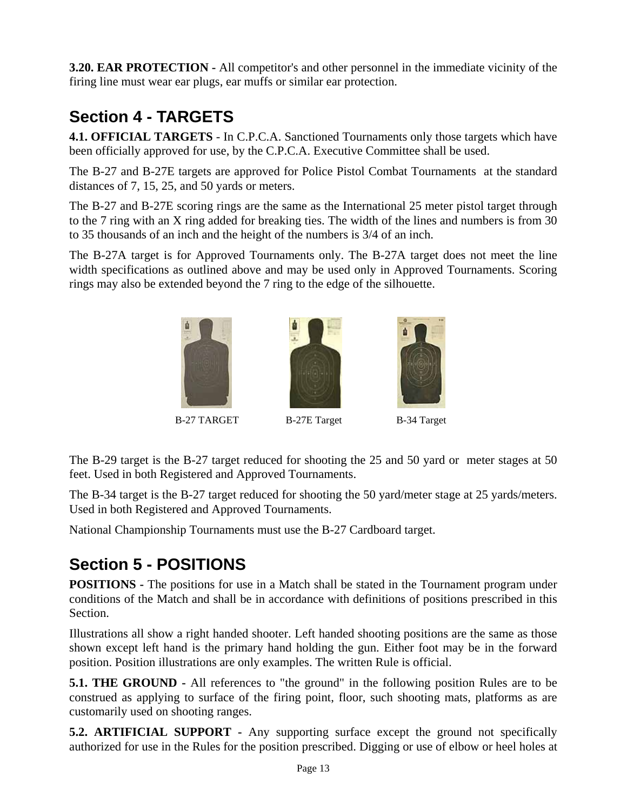**3.20. EAR PROTECTION -** All competitor's and other personnel in the immediate vicinity of the firing line must wear ear plugs, ear muffs or similar ear protection.

# **Section 4 - TARGETS**

**4.1. OFFICIAL TARGETS** - In C.P.C.A. Sanctioned Tournaments only those targets which have been officially approved for use, by the C.P.C.A. Executive Committee shall be used.

The B-27 and B-27E targets are approved for Police Pistol Combat Tournaments at the standard distances of 7, 15, 25, and 50 yards or meters.

The B-27 and B-27E scoring rings are the same as the International 25 meter pistol target through to the 7 ring with an X ring added for breaking ties. The width of the lines and numbers is from 30 to 35 thousands of an inch and the height of the numbers is 3/4 of an inch.

The B-27A target is for Approved Tournaments only. The B-27A target does not meet the line width specifications as outlined above and may be used only in Approved Tournaments. Scoring rings may also be extended beyond the 7 ring to the edge of the silhouette.



The B-29 target is the B-27 target reduced for shooting the 25 and 50 yard or meter stages at 50 feet. Used in both Registered and Approved Tournaments.

The B-34 target is the B-27 target reduced for shooting the 50 yard/meter stage at 25 yards/meters. Used in both Registered and Approved Tournaments.

National Championship Tournaments must use the B-27 Cardboard target.

# **Section 5 - POSITIONS**

**POSITIONS -** The positions for use in a Match shall be stated in the Tournament program under conditions of the Match and shall be in accordance with definitions of positions prescribed in this Section.

Illustrations all show a right handed shooter. Left handed shooting positions are the same as those shown except left hand is the primary hand holding the gun. Either foot may be in the forward position. Position illustrations are only examples. The written Rule is official.

**5.1. THE GROUND -** All references to "the ground" in the following position Rules are to be construed as applying to surface of the firing point, floor, such shooting mats, platforms as are customarily used on shooting ranges.

**5.2. ARTIFICIAL SUPPORT -** Any supporting surface except the ground not specifically authorized for use in the Rules for the position prescribed. Digging or use of elbow or heel holes at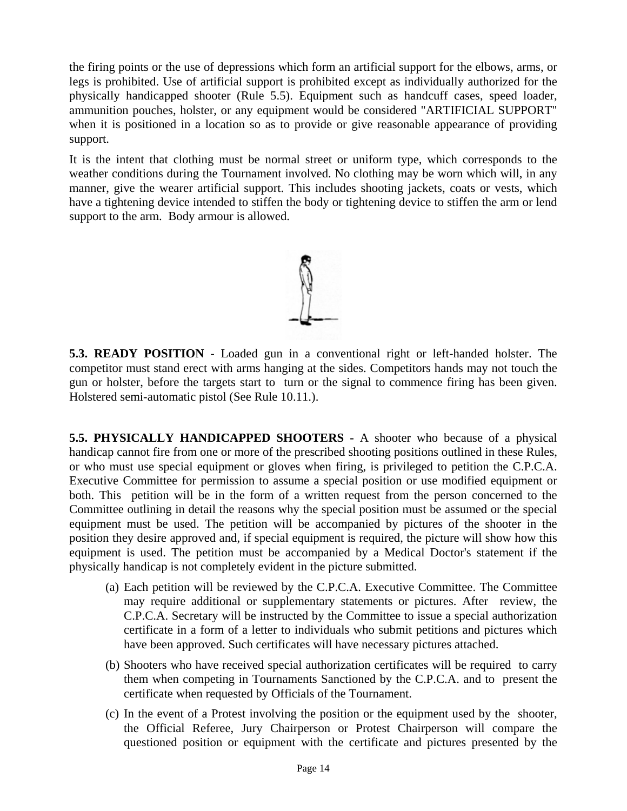the firing points or the use of depressions which form an artificial support for the elbows, arms, or legs is prohibited. Use of artificial support is prohibited except as individually authorized for the physically handicapped shooter (Rule 5.5). Equipment such as handcuff cases, speed loader, ammunition pouches, holster, or any equipment would be considered "ARTIFICIAL SUPPORT" when it is positioned in a location so as to provide or give reasonable appearance of providing support.

It is the intent that clothing must be normal street or uniform type, which corresponds to the weather conditions during the Tournament involved. No clothing may be worn which will, in any manner, give the wearer artificial support. This includes shooting jackets, coats or vests, which have a tightening device intended to stiffen the body or tightening device to stiffen the arm or lend support to the arm. Body armour is allowed.



**5.3. READY POSITION** - Loaded gun in a conventional right or left-handed holster. The competitor must stand erect with arms hanging at the sides. Competitors hands may not touch the gun or holster, before the targets start to turn or the signal to commence firing has been given. Holstered semi-automatic pistol (See Rule 10.11.).

**5.5. PHYSICALLY HANDICAPPED SHOOTERS -** A shooter who because of a physical handicap cannot fire from one or more of the prescribed shooting positions outlined in these Rules, or who must use special equipment or gloves when firing, is privileged to petition the C.P.C.A. Executive Committee for permission to assume a special position or use modified equipment or both. This petition will be in the form of a written request from the person concerned to the Committee outlining in detail the reasons why the special position must be assumed or the special equipment must be used. The petition will be accompanied by pictures of the shooter in the position they desire approved and, if special equipment is required, the picture will show how this equipment is used. The petition must be accompanied by a Medical Doctor's statement if the physically handicap is not completely evident in the picture submitted.

- (a) Each petition will be reviewed by the C.P.C.A. Executive Committee. The Committee may require additional or supplementary statements or pictures. After review, the C.P.C.A. Secretary will be instructed by the Committee to issue a special authorization certificate in a form of a letter to individuals who submit petitions and pictures which have been approved. Such certificates will have necessary pictures attached.
- (b) Shooters who have received special authorization certificates will be required to carry them when competing in Tournaments Sanctioned by the C.P.C.A. and to present the certificate when requested by Officials of the Tournament.
- (c) In the event of a Protest involving the position or the equipment used by the shooter, the Official Referee, Jury Chairperson or Protest Chairperson will compare the questioned position or equipment with the certificate and pictures presented by the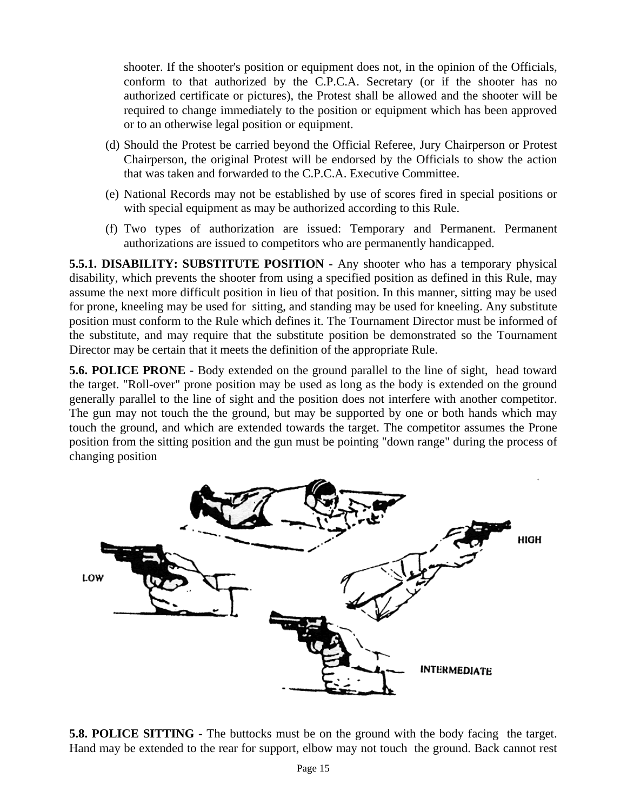shooter. If the shooter's position or equipment does not, in the opinion of the Officials, conform to that authorized by the C.P.C.A. Secretary (or if the shooter has no authorized certificate or pictures), the Protest shall be allowed and the shooter will be required to change immediately to the position or equipment which has been approved or to an otherwise legal position or equipment.

- (d) Should the Protest be carried beyond the Official Referee, Jury Chairperson or Protest Chairperson, the original Protest will be endorsed by the Officials to show the action that was taken and forwarded to the C.P.C.A. Executive Committee.
- (e) National Records may not be established by use of scores fired in special positions or with special equipment as may be authorized according to this Rule.
- (f) Two types of authorization are issued: Temporary and Permanent. Permanent authorizations are issued to competitors who are permanently handicapped.

**5.5.1. DISABILITY: SUBSTITUTE POSITION -** Any shooter who has a temporary physical disability, which prevents the shooter from using a specified position as defined in this Rule, may assume the next more difficult position in lieu of that position. In this manner, sitting may be used for prone, kneeling may be used for sitting, and standing may be used for kneeling. Any substitute position must conform to the Rule which defines it. The Tournament Director must be informed of the substitute, and may require that the substitute position be demonstrated so the Tournament Director may be certain that it meets the definition of the appropriate Rule.

**5.6. POLICE PRONE -** Body extended on the ground parallel to the line of sight, head toward the target. "Roll-over" prone position may be used as long as the body is extended on the ground generally parallel to the line of sight and the position does not interfere with another competitor. The gun may not touch the the ground, but may be supported by one or both hands which may touch the ground, and which are extended towards the target. The competitor assumes the Prone position from the sitting position and the gun must be pointing "down range" during the process of changing position



**5.8. POLICE SITTING -** The buttocks must be on the ground with the body facing the target. Hand may be extended to the rear for support, elbow may not touch the ground. Back cannot rest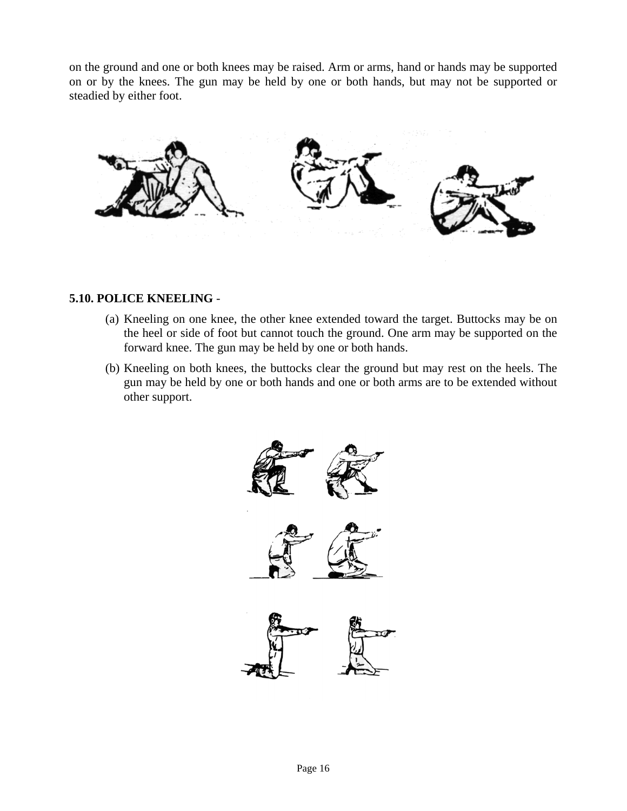on the ground and one or both knees may be raised. Arm or arms, hand or hands may be supported on or by the knees. The gun may be held by one or both hands, but may not be supported or steadied by either foot.



#### **5.10. POLICE KNEELING** -

- (a) Kneeling on one knee, the other knee extended toward the target. Buttocks may be on the heel or side of foot but cannot touch the ground. One arm may be supported on the forward knee. The gun may be held by one or both hands.
- (b) Kneeling on both knees, the buttocks clear the ground but may rest on the heels. The gun may be held by one or both hands and one or both arms are to be extended without other support.

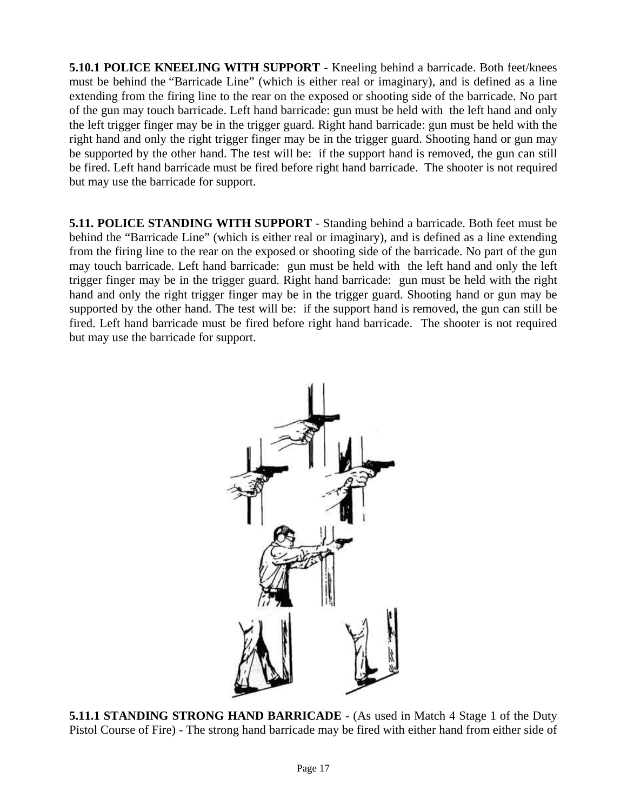**5.10.1 POLICE KNEELING WITH SUPPORT** - Kneeling behind a barricade. Both feet/knees must be behind the "Barricade Line" (which is either real or imaginary), and is defined as a line extending from the firing line to the rear on the exposed or shooting side of the barricade. No part of the gun may touch barricade. Left hand barricade: gun must be held with the left hand and only the left trigger finger may be in the trigger guard. Right hand barricade: gun must be held with the right hand and only the right trigger finger may be in the trigger guard. Shooting hand or gun may be supported by the other hand. The test will be: if the support hand is removed, the gun can still be fired. Left hand barricade must be fired before right hand barricade. The shooter is not required but may use the barricade for support.

**5.11. POLICE STANDING WITH SUPPORT** - Standing behind a barricade. Both feet must be behind the "Barricade Line" (which is either real or imaginary), and is defined as a line extending from the firing line to the rear on the exposed or shooting side of the barricade. No part of the gun may touch barricade. Left hand barricade: gun must be held with the left hand and only the left trigger finger may be in the trigger guard. Right hand barricade: gun must be held with the right hand and only the right trigger finger may be in the trigger guard. Shooting hand or gun may be supported by the other hand. The test will be: if the support hand is removed, the gun can still be fired. Left hand barricade must be fired before right hand barricade. The shooter is not required but may use the barricade for support.



**5.11.1 STANDING STRONG HAND BARRICADE** - (As used in Match 4 Stage 1 of the Duty Pistol Course of Fire) - The strong hand barricade may be fired with either hand from either side of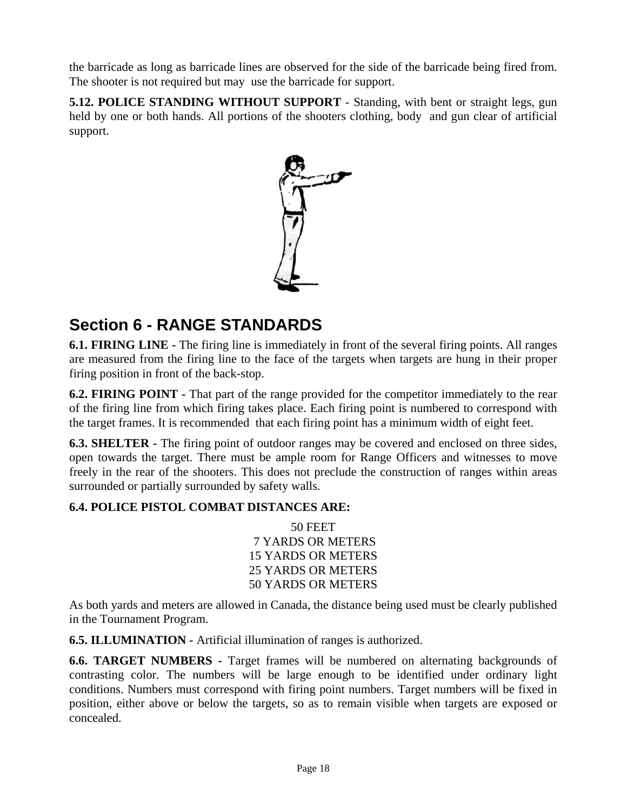the barricade as long as barricade lines are observed for the side of the barricade being fired from. The shooter is not required but may use the barricade for support.

**5.12. POLICE STANDING WITHOUT SUPPORT** - Standing, with bent or straight legs, gun held by one or both hands. All portions of the shooters clothing, body and gun clear of artificial support.



## **Section 6 - RANGE STANDARDS**

**6.1. FIRING LINE -** The firing line is immediately in front of the several firing points. All ranges are measured from the firing line to the face of the targets when targets are hung in their proper firing position in front of the back-stop.

**6.2. FIRING POINT -** That part of the range provided for the competitor immediately to the rear of the firing line from which firing takes place. Each firing point is numbered to correspond with the target frames. It is recommended that each firing point has a minimum width of eight feet.

**6.3. SHELTER -** The firing point of outdoor ranges may be covered and enclosed on three sides, open towards the target. There must be ample room for Range Officers and witnesses to move freely in the rear of the shooters. This does not preclude the construction of ranges within areas surrounded or partially surrounded by safety walls.

### **6.4. POLICE PISTOL COMBAT DISTANCES ARE:**

50 FEET 7 YARDS OR METERS 15 YARDS OR METERS 25 YARDS OR METERS 50 YARDS OR METERS

As both yards and meters are allowed in Canada, the distance being used must be clearly published in the Tournament Program.

**6.5. ILLUMINATION -** Artificial illumination of ranges is authorized.

**6.6. TARGET NUMBERS -** Target frames will be numbered on alternating backgrounds of contrasting color. The numbers will be large enough to be identified under ordinary light conditions. Numbers must correspond with firing point numbers. Target numbers will be fixed in position, either above or below the targets, so as to remain visible when targets are exposed or concealed.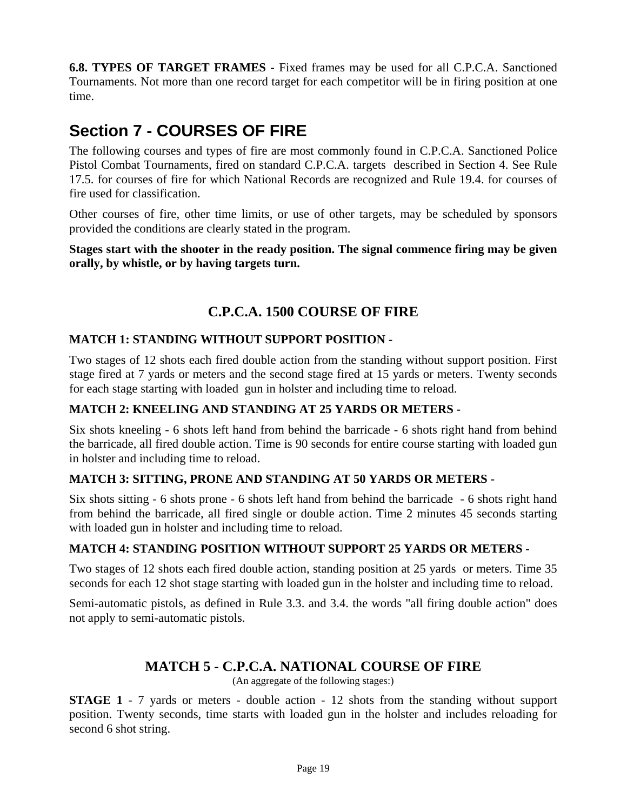**6.8. TYPES OF TARGET FRAMES -** Fixed frames may be used for all C.P.C.A. Sanctioned Tournaments. Not more than one record target for each competitor will be in firing position at one time.

## **Section 7 - COURSES OF FIRE**

The following courses and types of fire are most commonly found in C.P.C.A. Sanctioned Police Pistol Combat Tournaments, fired on standard C.P.C.A. targets described in Section 4. See Rule 17.5. for courses of fire for which National Records are recognized and Rule 19.4. for courses of fire used for classification.

Other courses of fire, other time limits, or use of other targets, may be scheduled by sponsors provided the conditions are clearly stated in the program.

**Stages start with the shooter in the ready position. The signal commence firing may be given orally, by whistle, or by having targets turn.** 

### **C.P.C.A. 1500 COURSE OF FIRE**

#### **MATCH 1: STANDING WITHOUT SUPPORT POSITION -**

Two stages of 12 shots each fired double action from the standing without support position. First stage fired at 7 yards or meters and the second stage fired at 15 yards or meters. Twenty seconds for each stage starting with loaded gun in holster and including time to reload.

#### **MATCH 2: KNEELING AND STANDING AT 25 YARDS OR METERS -**

Six shots kneeling - 6 shots left hand from behind the barricade - 6 shots right hand from behind the barricade, all fired double action. Time is 90 seconds for entire course starting with loaded gun in holster and including time to reload.

#### **MATCH 3: SITTING, PRONE AND STANDING AT 50 YARDS OR METERS -**

Six shots sitting - 6 shots prone - 6 shots left hand from behind the barricade - 6 shots right hand from behind the barricade, all fired single or double action. Time 2 minutes 45 seconds starting with loaded gun in holster and including time to reload.

#### **MATCH 4: STANDING POSITION WITHOUT SUPPORT 25 YARDS OR METERS -**

Two stages of 12 shots each fired double action, standing position at 25 yards or meters. Time 35 seconds for each 12 shot stage starting with loaded gun in the holster and including time to reload.

Semi-automatic pistols, as defined in Rule 3.3. and 3.4. the words "all firing double action" does not apply to semi-automatic pistols.

### **MATCH 5 - C.P.C.A. NATIONAL COURSE OF FIRE**

(An aggregate of the following stages:)

**STAGE 1** - 7 yards or meters - double action - 12 shots from the standing without support position. Twenty seconds, time starts with loaded gun in the holster and includes reloading for second 6 shot string.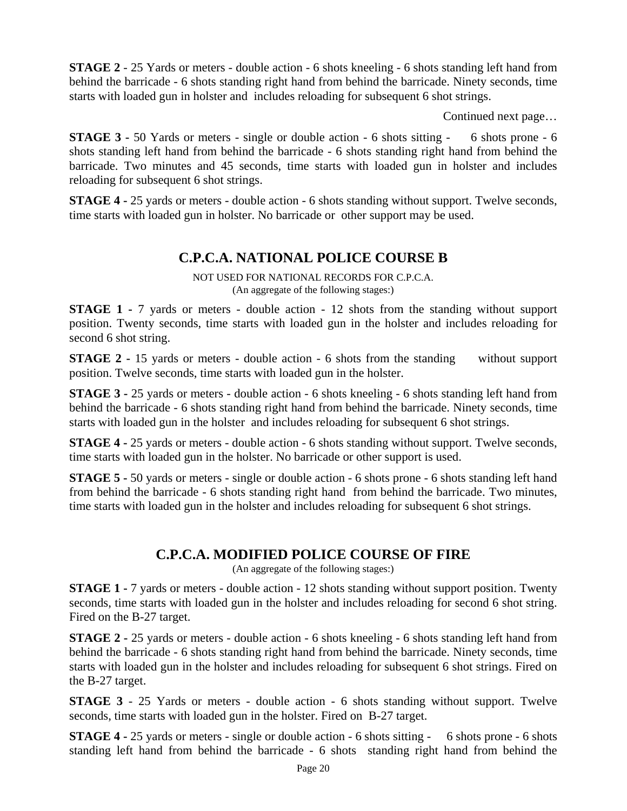**STAGE 2** - 25 Yards or meters - double action - 6 shots kneeling - 6 shots standing left hand from behind the barricade - 6 shots standing right hand from behind the barricade. Ninety seconds, time starts with loaded gun in holster and includes reloading for subsequent 6 shot strings.

Continued next page…

**STAGE 3 -** 50 Yards or meters - single or double action - 6 shots sitting - 6 shots prone - 6 shots standing left hand from behind the barricade - 6 shots standing right hand from behind the barricade. Two minutes and 45 seconds, time starts with loaded gun in holster and includes reloading for subsequent 6 shot strings.

**STAGE 4 -** 25 yards or meters - double action - 6 shots standing without support. Twelve seconds, time starts with loaded gun in holster. No barricade or other support may be used.

### **C.P.C.A. NATIONAL POLICE COURSE B**

NOT USED FOR NATIONAL RECORDS FOR C.P.C.A. (An aggregate of the following stages:)

**STAGE 1 -** 7 yards or meters - double action - 12 shots from the standing without support position. Twenty seconds, time starts with loaded gun in the holster and includes reloading for second 6 shot string.

**STAGE 2** - 15 yards or meters - double action - 6 shots from the standing without support position. Twelve seconds, time starts with loaded gun in the holster.

**STAGE 3 -** 25 yards or meters - double action - 6 shots kneeling - 6 shots standing left hand from behind the barricade - 6 shots standing right hand from behind the barricade. Ninety seconds, time starts with loaded gun in the holster and includes reloading for subsequent 6 shot strings.

**STAGE 4 -** 25 yards or meters - double action - 6 shots standing without support. Twelve seconds, time starts with loaded gun in the holster. No barricade or other support is used.

**STAGE 5 -** 50 yards or meters - single or double action - 6 shots prone - 6 shots standing left hand from behind the barricade - 6 shots standing right hand from behind the barricade. Two minutes, time starts with loaded gun in the holster and includes reloading for subsequent 6 shot strings.

### **C.P.C.A. MODIFIED POLICE COURSE OF FIRE**

(An aggregate of the following stages:)

**STAGE 1 -** 7 yards or meters - double action - 12 shots standing without support position. Twenty seconds, time starts with loaded gun in the holster and includes reloading for second 6 shot string. Fired on the B-27 target.

**STAGE 2 -** 25 yards or meters - double action - 6 shots kneeling - 6 shots standing left hand from behind the barricade - 6 shots standing right hand from behind the barricade. Ninety seconds, time starts with loaded gun in the holster and includes reloading for subsequent 6 shot strings. Fired on the B-27 target.

**STAGE 3** - 25 Yards or meters - double action - 6 shots standing without support. Twelve seconds, time starts with loaded gun in the holster. Fired on B-27 target.

**STAGE 4 -** 25 yards or meters - single or double action - 6 shots sitting - 6 shots prone - 6 shots standing left hand from behind the barricade - 6 shots standing right hand from behind the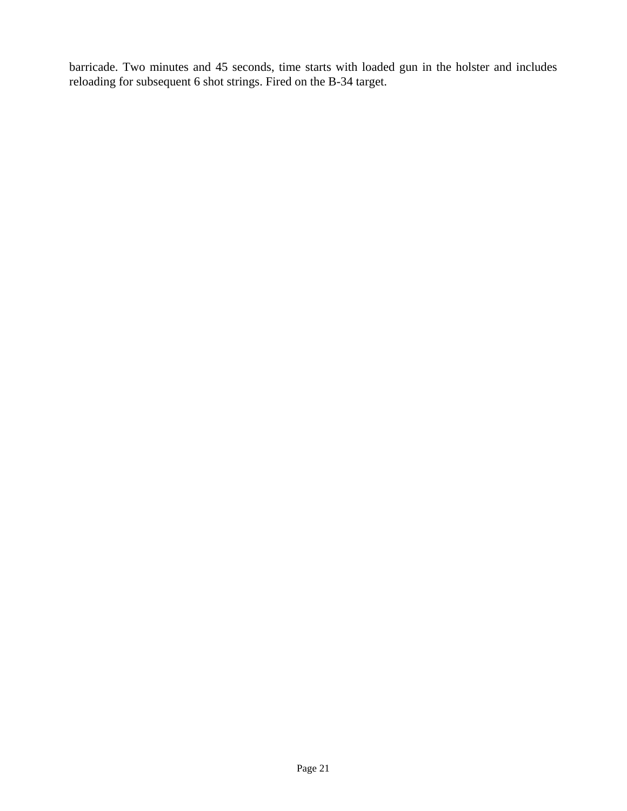barricade. Two minutes and 45 seconds, time starts with loaded gun in the holster and includes reloading for subsequent 6 shot strings. Fired on the B-34 target.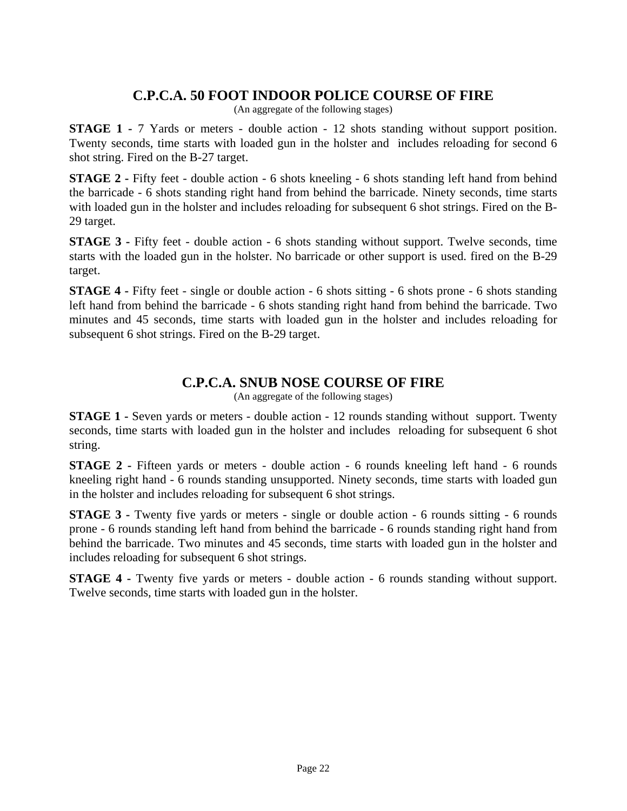### **C.P.C.A. 50 FOOT INDOOR POLICE COURSE OF FIRE**

(An aggregate of the following stages)

**STAGE 1 -** 7 Yards or meters - double action - 12 shots standing without support position. Twenty seconds, time starts with loaded gun in the holster and includes reloading for second 6 shot string. Fired on the B-27 target.

**STAGE 2** - Fifty feet - double action - 6 shots kneeling - 6 shots standing left hand from behind the barricade - 6 shots standing right hand from behind the barricade. Ninety seconds, time starts with loaded gun in the holster and includes reloading for subsequent 6 shot strings. Fired on the B-29 target.

**STAGE 3** - Fifty feet - double action - 6 shots standing without support. Twelve seconds, time starts with the loaded gun in the holster. No barricade or other support is used. fired on the B-29 target.

**STAGE 4** - Fifty feet - single or double action - 6 shots sitting - 6 shots prone - 6 shots standing left hand from behind the barricade - 6 shots standing right hand from behind the barricade. Two minutes and 45 seconds, time starts with loaded gun in the holster and includes reloading for subsequent 6 shot strings. Fired on the B-29 target.

### **C.P.C.A. SNUB NOSE COURSE OF FIRE**

(An aggregate of the following stages)

**STAGE 1 -** Seven yards or meters - double action - 12 rounds standing without support. Twenty seconds, time starts with loaded gun in the holster and includes reloading for subsequent 6 shot string.

**STAGE 2** - Fifteen yards or meters - double action - 6 rounds kneeling left hand - 6 rounds kneeling right hand - 6 rounds standing unsupported. Ninety seconds, time starts with loaded gun in the holster and includes reloading for subsequent 6 shot strings.

**STAGE 3 -** Twenty five yards or meters - single or double action - 6 rounds sitting - 6 rounds prone - 6 rounds standing left hand from behind the barricade - 6 rounds standing right hand from behind the barricade. Two minutes and 45 seconds, time starts with loaded gun in the holster and includes reloading for subsequent 6 shot strings.

**STAGE 4 -** Twenty five yards or meters - double action - 6 rounds standing without support. Twelve seconds, time starts with loaded gun in the holster.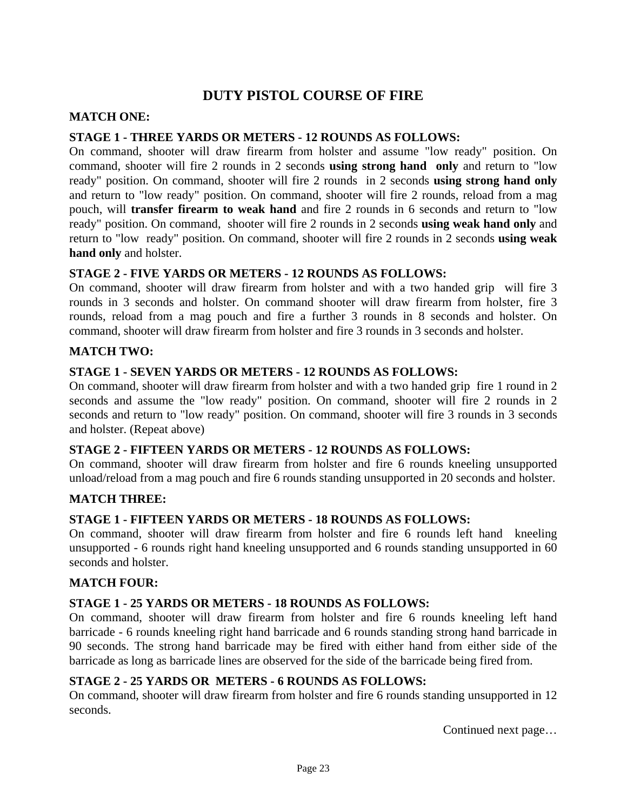## **DUTY PISTOL COURSE OF FIRE**

#### **MATCH ONE:**

#### **STAGE 1 - THREE YARDS OR METERS - 12 ROUNDS AS FOLLOWS:**

On command, shooter will draw firearm from holster and assume "low ready" position. On command, shooter will fire 2 rounds in 2 seconds **using strong hand only** and return to "low ready" position. On command, shooter will fire 2 rounds in 2 seconds **using strong hand only** and return to "low ready" position. On command, shooter will fire 2 rounds, reload from a mag pouch, will **transfer firearm to weak hand** and fire 2 rounds in 6 seconds and return to "low ready" position. On command, shooter will fire 2 rounds in 2 seconds **using weak hand only** and return to "low ready" position. On command, shooter will fire 2 rounds in 2 seconds **using weak hand only** and holster.

#### **STAGE 2 - FIVE YARDS OR METERS - 12 ROUNDS AS FOLLOWS:**

On command, shooter will draw firearm from holster and with a two handed grip will fire 3 rounds in 3 seconds and holster. On command shooter will draw firearm from holster, fire 3 rounds, reload from a mag pouch and fire a further 3 rounds in 8 seconds and holster. On command, shooter will draw firearm from holster and fire 3 rounds in 3 seconds and holster.

#### **MATCH TWO:**

#### **STAGE 1 - SEVEN YARDS OR METERS - 12 ROUNDS AS FOLLOWS:**

On command, shooter will draw firearm from holster and with a two handed grip fire 1 round in 2 seconds and assume the "low ready" position. On command, shooter will fire 2 rounds in 2 seconds and return to "low ready" position. On command, shooter will fire 3 rounds in 3 seconds and holster. (Repeat above)

#### **STAGE 2 - FIFTEEN YARDS OR METERS - 12 ROUNDS AS FOLLOWS:**

On command, shooter will draw firearm from holster and fire 6 rounds kneeling unsupported unload/reload from a mag pouch and fire 6 rounds standing unsupported in 20 seconds and holster.

#### **MATCH THREE:**

#### **STAGE 1 - FIFTEEN YARDS OR METERS - 18 ROUNDS AS FOLLOWS:**

On command, shooter will draw firearm from holster and fire 6 rounds left hand kneeling unsupported - 6 rounds right hand kneeling unsupported and 6 rounds standing unsupported in 60 seconds and holster.

#### **MATCH FOUR:**

#### **STAGE 1 - 25 YARDS OR METERS - 18 ROUNDS AS FOLLOWS:**

On command, shooter will draw firearm from holster and fire 6 rounds kneeling left hand barricade - 6 rounds kneeling right hand barricade and 6 rounds standing strong hand barricade in 90 seconds. The strong hand barricade may be fired with either hand from either side of the barricade as long as barricade lines are observed for the side of the barricade being fired from.

#### **STAGE 2 - 25 YARDS OR METERS - 6 ROUNDS AS FOLLOWS:**

On command, shooter will draw firearm from holster and fire 6 rounds standing unsupported in 12 seconds.

Continued next page…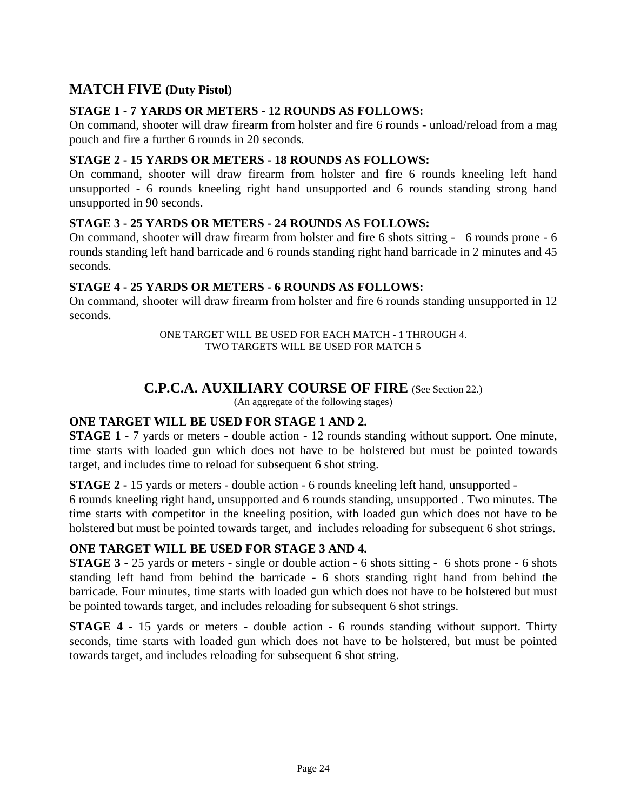### **MATCH FIVE (Duty Pistol)**

#### **STAGE 1 - 7 YARDS OR METERS - 12 ROUNDS AS FOLLOWS:**

On command, shooter will draw firearm from holster and fire 6 rounds - unload/reload from a mag pouch and fire a further 6 rounds in 20 seconds.

#### **STAGE 2 - 15 YARDS OR METERS - 18 ROUNDS AS FOLLOWS:**

On command, shooter will draw firearm from holster and fire 6 rounds kneeling left hand unsupported - 6 rounds kneeling right hand unsupported and 6 rounds standing strong hand unsupported in 90 seconds.

#### **STAGE 3 - 25 YARDS OR METERS - 24 ROUNDS AS FOLLOWS:**

On command, shooter will draw firearm from holster and fire 6 shots sitting - 6 rounds prone - 6 rounds standing left hand barricade and 6 rounds standing right hand barricade in 2 minutes and 45 seconds.

### **STAGE 4 - 25 YARDS OR METERS - 6 ROUNDS AS FOLLOWS:**

On command, shooter will draw firearm from holster and fire 6 rounds standing unsupported in 12 seconds.

> ONE TARGET WILL BE USED FOR EACH MATCH - 1 THROUGH 4. TWO TARGETS WILL BE USED FOR MATCH 5

### **C.P.C.A. AUXILIARY COURSE OF FIRE** (See Section 22.)

(An aggregate of the following stages)

#### **ONE TARGET WILL BE USED FOR STAGE 1 AND 2.**

**STAGE 1 -** 7 yards or meters - double action - 12 rounds standing without support. One minute, time starts with loaded gun which does not have to be holstered but must be pointed towards target, and includes time to reload for subsequent 6 shot string.

**STAGE 2 -** 15 yards or meters - double action - 6 rounds kneeling left hand, unsupported -

6 rounds kneeling right hand, unsupported and 6 rounds standing, unsupported . Two minutes. The time starts with competitor in the kneeling position, with loaded gun which does not have to be holstered but must be pointed towards target, and includes reloading for subsequent 6 shot strings.

#### **ONE TARGET WILL BE USED FOR STAGE 3 AND 4.**

**STAGE 3 -** 25 yards or meters - single or double action - 6 shots sitting - 6 shots prone - 6 shots standing left hand from behind the barricade - 6 shots standing right hand from behind the barricade. Four minutes, time starts with loaded gun which does not have to be holstered but must be pointed towards target, and includes reloading for subsequent 6 shot strings.

**STAGE 4 -** 15 yards or meters - double action - 6 rounds standing without support. Thirty seconds, time starts with loaded gun which does not have to be holstered, but must be pointed towards target, and includes reloading for subsequent 6 shot string.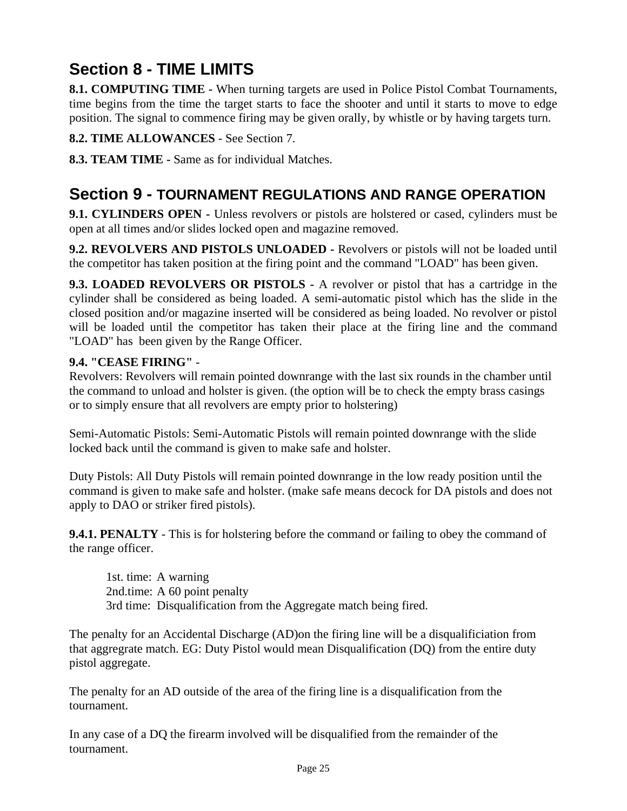## **Section 8 - TIME LIMITS**

**8.1. COMPUTING TIME -** When turning targets are used in Police Pistol Combat Tournaments, time begins from the time the target starts to face the shooter and until it starts to move to edge position. The signal to commence firing may be given orally, by whistle or by having targets turn.

**8.2. TIME ALLOWANCES** - See Section 7.

**8.3. TEAM TIME -** Same as for individual Matches.

## **Section 9 - TOURNAMENT REGULATIONS AND RANGE OPERATION**

**9.1. CYLINDERS OPEN -** Unless revolvers or pistols are holstered or cased, cylinders must be open at all times and/or slides locked open and magazine removed.

**9.2. REVOLVERS AND PISTOLS UNLOADED -** Revolvers or pistols will not be loaded until the competitor has taken position at the firing point and the command "LOAD" has been given.

**9.3. LOADED REVOLVERS OR PISTOLS -** A revolver or pistol that has a cartridge in the cylinder shall be considered as being loaded. A semi-automatic pistol which has the slide in the closed position and/or magazine inserted will be considered as being loaded. No revolver or pistol will be loaded until the competitor has taken their place at the firing line and the command "LOAD" has been given by the Range Officer.

### **9.4. "CEASE FIRING"** -

Revolvers: Revolvers will remain pointed downrange with the last six rounds in the chamber until the command to unload and holster is given. (the option will be to check the empty brass casings or to simply ensure that all revolvers are empty prior to holstering)

Semi-Automatic Pistols: Semi-Automatic Pistols will remain pointed downrange with the slide locked back until the command is given to make safe and holster.

Duty Pistols: All Duty Pistols will remain pointed downrange in the low ready position until the command is given to make safe and holster. (make safe means decock for DA pistols and does not apply to DAO or striker fired pistols).

**9.4.1. PENALTY** - This is for holstering before the command or failing to obey the command of the range officer.

 1st. time: A warning 2nd.time: A 60 point penalty 3rd time: Disqualification from the Aggregate match being fired.

The penalty for an Accidental Discharge (AD)on the firing line will be a disqualificiation from that aggregrate match. EG: Duty Pistol would mean Disqualification (DQ) from the entire duty pistol aggregate.

The penalty for an AD outside of the area of the firing line is a disqualification from the tournament.

In any case of a DQ the firearm involved will be disqualified from the remainder of the tournament.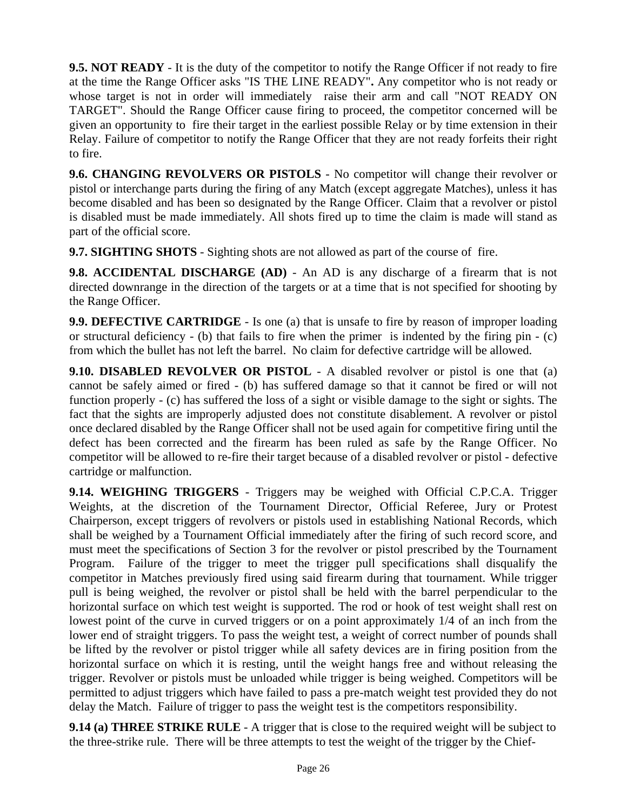**9.5. NOT READY** - It is the duty of the competitor to notify the Range Officer if not ready to fire at the time the Range Officer asks "IS THE LINE READY"**.** Any competitor who is not ready or whose target is not in order will immediately raise their arm and call "NOT READY ON TARGET". Should the Range Officer cause firing to proceed, the competitor concerned will be given an opportunity to fire their target in the earliest possible Relay or by time extension in their Relay. Failure of competitor to notify the Range Officer that they are not ready forfeits their right to fire.

**9.6. CHANGING REVOLVERS OR PISTOLS** - No competitor will change their revolver or pistol or interchange parts during the firing of any Match (except aggregate Matches), unless it has become disabled and has been so designated by the Range Officer. Claim that a revolver or pistol is disabled must be made immediately. All shots fired up to time the claim is made will stand as part of the official score.

**9.7. SIGHTING SHOTS** - Sighting shots are not allowed as part of the course of fire.

**9.8. ACCIDENTAL DISCHARGE (AD)** - An AD is any discharge of a firearm that is not directed downrange in the direction of the targets or at a time that is not specified for shooting by the Range Officer.

**9.9. DEFECTIVE CARTRIDGE** - Is one (a) that is unsafe to fire by reason of improper loading or structural deficiency - (b) that fails to fire when the primer is indented by the firing pin - (c) from which the bullet has not left the barrel. No claim for defective cartridge will be allowed.

**9.10. DISABLED REVOLVER OR PISTOL** - A disabled revolver or pistol is one that (a) cannot be safely aimed or fired - (b) has suffered damage so that it cannot be fired or will not function properly - (c) has suffered the loss of a sight or visible damage to the sight or sights. The fact that the sights are improperly adjusted does not constitute disablement. A revolver or pistol once declared disabled by the Range Officer shall not be used again for competitive firing until the defect has been corrected and the firearm has been ruled as safe by the Range Officer. No competitor will be allowed to re-fire their target because of a disabled revolver or pistol - defective cartridge or malfunction.

**9.14. WEIGHING TRIGGERS** - Triggers may be weighed with Official C.P.C.A. Trigger Weights, at the discretion of the Tournament Director, Official Referee, Jury or Protest Chairperson, except triggers of revolvers or pistols used in establishing National Records, which shall be weighed by a Tournament Official immediately after the firing of such record score, and must meet the specifications of Section 3 for the revolver or pistol prescribed by the Tournament Program. Failure of the trigger to meet the trigger pull specifications shall disqualify the competitor in Matches previously fired using said firearm during that tournament. While trigger pull is being weighed, the revolver or pistol shall be held with the barrel perpendicular to the horizontal surface on which test weight is supported. The rod or hook of test weight shall rest on lowest point of the curve in curved triggers or on a point approximately 1/4 of an inch from the lower end of straight triggers. To pass the weight test, a weight of correct number of pounds shall be lifted by the revolver or pistol trigger while all safety devices are in firing position from the horizontal surface on which it is resting, until the weight hangs free and without releasing the trigger. Revolver or pistols must be unloaded while trigger is being weighed. Competitors will be permitted to adjust triggers which have failed to pass a pre-match weight test provided they do not delay the Match. Failure of trigger to pass the weight test is the competitors responsibility.

**9.14 (a) THREE STRIKE RULE** - A trigger that is close to the required weight will be subject to the three-strike rule. There will be three attempts to test the weight of the trigger by the Chief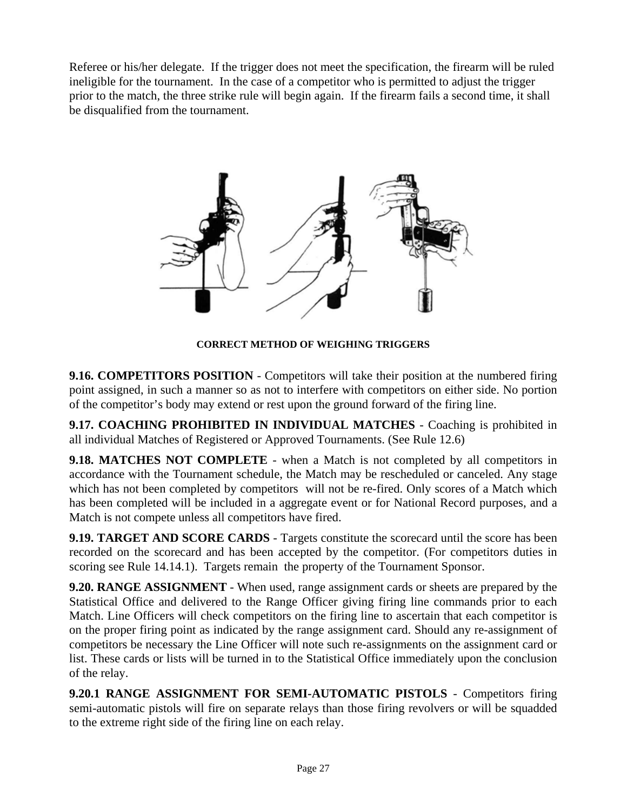Referee or his/her delegate. If the trigger does not meet the specification, the firearm will be ruled ineligible for the tournament. In the case of a competitor who is permitted to adjust the trigger prior to the match, the three strike rule will begin again. If the firearm fails a second time, it shall be disqualified from the tournament.



**CORRECT METHOD OF WEIGHING TRIGGERS** 

**9.16. COMPETITORS POSITION** - Competitors will take their position at the numbered firing point assigned, in such a manner so as not to interfere with competitors on either side. No portion of the competitor's body may extend or rest upon the ground forward of the firing line.

**9.17. COACHING PROHIBITED IN INDIVIDUAL MATCHES** - Coaching is prohibited in all individual Matches of Registered or Approved Tournaments. (See Rule 12.6)

**9.18. MATCHES NOT COMPLETE** - when a Match is not completed by all competitors in accordance with the Tournament schedule, the Match may be rescheduled or canceled. Any stage which has not been completed by competitors will not be re-fired. Only scores of a Match which has been completed will be included in a aggregate event or for National Record purposes, and a Match is not compete unless all competitors have fired.

**9.19. TARGET AND SCORE CARDS** - Targets constitute the scorecard until the score has been recorded on the scorecard and has been accepted by the competitor. (For competitors duties in scoring see Rule 14.14.1). Targets remain the property of the Tournament Sponsor.

**9.20. RANGE ASSIGNMENT** - When used, range assignment cards or sheets are prepared by the Statistical Office and delivered to the Range Officer giving firing line commands prior to each Match. Line Officers will check competitors on the firing line to ascertain that each competitor is on the proper firing point as indicated by the range assignment card. Should any re-assignment of competitors be necessary the Line Officer will note such re-assignments on the assignment card or list. These cards or lists will be turned in to the Statistical Office immediately upon the conclusion of the relay.

**9.20.1 RANGE ASSIGNMENT FOR SEMI-AUTOMATIC PISTOLS** - Competitors firing semi-automatic pistols will fire on separate relays than those firing revolvers or will be squadded to the extreme right side of the firing line on each relay.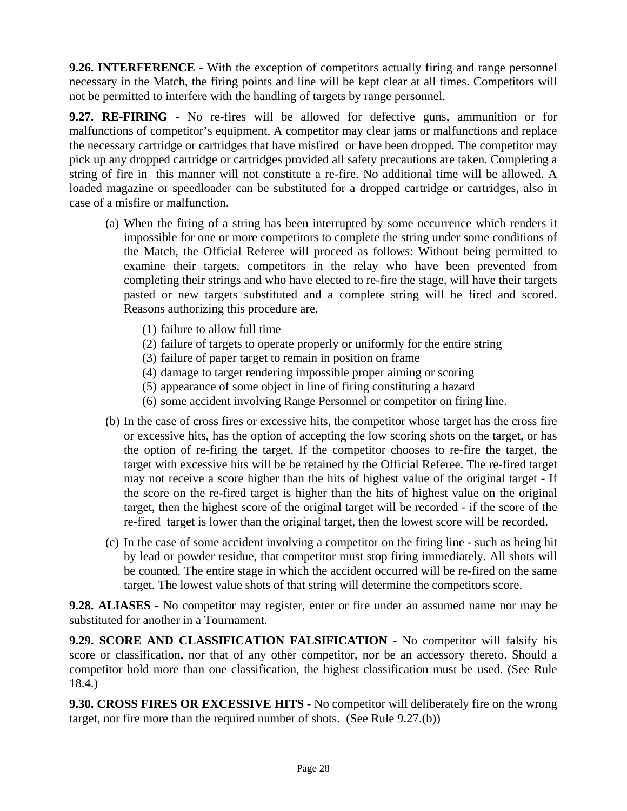**9.26. INTERFERENCE** - With the exception of competitors actually firing and range personnel necessary in the Match, the firing points and line will be kept clear at all times. Competitors will not be permitted to interfere with the handling of targets by range personnel.

**9.27. RE-FIRING** - No re-fires will be allowed for defective guns, ammunition or for malfunctions of competitor's equipment. A competitor may clear jams or malfunctions and replace the necessary cartridge or cartridges that have misfired or have been dropped. The competitor may pick up any dropped cartridge or cartridges provided all safety precautions are taken. Completing a string of fire in this manner will not constitute a re-fire. No additional time will be allowed. A loaded magazine or speedloader can be substituted for a dropped cartridge or cartridges, also in case of a misfire or malfunction.

- (a) When the firing of a string has been interrupted by some occurrence which renders it impossible for one or more competitors to complete the string under some conditions of the Match, the Official Referee will proceed as follows: Without being permitted to examine their targets, competitors in the relay who have been prevented from completing their strings and who have elected to re-fire the stage, will have their targets pasted or new targets substituted and a complete string will be fired and scored. Reasons authorizing this procedure are.
	- (1) failure to allow full time
	- (2) failure of targets to operate properly or uniformly for the entire string
	- (3) failure of paper target to remain in position on frame
	- (4) damage to target rendering impossible proper aiming or scoring
	- (5) appearance of some object in line of firing constituting a hazard
	- (6) some accident involving Range Personnel or competitor on firing line.
- (b) In the case of cross fires or excessive hits, the competitor whose target has the cross fire or excessive hits, has the option of accepting the low scoring shots on the target, or has the option of re-firing the target. If the competitor chooses to re-fire the target, the target with excessive hits will be be retained by the Official Referee. The re-fired target may not receive a score higher than the hits of highest value of the original target - If the score on the re-fired target is higher than the hits of highest value on the original target, then the highest score of the original target will be recorded - if the score of the re-fired target is lower than the original target, then the lowest score will be recorded.
- (c) In the case of some accident involving a competitor on the firing line such as being hit by lead or powder residue, that competitor must stop firing immediately. All shots will be counted. The entire stage in which the accident occurred will be re-fired on the same target. The lowest value shots of that string will determine the competitors score.

**9.28. ALIASES** - No competitor may register, enter or fire under an assumed name nor may be substituted for another in a Tournament.

**9.29. SCORE AND CLASSIFICATION FALSIFICATION** - No competitor will falsify his score or classification, nor that of any other competitor, nor be an accessory thereto. Should a competitor hold more than one classification, the highest classification must be used. (See Rule 18.4.)

**9.30. CROSS FIRES OR EXCESSIVE HITS** - No competitor will deliberately fire on the wrong target, nor fire more than the required number of shots. (See Rule 9.27.(b))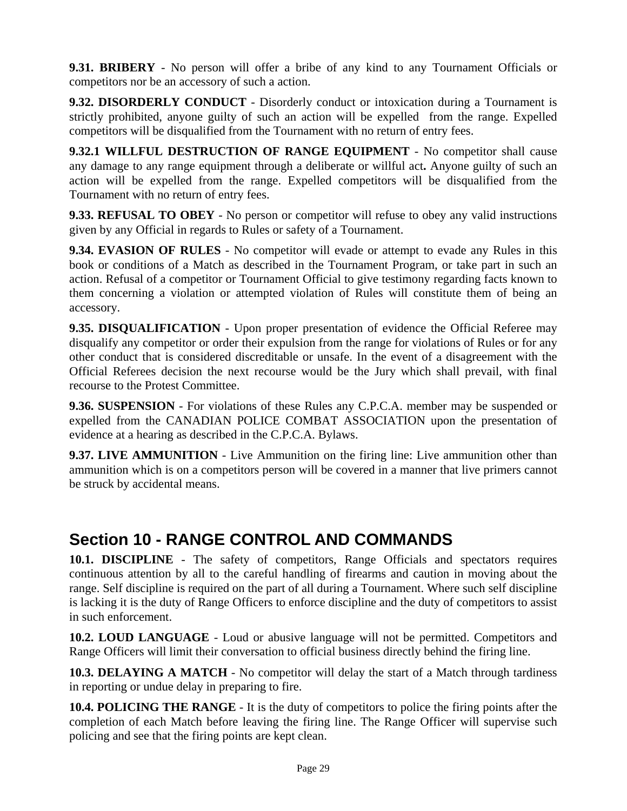**9.31. BRIBERY** - No person will offer a bribe of any kind to any Tournament Officials or competitors nor be an accessory of such a action.

**9.32. DISORDERLY CONDUCT** - Disorderly conduct or intoxication during a Tournament is strictly prohibited, anyone guilty of such an action will be expelled from the range. Expelled competitors will be disqualified from the Tournament with no return of entry fees.

**9.32.1 WILLFUL DESTRUCTION OF RANGE EQUIPMENT** - No competitor shall cause any damage to any range equipment through a deliberate or willful act**.** Anyone guilty of such an action will be expelled from the range. Expelled competitors will be disqualified from the Tournament with no return of entry fees.

**9.33. REFUSAL TO OBEY** - No person or competitor will refuse to obey any valid instructions given by any Official in regards to Rules or safety of a Tournament.

**9.34. EVASION OF RULES** - No competitor will evade or attempt to evade any Rules in this book or conditions of a Match as described in the Tournament Program, or take part in such an action. Refusal of a competitor or Tournament Official to give testimony regarding facts known to them concerning a violation or attempted violation of Rules will constitute them of being an accessory.

**9.35. DISQUALIFICATION** - Upon proper presentation of evidence the Official Referee may disqualify any competitor or order their expulsion from the range for violations of Rules or for any other conduct that is considered discreditable or unsafe. In the event of a disagreement with the Official Referees decision the next recourse would be the Jury which shall prevail, with final recourse to the Protest Committee.

**9.36. SUSPENSION** - For violations of these Rules any C.P.C.A. member may be suspended or expelled from the CANADIAN POLICE COMBAT ASSOCIATION upon the presentation of evidence at a hearing as described in the C.P.C.A. Bylaws.

**9.37. LIVE AMMUNITION** - Live Ammunition on the firing line: Live ammunition other than ammunition which is on a competitors person will be covered in a manner that live primers cannot be struck by accidental means.

## **Section 10 - RANGE CONTROL AND COMMANDS**

**10.1. DISCIPLINE** - The safety of competitors, Range Officials and spectators requires continuous attention by all to the careful handling of firearms and caution in moving about the range. Self discipline is required on the part of all during a Tournament. Where such self discipline is lacking it is the duty of Range Officers to enforce discipline and the duty of competitors to assist in such enforcement.

**10.2. LOUD LANGUAGE** - Loud or abusive language will not be permitted. Competitors and Range Officers will limit their conversation to official business directly behind the firing line.

**10.3. DELAYING A MATCH** - No competitor will delay the start of a Match through tardiness in reporting or undue delay in preparing to fire.

**10.4. POLICING THE RANGE** - It is the duty of competitors to police the firing points after the completion of each Match before leaving the firing line. The Range Officer will supervise such policing and see that the firing points are kept clean.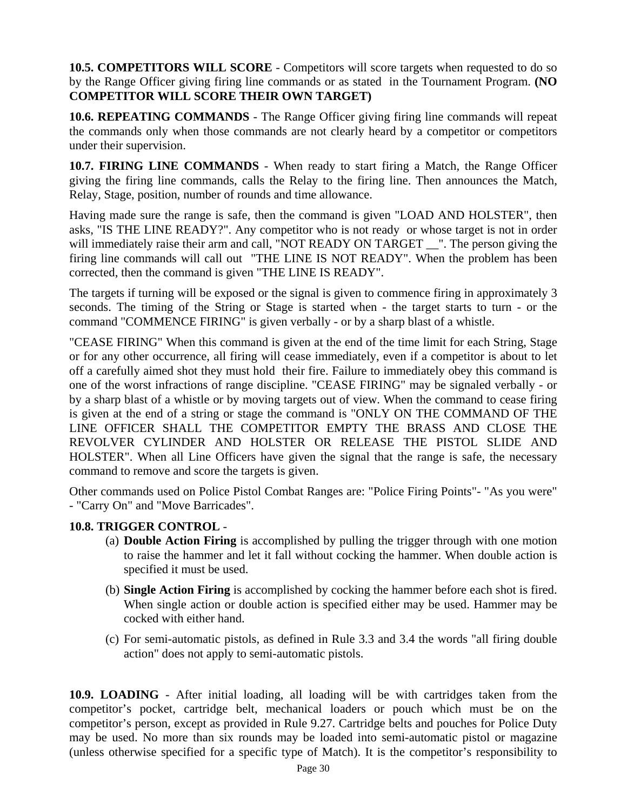**10.5. COMPETITORS WILL SCORE** - Competitors will score targets when requested to do so by the Range Officer giving firing line commands or as stated in the Tournament Program. **(NO COMPETITOR WILL SCORE THEIR OWN TARGET)**

**10.6. REPEATING COMMANDS** - The Range Officer giving firing line commands will repeat the commands only when those commands are not clearly heard by a competitor or competitors under their supervision.

**10.7. FIRING LINE COMMANDS** - When ready to start firing a Match, the Range Officer giving the firing line commands, calls the Relay to the firing line. Then announces the Match, Relay, Stage, position, number of rounds and time allowance.

Having made sure the range is safe, then the command is given "LOAD AND HOLSTER", then asks, "IS THE LINE READY?". Any competitor who is not ready or whose target is not in order will immediately raise their arm and call, "NOT READY ON TARGET \_\_". The person giving the firing line commands will call out "THE LINE IS NOT READY". When the problem has been corrected, then the command is given "THE LINE IS READY".

The targets if turning will be exposed or the signal is given to commence firing in approximately 3 seconds. The timing of the String or Stage is started when - the target starts to turn - or the command "COMMENCE FIRING" is given verbally - or by a sharp blast of a whistle.

"CEASE FIRING" When this command is given at the end of the time limit for each String, Stage or for any other occurrence, all firing will cease immediately, even if a competitor is about to let off a carefully aimed shot they must hold their fire. Failure to immediately obey this command is one of the worst infractions of range discipline. "CEASE FIRING" may be signaled verbally - or by a sharp blast of a whistle or by moving targets out of view. When the command to cease firing is given at the end of a string or stage the command is "ONLY ON THE COMMAND OF THE LINE OFFICER SHALL THE COMPETITOR EMPTY THE BRASS AND CLOSE THE REVOLVER CYLINDER AND HOLSTER OR RELEASE THE PISTOL SLIDE AND HOLSTER". When all Line Officers have given the signal that the range is safe, the necessary command to remove and score the targets is given.

Other commands used on Police Pistol Combat Ranges are: "Police Firing Points"- "As you were" - "Carry On" and "Move Barricades".

#### **10.8. TRIGGER CONTROL** -

- (a) **Double Action Firing** is accomplished by pulling the trigger through with one motion to raise the hammer and let it fall without cocking the hammer. When double action is specified it must be used.
- (b) **Single Action Firing** is accomplished by cocking the hammer before each shot is fired. When single action or double action is specified either may be used. Hammer may be cocked with either hand.
- (c) For semi-automatic pistols, as defined in Rule 3.3 and 3.4 the words "all firing double action" does not apply to semi-automatic pistols.

**10.9. LOADING** - After initial loading, all loading will be with cartridges taken from the competitor's pocket, cartridge belt, mechanical loaders or pouch which must be on the competitor's person, except as provided in Rule 9.27. Cartridge belts and pouches for Police Duty may be used. No more than six rounds may be loaded into semi-automatic pistol or magazine (unless otherwise specified for a specific type of Match). It is the competitor's responsibility to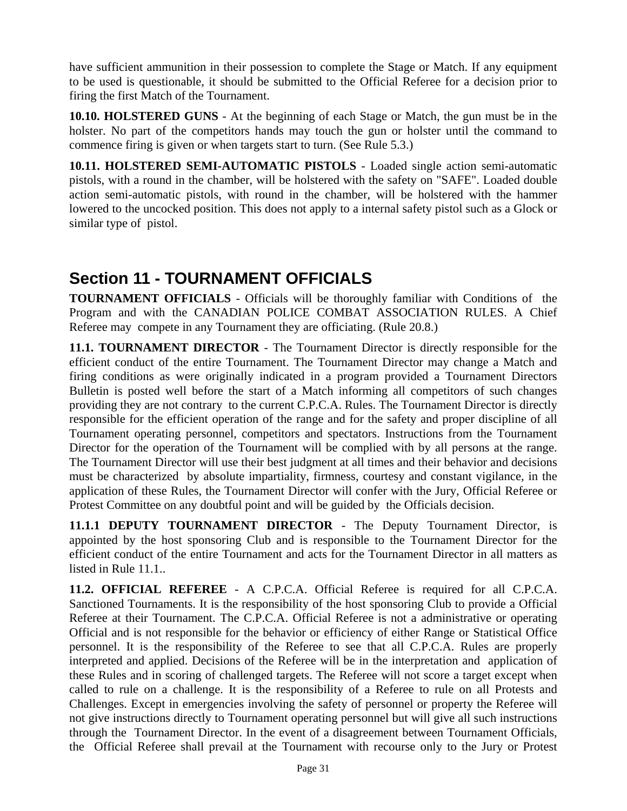have sufficient ammunition in their possession to complete the Stage or Match. If any equipment to be used is questionable, it should be submitted to the Official Referee for a decision prior to firing the first Match of the Tournament.

**10.10. HOLSTERED GUNS** - At the beginning of each Stage or Match, the gun must be in the holster. No part of the competitors hands may touch the gun or holster until the command to commence firing is given or when targets start to turn. (See Rule 5.3.)

**10.11. HOLSTERED SEMI-AUTOMATIC PISTOLS** - Loaded single action semi-automatic pistols, with a round in the chamber, will be holstered with the safety on "SAFE". Loaded double action semi-automatic pistols, with round in the chamber, will be holstered with the hammer lowered to the uncocked position. This does not apply to a internal safety pistol such as a Glock or similar type of pistol.

## **Section 11 - TOURNAMENT OFFICIALS**

**TOURNAMENT OFFICIALS** - Officials will be thoroughly familiar with Conditions of the Program and with the CANADIAN POLICE COMBAT ASSOCIATION RULES. A Chief Referee may compete in any Tournament they are officiating. (Rule 20.8.)

**11.1. TOURNAMENT DIRECTOR** - The Tournament Director is directly responsible for the efficient conduct of the entire Tournament. The Tournament Director may change a Match and firing conditions as were originally indicated in a program provided a Tournament Directors Bulletin is posted well before the start of a Match informing all competitors of such changes providing they are not contrary to the current C.P.C.A. Rules. The Tournament Director is directly responsible for the efficient operation of the range and for the safety and proper discipline of all Tournament operating personnel, competitors and spectators. Instructions from the Tournament Director for the operation of the Tournament will be complied with by all persons at the range. The Tournament Director will use their best judgment at all times and their behavior and decisions must be characterized by absolute impartiality, firmness, courtesy and constant vigilance, in the application of these Rules, the Tournament Director will confer with the Jury, Official Referee or Protest Committee on any doubtful point and will be guided by the Officials decision.

**11.1.1 DEPUTY TOURNAMENT DIRECTOR** - The Deputy Tournament Director, is appointed by the host sponsoring Club and is responsible to the Tournament Director for the efficient conduct of the entire Tournament and acts for the Tournament Director in all matters as listed in Rule 11.1..

**11.2. OFFICIAL REFEREE** - A C.P.C.A. Official Referee is required for all C.P.C.A. Sanctioned Tournaments. It is the responsibility of the host sponsoring Club to provide a Official Referee at their Tournament. The C.P.C.A. Official Referee is not a administrative or operating Official and is not responsible for the behavior or efficiency of either Range or Statistical Office personnel. It is the responsibility of the Referee to see that all C.P.C.A. Rules are properly interpreted and applied. Decisions of the Referee will be in the interpretation and application of these Rules and in scoring of challenged targets. The Referee will not score a target except when called to rule on a challenge. It is the responsibility of a Referee to rule on all Protests and Challenges. Except in emergencies involving the safety of personnel or property the Referee will not give instructions directly to Tournament operating personnel but will give all such instructions through the Tournament Director. In the event of a disagreement between Tournament Officials, the Official Referee shall prevail at the Tournament with recourse only to the Jury or Protest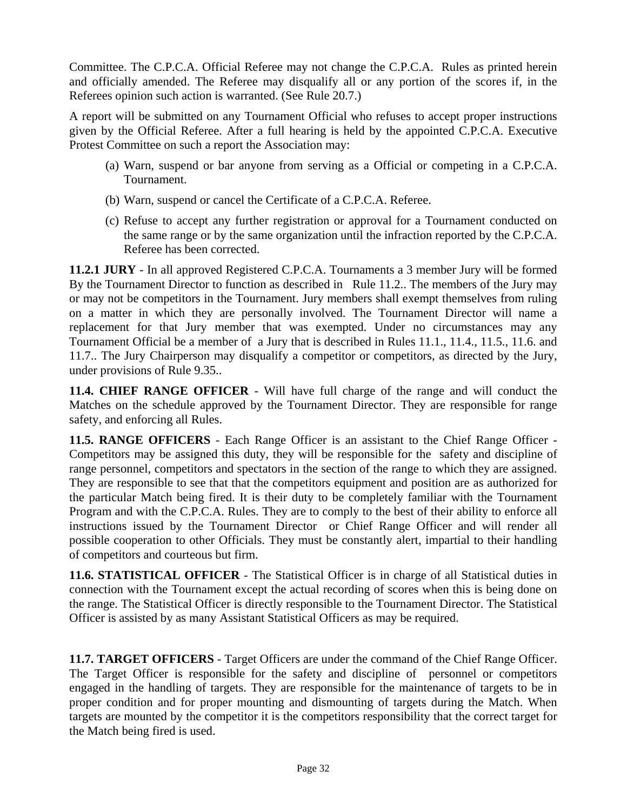Committee. The C.P.C.A. Official Referee may not change the C.P.C.A. Rules as printed herein and officially amended. The Referee may disqualify all or any portion of the scores if, in the Referees opinion such action is warranted. (See Rule 20.7.)

A report will be submitted on any Tournament Official who refuses to accept proper instructions given by the Official Referee. After a full hearing is held by the appointed C.P.C.A. Executive Protest Committee on such a report the Association may:

- (a) Warn, suspend or bar anyone from serving as a Official or competing in a C.P.C.A. Tournament.
- (b) Warn, suspend or cancel the Certificate of a C.P.C.A. Referee.
- (c) Refuse to accept any further registration or approval for a Tournament conducted on the same range or by the same organization until the infraction reported by the C.P.C.A. Referee has been corrected.

**11.2.1 JURY** - In all approved Registered C.P.C.A. Tournaments a 3 member Jury will be formed By the Tournament Director to function as described in Rule 11.2.. The members of the Jury may or may not be competitors in the Tournament. Jury members shall exempt themselves from ruling on a matter in which they are personally involved. The Tournament Director will name a replacement for that Jury member that was exempted. Under no circumstances may any Tournament Official be a member of a Jury that is described in Rules 11.1., 11.4., 11.5., 11.6. and 11.7.. The Jury Chairperson may disqualify a competitor or competitors, as directed by the Jury, under provisions of Rule 9.35..

**11.4. CHIEF RANGE OFFICER** - Will have full charge of the range and will conduct the Matches on the schedule approved by the Tournament Director. They are responsible for range safety, and enforcing all Rules.

**11.5. RANGE OFFICERS** - Each Range Officer is an assistant to the Chief Range Officer - Competitors may be assigned this duty, they will be responsible for the safety and discipline of range personnel, competitors and spectators in the section of the range to which they are assigned. They are responsible to see that that the competitors equipment and position are as authorized for the particular Match being fired. It is their duty to be completely familiar with the Tournament Program and with the C.P.C.A. Rules. They are to comply to the best of their ability to enforce all instructions issued by the Tournament Director or Chief Range Officer and will render all possible cooperation to other Officials. They must be constantly alert, impartial to their handling of competitors and courteous but firm.

**11.6. STATISTICAL OFFICER** - The Statistical Officer is in charge of all Statistical duties in connection with the Tournament except the actual recording of scores when this is being done on the range. The Statistical Officer is directly responsible to the Tournament Director. The Statistical Officer is assisted by as many Assistant Statistical Officers as may be required.

**11.7. TARGET OFFICERS** - Target Officers are under the command of the Chief Range Officer. The Target Officer is responsible for the safety and discipline of personnel or competitors engaged in the handling of targets. They are responsible for the maintenance of targets to be in proper condition and for proper mounting and dismounting of targets during the Match. When targets are mounted by the competitor it is the competitors responsibility that the correct target for the Match being fired is used.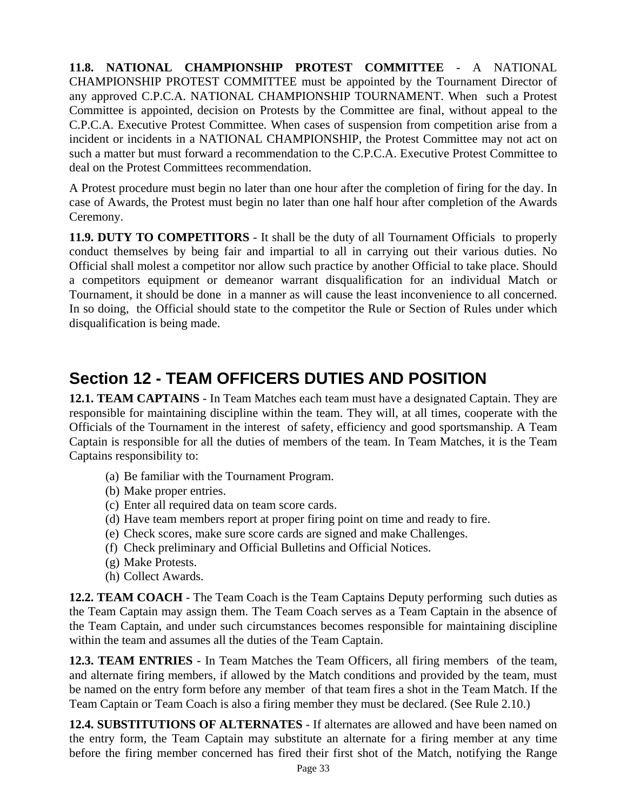**11.8. NATIONAL CHAMPIONSHIP PROTEST COMMITTEE** - A NATIONAL CHAMPIONSHIP PROTEST COMMITTEE must be appointed by the Tournament Director of any approved C.P.C.A. NATIONAL CHAMPIONSHIP TOURNAMENT. When such a Protest Committee is appointed, decision on Protests by the Committee are final, without appeal to the C.P.C.A. Executive Protest Committee. When cases of suspension from competition arise from a incident or incidents in a NATIONAL CHAMPIONSHIP, the Protest Committee may not act on such a matter but must forward a recommendation to the C.P.C.A. Executive Protest Committee to deal on the Protest Committees recommendation.

A Protest procedure must begin no later than one hour after the completion of firing for the day. In case of Awards, the Protest must begin no later than one half hour after completion of the Awards Ceremony.

**11.9. DUTY TO COMPETITORS** - It shall be the duty of all Tournament Officials to properly conduct themselves by being fair and impartial to all in carrying out their various duties. No Official shall molest a competitor nor allow such practice by another Official to take place. Should a competitors equipment or demeanor warrant disqualification for an individual Match or Tournament, it should be done in a manner as will cause the least inconvenience to all concerned. In so doing, the Official should state to the competitor the Rule or Section of Rules under which disqualification is being made.

## **Section 12 - TEAM OFFICERS DUTIES AND POSITION**

**12.1. TEAM CAPTAINS** - In Team Matches each team must have a designated Captain. They are responsible for maintaining discipline within the team. They will, at all times, cooperate with the Officials of the Tournament in the interest of safety, efficiency and good sportsmanship. A Team Captain is responsible for all the duties of members of the team. In Team Matches, it is the Team Captains responsibility to:

- (a) Be familiar with the Tournament Program.
- (b) Make proper entries.
- (c) Enter all required data on team score cards.
- (d) Have team members report at proper firing point on time and ready to fire.
- (e) Check scores, make sure score cards are signed and make Challenges.
- (f) Check preliminary and Official Bulletins and Official Notices.
- (g) Make Protests.
- (h) Collect Awards.

**12.2. TEAM COACH** - The Team Coach is the Team Captains Deputy performing such duties as the Team Captain may assign them. The Team Coach serves as a Team Captain in the absence of the Team Captain, and under such circumstances becomes responsible for maintaining discipline within the team and assumes all the duties of the Team Captain.

**12.3. TEAM ENTRIES** - In Team Matches the Team Officers, all firing members of the team, and alternate firing members, if allowed by the Match conditions and provided by the team, must be named on the entry form before any member of that team fires a shot in the Team Match. If the Team Captain or Team Coach is also a firing member they must be declared. (See Rule 2.10.)

**12.4. SUBSTITUTIONS OF ALTERNATES** - If alternates are allowed and have been named on the entry form, the Team Captain may substitute an alternate for a firing member at any time before the firing member concerned has fired their first shot of the Match, notifying the Range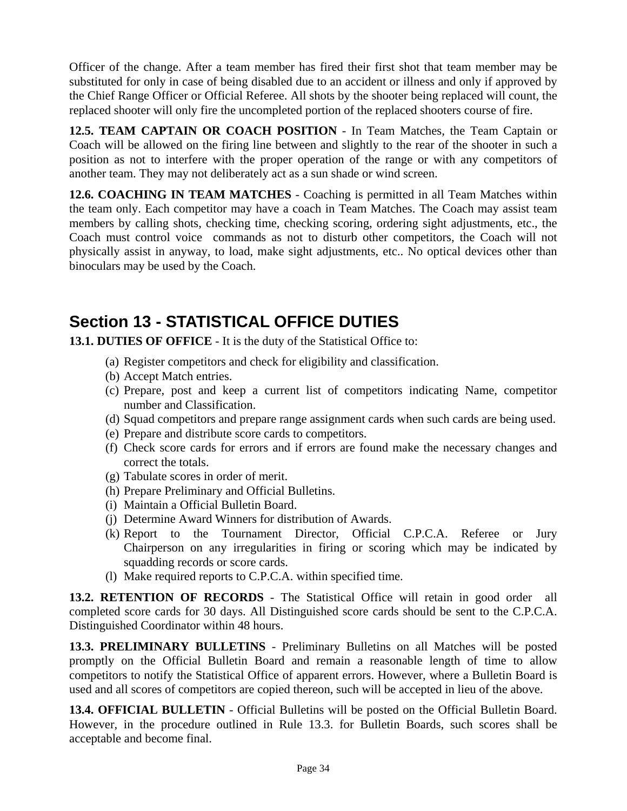Officer of the change. After a team member has fired their first shot that team member may be substituted for only in case of being disabled due to an accident or illness and only if approved by the Chief Range Officer or Official Referee. All shots by the shooter being replaced will count, the replaced shooter will only fire the uncompleted portion of the replaced shooters course of fire.

**12.5. TEAM CAPTAIN OR COACH POSITION** - In Team Matches, the Team Captain or Coach will be allowed on the firing line between and slightly to the rear of the shooter in such a position as not to interfere with the proper operation of the range or with any competitors of another team. They may not deliberately act as a sun shade or wind screen.

**12.6. COACHING IN TEAM MATCHES** - Coaching is permitted in all Team Matches within the team only. Each competitor may have a coach in Team Matches. The Coach may assist team members by calling shots, checking time, checking scoring, ordering sight adjustments, etc., the Coach must control voice commands as not to disturb other competitors, the Coach will not physically assist in anyway, to load, make sight adjustments, etc.. No optical devices other than binoculars may be used by the Coach.

## **Section 13 - STATISTICAL OFFICE DUTIES**

**13.1. DUTIES OF OFFICE** - It is the duty of the Statistical Office to:

- (a) Register competitors and check for eligibility and classification.
- (b) Accept Match entries.
- (c) Prepare, post and keep a current list of competitors indicating Name, competitor number and Classification.
- (d) Squad competitors and prepare range assignment cards when such cards are being used.
- (e) Prepare and distribute score cards to competitors.
- (f) Check score cards for errors and if errors are found make the necessary changes and correct the totals.
- (g) Tabulate scores in order of merit.
- (h) Prepare Preliminary and Official Bulletins.
- (i) Maintain a Official Bulletin Board.
- (j) Determine Award Winners for distribution of Awards.
- (k) Report to the Tournament Director, Official C.P.C.A. Referee or Jury Chairperson on any irregularities in firing or scoring which may be indicated by squadding records or score cards.
- (l) Make required reports to C.P.C.A. within specified time.

**13.2. RETENTION OF RECORDS** - The Statistical Office will retain in good order all completed score cards for 30 days. All Distinguished score cards should be sent to the C.P.C.A. Distinguished Coordinator within 48 hours.

**13.3. PRELIMINARY BULLETINS** - Preliminary Bulletins on all Matches will be posted promptly on the Official Bulletin Board and remain a reasonable length of time to allow competitors to notify the Statistical Office of apparent errors. However, where a Bulletin Board is used and all scores of competitors are copied thereon, such will be accepted in lieu of the above.

**13.4. OFFICIAL BULLETIN** - Official Bulletins will be posted on the Official Bulletin Board. However, in the procedure outlined in Rule 13.3. for Bulletin Boards, such scores shall be acceptable and become final.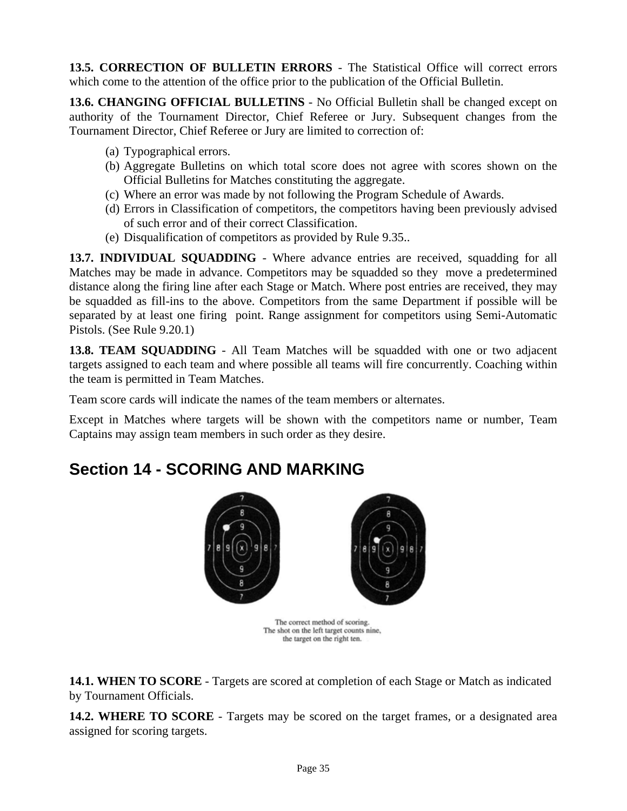**13.5. CORRECTION OF BULLETIN ERRORS** - The Statistical Office will correct errors which come to the attention of the office prior to the publication of the Official Bulletin.

**13.6. CHANGING OFFICIAL BULLETINS** - No Official Bulletin shall be changed except on authority of the Tournament Director, Chief Referee or Jury. Subsequent changes from the Tournament Director, Chief Referee or Jury are limited to correction of:

- (a) Typographical errors.
- (b) Aggregate Bulletins on which total score does not agree with scores shown on the Official Bulletins for Matches constituting the aggregate.
- (c) Where an error was made by not following the Program Schedule of Awards.
- (d) Errors in Classification of competitors, the competitors having been previously advised of such error and of their correct Classification.
- (e) Disqualification of competitors as provided by Rule 9.35..

**13.7. INDIVIDUAL SQUADDING** - Where advance entries are received, squadding for all Matches may be made in advance. Competitors may be squadded so they move a predetermined distance along the firing line after each Stage or Match. Where post entries are received, they may be squadded as fill-ins to the above. Competitors from the same Department if possible will be separated by at least one firing point. Range assignment for competitors using Semi-Automatic Pistols. (See Rule 9.20.1)

**13.8. TEAM SQUADDING** - All Team Matches will be squadded with one or two adjacent targets assigned to each team and where possible all teams will fire concurrently. Coaching within the team is permitted in Team Matches.

Team score cards will indicate the names of the team members or alternates.

Except in Matches where targets will be shown with the competitors name or number, Team Captains may assign team members in such order as they desire.

## **Section 14 - SCORING AND MARKING**



The correct method of scoring. The shot on the left target counts nine, the target on the right ten.

**14.1. WHEN TO SCORE** - Targets are scored at completion of each Stage or Match as indicated by Tournament Officials.

**14.2. WHERE TO SCORE** - Targets may be scored on the target frames, or a designated area assigned for scoring targets.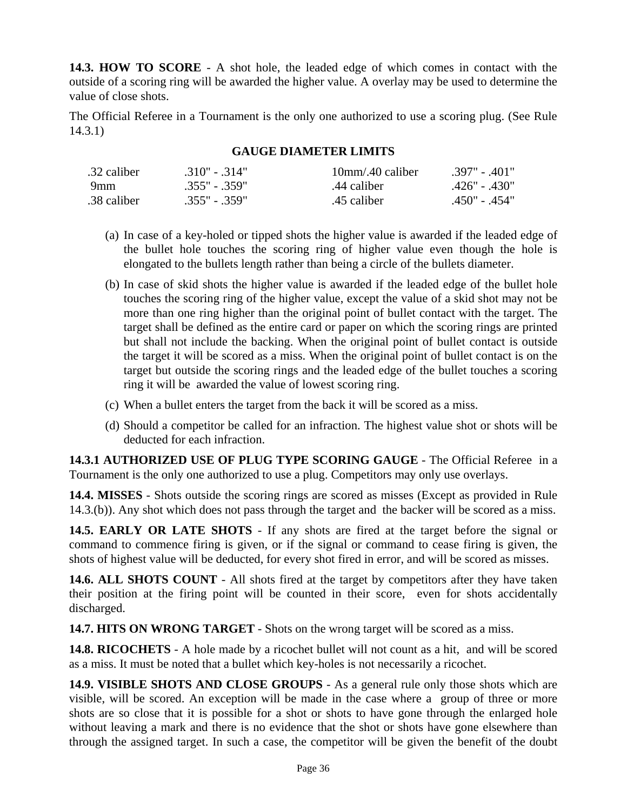**14.3. HOW TO SCORE** - A shot hole, the leaded edge of which comes in contact with the outside of a scoring ring will be awarded the higher value. A overlay may be used to determine the value of close shots.

The Official Referee in a Tournament is the only one authorized to use a scoring plug. (See Rule 14.3.1)

#### **GAUGE DIAMETER LIMITS**

| .32 caliber | $.310" - .314"$ | $10$ mm/.40 caliber | $.397" - .401"$ |
|-------------|-----------------|---------------------|-----------------|
| 9mm         | $.355" - .359"$ | .44 caliber         | .426" - .430"   |
| .38 caliber | $.355" - .359"$ | .45 caliber         | -450" - 454"    |

- (a) In case of a key-holed or tipped shots the higher value is awarded if the leaded edge of the bullet hole touches the scoring ring of higher value even though the hole is elongated to the bullets length rather than being a circle of the bullets diameter.
- (b) In case of skid shots the higher value is awarded if the leaded edge of the bullet hole touches the scoring ring of the higher value, except the value of a skid shot may not be more than one ring higher than the original point of bullet contact with the target. The target shall be defined as the entire card or paper on which the scoring rings are printed but shall not include the backing. When the original point of bullet contact is outside the target it will be scored as a miss. When the original point of bullet contact is on the target but outside the scoring rings and the leaded edge of the bullet touches a scoring ring it will be awarded the value of lowest scoring ring.
- (c) When a bullet enters the target from the back it will be scored as a miss.
- (d) Should a competitor be called for an infraction. The highest value shot or shots will be deducted for each infraction.

**14.3.1 AUTHORIZED USE OF PLUG TYPE SCORING GAUGE** - The Official Referee in a Tournament is the only one authorized to use a plug. Competitors may only use overlays.

**14.4. MISSES** - Shots outside the scoring rings are scored as misses (Except as provided in Rule 14.3.(b)). Any shot which does not pass through the target and the backer will be scored as a miss.

**14.5. EARLY OR LATE SHOTS** - If any shots are fired at the target before the signal or command to commence firing is given, or if the signal or command to cease firing is given, the shots of highest value will be deducted, for every shot fired in error, and will be scored as misses.

**14.6. ALL SHOTS COUNT** - All shots fired at the target by competitors after they have taken their position at the firing point will be counted in their score, even for shots accidentally discharged.

**14.7. HITS ON WRONG TARGET** - Shots on the wrong target will be scored as a miss.

**14.8. RICOCHETS** - A hole made by a ricochet bullet will not count as a hit, and will be scored as a miss. It must be noted that a bullet which key-holes is not necessarily a ricochet.

**14.9. VISIBLE SHOTS AND CLOSE GROUPS** - As a general rule only those shots which are visible, will be scored. An exception will be made in the case where a group of three or more shots are so close that it is possible for a shot or shots to have gone through the enlarged hole without leaving a mark and there is no evidence that the shot or shots have gone elsewhere than through the assigned target. In such a case, the competitor will be given the benefit of the doubt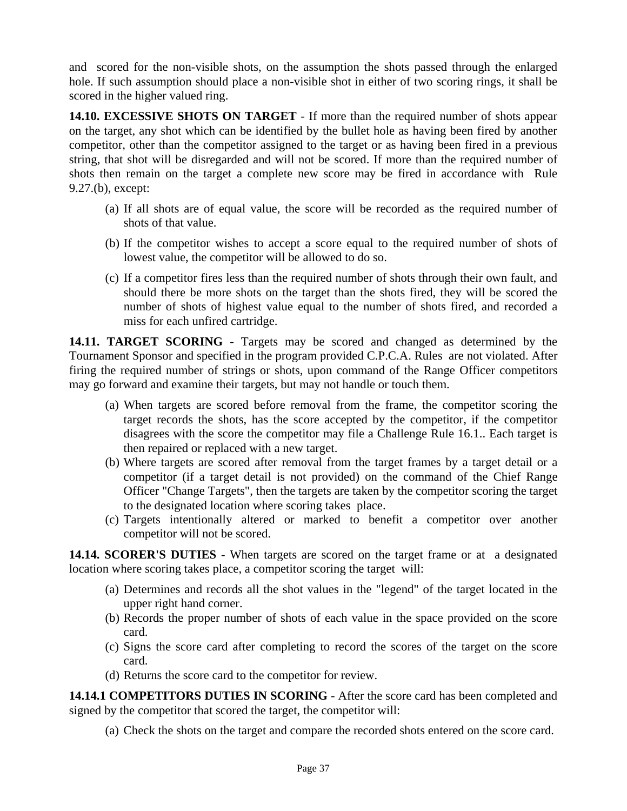and scored for the non-visible shots, on the assumption the shots passed through the enlarged hole. If such assumption should place a non-visible shot in either of two scoring rings, it shall be scored in the higher valued ring.

**14.10. EXCESSIVE SHOTS ON TARGET** - If more than the required number of shots appear on the target, any shot which can be identified by the bullet hole as having been fired by another competitor, other than the competitor assigned to the target or as having been fired in a previous string, that shot will be disregarded and will not be scored. If more than the required number of shots then remain on the target a complete new score may be fired in accordance with Rule 9.27.(b), except:

- (a) If all shots are of equal value, the score will be recorded as the required number of shots of that value.
- (b) If the competitor wishes to accept a score equal to the required number of shots of lowest value, the competitor will be allowed to do so.
- (c) If a competitor fires less than the required number of shots through their own fault, and should there be more shots on the target than the shots fired, they will be scored the number of shots of highest value equal to the number of shots fired, and recorded a miss for each unfired cartridge.

**14.11. TARGET SCORING** - Targets may be scored and changed as determined by the Tournament Sponsor and specified in the program provided C.P.C.A. Rules are not violated. After firing the required number of strings or shots, upon command of the Range Officer competitors may go forward and examine their targets, but may not handle or touch them.

- (a) When targets are scored before removal from the frame, the competitor scoring the target records the shots, has the score accepted by the competitor, if the competitor disagrees with the score the competitor may file a Challenge Rule 16.1.. Each target is then repaired or replaced with a new target.
- (b) Where targets are scored after removal from the target frames by a target detail or a competitor (if a target detail is not provided) on the command of the Chief Range Officer "Change Targets", then the targets are taken by the competitor scoring the target to the designated location where scoring takes place.
- (c) Targets intentionally altered or marked to benefit a competitor over another competitor will not be scored.

**14.14. SCORER'S DUTIES** - When targets are scored on the target frame or at a designated location where scoring takes place, a competitor scoring the target will:

- (a) Determines and records all the shot values in the "legend" of the target located in the upper right hand corner.
- (b) Records the proper number of shots of each value in the space provided on the score card.
- (c) Signs the score card after completing to record the scores of the target on the score card.
- (d) Returns the score card to the competitor for review.

**14.14.1 COMPETITORS DUTIES IN SCORING** - After the score card has been completed and signed by the competitor that scored the target, the competitor will:

(a) Check the shots on the target and compare the recorded shots entered on the score card.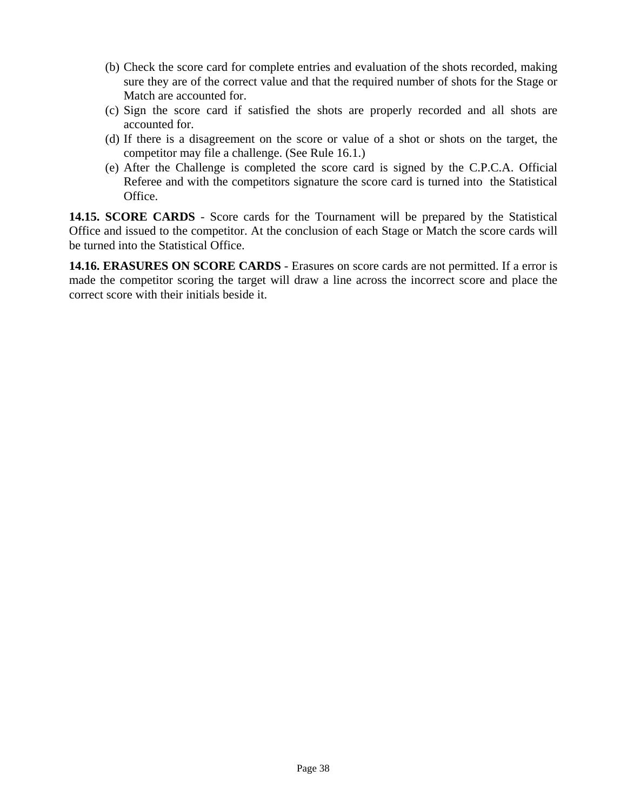- (b) Check the score card for complete entries and evaluation of the shots recorded, making sure they are of the correct value and that the required number of shots for the Stage or Match are accounted for.
- (c) Sign the score card if satisfied the shots are properly recorded and all shots are accounted for.
- (d) If there is a disagreement on the score or value of a shot or shots on the target, the competitor may file a challenge. (See Rule 16.1.)
- (e) After the Challenge is completed the score card is signed by the C.P.C.A. Official Referee and with the competitors signature the score card is turned into the Statistical Office.

**14.15. SCORE CARDS** - Score cards for the Tournament will be prepared by the Statistical Office and issued to the competitor. At the conclusion of each Stage or Match the score cards will be turned into the Statistical Office.

**14.16. ERASURES ON SCORE CARDS** - Erasures on score cards are not permitted. If a error is made the competitor scoring the target will draw a line across the incorrect score and place the correct score with their initials beside it.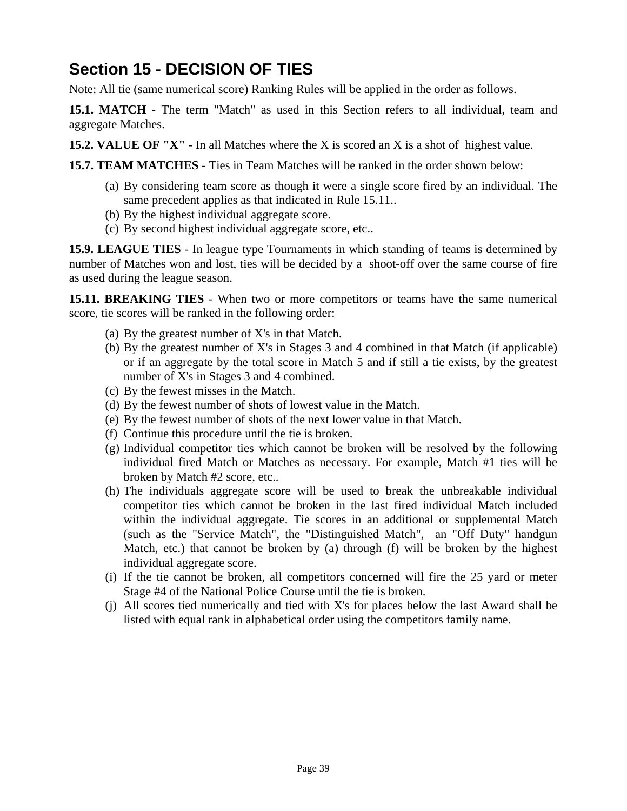## **Section 15 - DECISION OF TIES**

Note: All tie (same numerical score) Ranking Rules will be applied in the order as follows.

**15.1. MATCH** - The term "Match" as used in this Section refers to all individual, team and aggregate Matches.

**15.2. VALUE OF "X"** - In all Matches where the X is scored an X is a shot of highest value.

**15.7. TEAM MATCHES** - Ties in Team Matches will be ranked in the order shown below:

- (a) By considering team score as though it were a single score fired by an individual. The same precedent applies as that indicated in Rule 15.11..
- (b) By the highest individual aggregate score.
- (c) By second highest individual aggregate score, etc..

**15.9. LEAGUE TIES** - In league type Tournaments in which standing of teams is determined by number of Matches won and lost, ties will be decided by a shoot-off over the same course of fire as used during the league season.

**15.11. BREAKING TIES** - When two or more competitors or teams have the same numerical score, tie scores will be ranked in the following order:

- (a) By the greatest number of X's in that Match.
- (b) By the greatest number of X's in Stages 3 and 4 combined in that Match (if applicable) or if an aggregate by the total score in Match 5 and if still a tie exists, by the greatest number of X's in Stages 3 and 4 combined.
- (c) By the fewest misses in the Match.
- (d) By the fewest number of shots of lowest value in the Match.
- (e) By the fewest number of shots of the next lower value in that Match.
- (f) Continue this procedure until the tie is broken.
- (g) Individual competitor ties which cannot be broken will be resolved by the following individual fired Match or Matches as necessary. For example, Match #1 ties will be broken by Match #2 score, etc..
- (h) The individuals aggregate score will be used to break the unbreakable individual competitor ties which cannot be broken in the last fired individual Match included within the individual aggregate. Tie scores in an additional or supplemental Match (such as the "Service Match", the "Distinguished Match", an "Off Duty" handgun Match, etc.) that cannot be broken by (a) through (f) will be broken by the highest individual aggregate score.
- (i) If the tie cannot be broken, all competitors concerned will fire the 25 yard or meter Stage #4 of the National Police Course until the tie is broken.
- (j) All scores tied numerically and tied with X's for places below the last Award shall be listed with equal rank in alphabetical order using the competitors family name.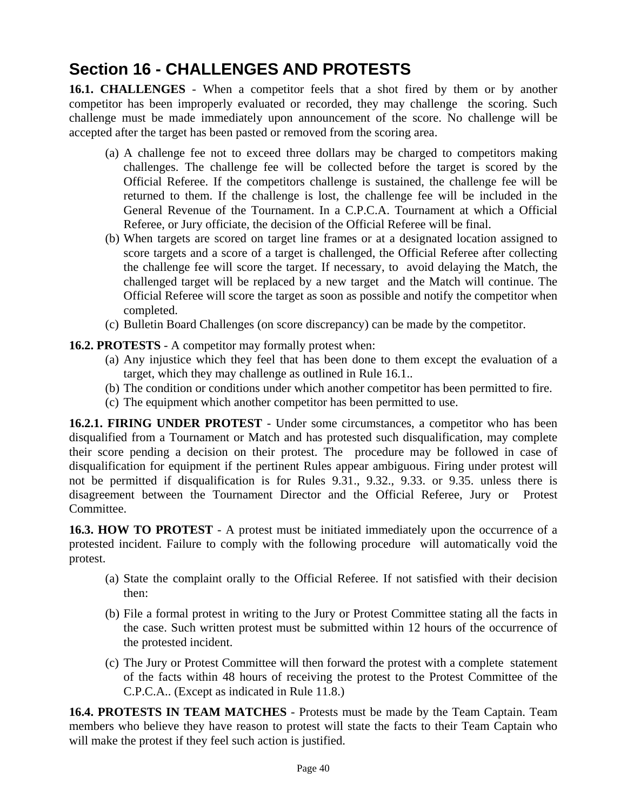# **Section 16 - CHALLENGES AND PROTESTS**

**16.1. CHALLENGES** - When a competitor feels that a shot fired by them or by another competitor has been improperly evaluated or recorded, they may challenge the scoring. Such challenge must be made immediately upon announcement of the score. No challenge will be accepted after the target has been pasted or removed from the scoring area.

- (a) A challenge fee not to exceed three dollars may be charged to competitors making challenges. The challenge fee will be collected before the target is scored by the Official Referee. If the competitors challenge is sustained, the challenge fee will be returned to them. If the challenge is lost, the challenge fee will be included in the General Revenue of the Tournament. In a C.P.C.A. Tournament at which a Official Referee, or Jury officiate, the decision of the Official Referee will be final.
- (b) When targets are scored on target line frames or at a designated location assigned to score targets and a score of a target is challenged, the Official Referee after collecting the challenge fee will score the target. If necessary, to avoid delaying the Match, the challenged target will be replaced by a new target and the Match will continue. The Official Referee will score the target as soon as possible and notify the competitor when completed.
- (c) Bulletin Board Challenges (on score discrepancy) can be made by the competitor.
- **16.2. PROTESTS** A competitor may formally protest when:
	- (a) Any injustice which they feel that has been done to them except the evaluation of a target, which they may challenge as outlined in Rule 16.1..
	- (b) The condition or conditions under which another competitor has been permitted to fire.
	- (c) The equipment which another competitor has been permitted to use.

**16.2.1. FIRING UNDER PROTEST** - Under some circumstances, a competitor who has been disqualified from a Tournament or Match and has protested such disqualification, may complete their score pending a decision on their protest. The procedure may be followed in case of disqualification for equipment if the pertinent Rules appear ambiguous. Firing under protest will not be permitted if disqualification is for Rules 9.31., 9.32., 9.33. or 9.35. unless there is disagreement between the Tournament Director and the Official Referee, Jury or Protest Committee.

**16.3. HOW TO PROTEST** - A protest must be initiated immediately upon the occurrence of a protested incident. Failure to comply with the following procedure will automatically void the protest.

- (a) State the complaint orally to the Official Referee. If not satisfied with their decision then:
- (b) File a formal protest in writing to the Jury or Protest Committee stating all the facts in the case. Such written protest must be submitted within 12 hours of the occurrence of the protested incident.
- (c) The Jury or Protest Committee will then forward the protest with a complete statement of the facts within 48 hours of receiving the protest to the Protest Committee of the C.P.C.A.. (Except as indicated in Rule 11.8.)

**16.4. PROTESTS IN TEAM MATCHES** - Protests must be made by the Team Captain. Team members who believe they have reason to protest will state the facts to their Team Captain who will make the protest if they feel such action is justified.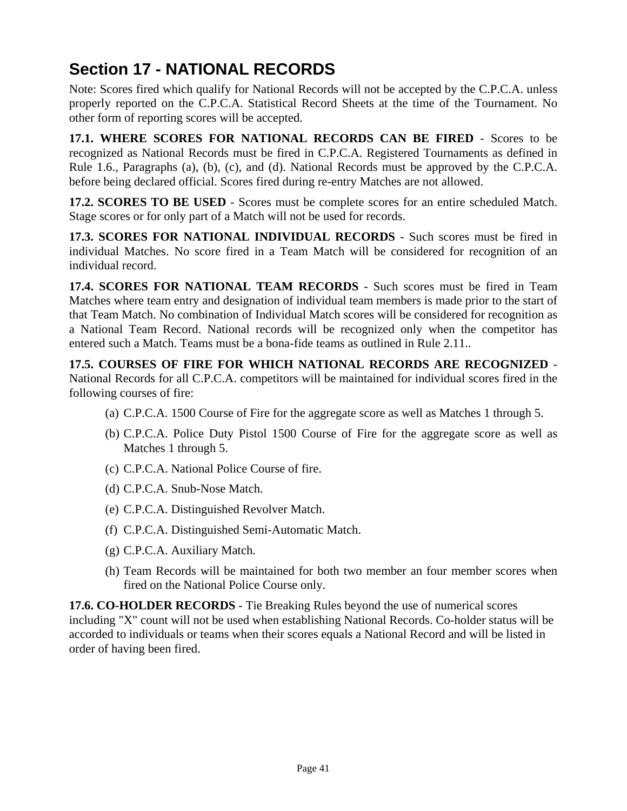## **Section 17 - NATIONAL RECORDS**

Note: Scores fired which qualify for National Records will not be accepted by the C.P.C.A. unless properly reported on the C.P.C.A. Statistical Record Sheets at the time of the Tournament. No other form of reporting scores will be accepted.

**17.1. WHERE SCORES FOR NATIONAL RECORDS CAN BE FIRED** - Scores to be recognized as National Records must be fired in C.P.C.A. Registered Tournaments as defined in Rule 1.6., Paragraphs (a), (b), (c), and (d). National Records must be approved by the C.P.C.A. before being declared official. Scores fired during re-entry Matches are not allowed.

**17.2. SCORES TO BE USED** - Scores must be complete scores for an entire scheduled Match. Stage scores or for only part of a Match will not be used for records.

**17.3. SCORES FOR NATIONAL INDIVIDUAL RECORDS** - Such scores must be fired in individual Matches. No score fired in a Team Match will be considered for recognition of an individual record.

**17.4. SCORES FOR NATIONAL TEAM RECORDS** - Such scores must be fired in Team Matches where team entry and designation of individual team members is made prior to the start of that Team Match. No combination of Individual Match scores will be considered for recognition as a National Team Record. National records will be recognized only when the competitor has entered such a Match. Teams must be a bona-fide teams as outlined in Rule 2.11..

**17.5. COURSES OF FIRE FOR WHICH NATIONAL RECORDS ARE RECOGNIZED** - National Records for all C.P.C.A. competitors will be maintained for individual scores fired in the following courses of fire:

- (a) C.P.C.A. 1500 Course of Fire for the aggregate score as well as Matches 1 through 5.
- (b) C.P.C.A. Police Duty Pistol 1500 Course of Fire for the aggregate score as well as Matches 1 through 5.
- (c) C.P.C.A. National Police Course of fire.
- (d) C.P.C.A. Snub-Nose Match.
- (e) C.P.C.A. Distinguished Revolver Match.
- (f) C.P.C.A. Distinguished Semi-Automatic Match.
- (g) C.P.C.A. Auxiliary Match.
- (h) Team Records will be maintained for both two member an four member scores when fired on the National Police Course only.

**17.6. CO-HOLDER RECORDS** - Tie Breaking Rules beyond the use of numerical scores including "X" count will not be used when establishing National Records. Co-holder status will be accorded to individuals or teams when their scores equals a National Record and will be listed in order of having been fired.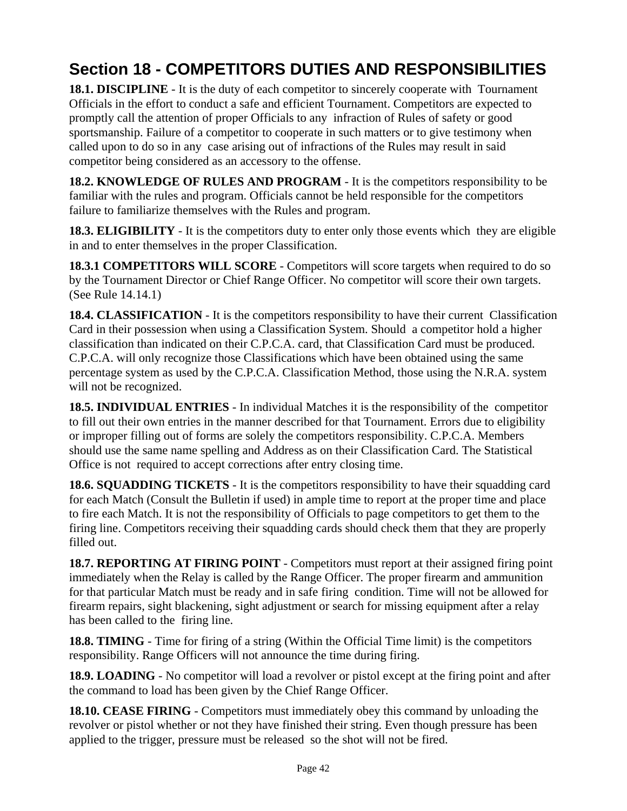# **Section 18 - COMPETITORS DUTIES AND RESPONSIBILITIES**

**18.1. DISCIPLINE** - It is the duty of each competitor to sincerely cooperate with Tournament Officials in the effort to conduct a safe and efficient Tournament. Competitors are expected to promptly call the attention of proper Officials to any infraction of Rules of safety or good sportsmanship. Failure of a competitor to cooperate in such matters or to give testimony when called upon to do so in any case arising out of infractions of the Rules may result in said competitor being considered as an accessory to the offense.

**18.2. KNOWLEDGE OF RULES AND PROGRAM** - It is the competitors responsibility to be familiar with the rules and program. Officials cannot be held responsible for the competitors failure to familiarize themselves with the Rules and program.

**18.3. ELIGIBILITY** - It is the competitors duty to enter only those events which they are eligible in and to enter themselves in the proper Classification.

**18.3.1 COMPETITORS WILL SCORE** - Competitors will score targets when required to do so by the Tournament Director or Chief Range Officer. No competitor will score their own targets. (See Rule 14.14.1)

**18.4. CLASSIFICATION** - It is the competitors responsibility to have their current Classification Card in their possession when using a Classification System. Should a competitor hold a higher classification than indicated on their C.P.C.A. card, that Classification Card must be produced. C.P.C.A. will only recognize those Classifications which have been obtained using the same percentage system as used by the C.P.C.A. Classification Method, those using the N.R.A. system will not be recognized.

**18.5. INDIVIDUAL ENTRIES** - In individual Matches it is the responsibility of the competitor to fill out their own entries in the manner described for that Tournament. Errors due to eligibility or improper filling out of forms are solely the competitors responsibility. C.P.C.A. Members should use the same name spelling and Address as on their Classification Card. The Statistical Office is not required to accept corrections after entry closing time.

**18.6. SQUADDING TICKETS** - It is the competitors responsibility to have their squadding card for each Match (Consult the Bulletin if used) in ample time to report at the proper time and place to fire each Match. It is not the responsibility of Officials to page competitors to get them to the firing line. Competitors receiving their squadding cards should check them that they are properly filled out.

**18.7. REPORTING AT FIRING POINT** - Competitors must report at their assigned firing point immediately when the Relay is called by the Range Officer. The proper firearm and ammunition for that particular Match must be ready and in safe firing condition. Time will not be allowed for firearm repairs, sight blackening, sight adjustment or search for missing equipment after a relay has been called to the firing line.

**18.8. TIMING** - Time for firing of a string (Within the Official Time limit) is the competitors responsibility. Range Officers will not announce the time during firing.

**18.9. LOADING** - No competitor will load a revolver or pistol except at the firing point and after the command to load has been given by the Chief Range Officer.

**18.10. CEASE FIRING** - Competitors must immediately obey this command by unloading the revolver or pistol whether or not they have finished their string. Even though pressure has been applied to the trigger, pressure must be released so the shot will not be fired.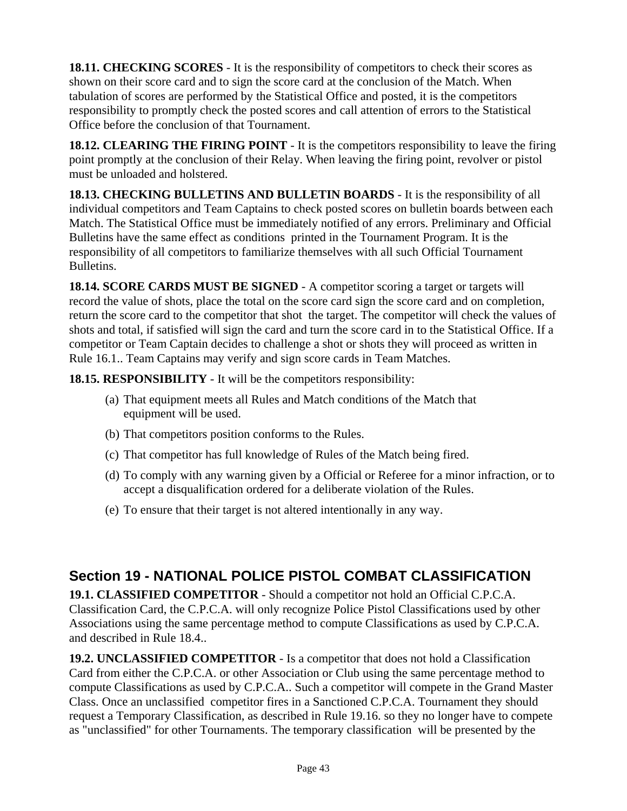**18.11. CHECKING SCORES** - It is the responsibility of competitors to check their scores as shown on their score card and to sign the score card at the conclusion of the Match. When tabulation of scores are performed by the Statistical Office and posted, it is the competitors responsibility to promptly check the posted scores and call attention of errors to the Statistical Office before the conclusion of that Tournament.

**18.12. CLEARING THE FIRING POINT** - It is the competitors responsibility to leave the firing point promptly at the conclusion of their Relay. When leaving the firing point, revolver or pistol must be unloaded and holstered.

**18.13. CHECKING BULLETINS AND BULLETIN BOARDS** - It is the responsibility of all individual competitors and Team Captains to check posted scores on bulletin boards between each Match. The Statistical Office must be immediately notified of any errors. Preliminary and Official Bulletins have the same effect as conditions printed in the Tournament Program. It is the responsibility of all competitors to familiarize themselves with all such Official Tournament Bulletins.

**18.14. SCORE CARDS MUST BE SIGNED** - A competitor scoring a target or targets will record the value of shots, place the total on the score card sign the score card and on completion, return the score card to the competitor that shot the target. The competitor will check the values of shots and total, if satisfied will sign the card and turn the score card in to the Statistical Office. If a competitor or Team Captain decides to challenge a shot or shots they will proceed as written in Rule 16.1.. Team Captains may verify and sign score cards in Team Matches.

**18.15. RESPONSIBILITY** - It will be the competitors responsibility:

- (a) That equipment meets all Rules and Match conditions of the Match that equipment will be used.
- (b) That competitors position conforms to the Rules.
- (c) That competitor has full knowledge of Rules of the Match being fired.
- (d) To comply with any warning given by a Official or Referee for a minor infraction, or to accept a disqualification ordered for a deliberate violation of the Rules.
- (e) To ensure that their target is not altered intentionally in any way.

## **Section 19 - NATIONAL POLICE PISTOL COMBAT CLASSIFICATION**

**19.1. CLASSIFIED COMPETITOR** - Should a competitor not hold an Official C.P.C.A. Classification Card, the C.P.C.A. will only recognize Police Pistol Classifications used by other Associations using the same percentage method to compute Classifications as used by C.P.C.A. and described in Rule 18.4..

**19.2. UNCLASSIFIED COMPETITOR** - Is a competitor that does not hold a Classification Card from either the C.P.C.A. or other Association or Club using the same percentage method to compute Classifications as used by C.P.C.A.. Such a competitor will compete in the Grand Master Class. Once an unclassified competitor fires in a Sanctioned C.P.C.A. Tournament they should request a Temporary Classification, as described in Rule 19.16. so they no longer have to compete as "unclassified" for other Tournaments. The temporary classification will be presented by the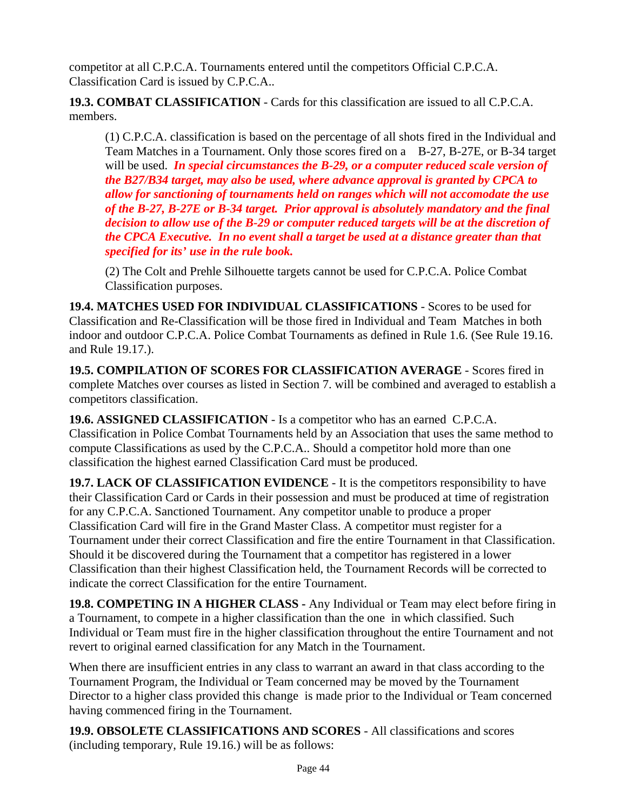competitor at all C.P.C.A. Tournaments entered until the competitors Official C.P.C.A. Classification Card is issued by C.P.C.A..

**19.3. COMBAT CLASSIFICATION** - Cards for this classification are issued to all C.P.C.A. members.

(1) C.P.C.A. classification is based on the percentage of all shots fired in the Individual and Team Matches in a Tournament. Only those scores fired on a B-27, B-27E, or B-34 target will be used. *In special circumstances the B-29, or a computer reduced scale version of the B27/B34 target, may also be used, where advance approval is granted by CPCA to allow for sanctioning of tournaments held on ranges which will not accomodate the use of the B-27, B-27E or B-34 target. Prior approval is absolutely mandatory and the final decision to allow use of the B-29 or computer reduced targets will be at the discretion of the CPCA Executive. In no event shall a target be used at a distance greater than that specified for its' use in the rule book.*

(2) The Colt and Prehle Silhouette targets cannot be used for C.P.C.A. Police Combat Classification purposes.

**19.4. MATCHES USED FOR INDIVIDUAL CLASSIFICATIONS** - Scores to be used for Classification and Re-Classification will be those fired in Individual and Team Matches in both indoor and outdoor C.P.C.A. Police Combat Tournaments as defined in Rule 1.6. (See Rule 19.16. and Rule 19.17.).

**19.5. COMPILATION OF SCORES FOR CLASSIFICATION AVERAGE** - Scores fired in complete Matches over courses as listed in Section 7. will be combined and averaged to establish a competitors classification.

**19.6. ASSIGNED CLASSIFICATION** - Is a competitor who has an earned C.P.C.A. Classification in Police Combat Tournaments held by an Association that uses the same method to compute Classifications as used by the C.P.C.A.. Should a competitor hold more than one classification the highest earned Classification Card must be produced.

**19.7. LACK OF CLASSIFICATION EVIDENCE** - It is the competitors responsibility to have their Classification Card or Cards in their possession and must be produced at time of registration for any C.P.C.A. Sanctioned Tournament. Any competitor unable to produce a proper Classification Card will fire in the Grand Master Class. A competitor must register for a Tournament under their correct Classification and fire the entire Tournament in that Classification. Should it be discovered during the Tournament that a competitor has registered in a lower Classification than their highest Classification held, the Tournament Records will be corrected to indicate the correct Classification for the entire Tournament.

**19.8. COMPETING IN A HIGHER CLASS -** Any Individual or Team may elect before firing in a Tournament, to compete in a higher classification than the one in which classified. Such Individual or Team must fire in the higher classification throughout the entire Tournament and not revert to original earned classification for any Match in the Tournament.

When there are insufficient entries in any class to warrant an award in that class according to the Tournament Program, the Individual or Team concerned may be moved by the Tournament Director to a higher class provided this change is made prior to the Individual or Team concerned having commenced firing in the Tournament.

**19.9. OBSOLETE CLASSIFICATIONS AND SCORES** - All classifications and scores (including temporary, Rule 19.16.) will be as follows: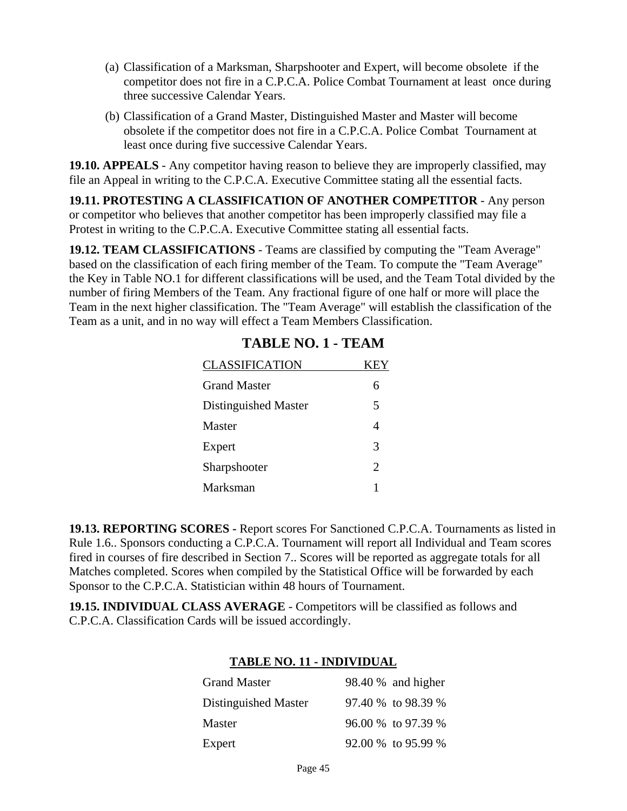- (a) Classification of a Marksman, Sharpshooter and Expert, will become obsolete if the competitor does not fire in a C.P.C.A. Police Combat Tournament at least once during three successive Calendar Years.
- (b) Classification of a Grand Master, Distinguished Master and Master will become obsolete if the competitor does not fire in a C.P.C.A. Police Combat Tournament at least once during five successive Calendar Years.

**19.10. APPEALS** - Any competitor having reason to believe they are improperly classified, may file an Appeal in writing to the C.P.C.A. Executive Committee stating all the essential facts.

**19.11. PROTESTING A CLASSIFICATION OF ANOTHER COMPETITOR** - Any person or competitor who believes that another competitor has been improperly classified may file a Protest in writing to the C.P.C.A. Executive Committee stating all essential facts.

**19.12. TEAM CLASSIFICATIONS** - Teams are classified by computing the "Team Average" based on the classification of each firing member of the Team. To compute the "Team Average" the Key in Table NO.1 for different classifications will be used, and the Team Total divided by the number of firing Members of the Team. Any fractional figure of one half or more will place the Team in the next higher classification. The "Team Average" will establish the classification of the Team as a unit, and in no way will effect a Team Members Classification.

| <b>CLASSIFICATION</b> | KEY            |
|-----------------------|----------------|
| <b>Grand Master</b>   | 6              |
| Distinguished Master  | 5              |
| Master                | $\overline{4}$ |
| Expert                | 3              |
| Sharpshooter          | $\mathfrak{D}$ |
| Marksman              |                |

### **TABLE NO. 1 - TEAM**

**19.13. REPORTING SCORES -** Report scores For Sanctioned C.P.C.A. Tournaments as listed in Rule 1.6.. Sponsors conducting a C.P.C.A. Tournament will report all Individual and Team scores fired in courses of fire described in Section 7.. Scores will be reported as aggregate totals for all Matches completed. Scores when compiled by the Statistical Office will be forwarded by each Sponsor to the C.P.C.A. Statistician within 48 hours of Tournament.

**19.15. INDIVIDUAL CLASS AVERAGE** - Competitors will be classified as follows and C.P.C.A. Classification Cards will be issued accordingly.

### **TABLE NO. 11 - INDIVIDUAL**

| <b>Grand Master</b>  | 98.40 % and higher |
|----------------------|--------------------|
| Distinguished Master | 97.40 % to 98.39 % |
| Master               | 96.00 % to 97.39 % |
| Expert               | 92.00 % to 95.99 % |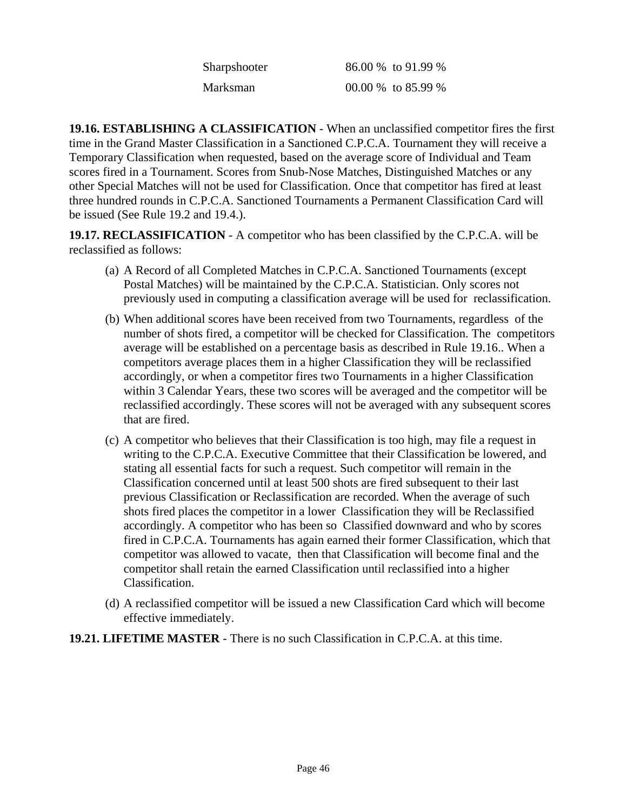| Sharpshooter | 86.00 % to 91.99 % |
|--------------|--------------------|
| Marksman     | 00.00 % to 85.99 % |

**19.16. ESTABLISHING A CLASSIFICATION** - When an unclassified competitor fires the first time in the Grand Master Classification in a Sanctioned C.P.C.A. Tournament they will receive a Temporary Classification when requested, based on the average score of Individual and Team scores fired in a Tournament. Scores from Snub-Nose Matches, Distinguished Matches or any other Special Matches will not be used for Classification. Once that competitor has fired at least three hundred rounds in C.P.C.A. Sanctioned Tournaments a Permanent Classification Card will be issued (See Rule 19.2 and 19.4.).

**19.17. RECLASSIFICATION** - A competitor who has been classified by the C.P.C.A. will be reclassified as follows:

- (a) A Record of all Completed Matches in C.P.C.A. Sanctioned Tournaments (except Postal Matches) will be maintained by the C.P.C.A. Statistician. Only scores not previously used in computing a classification average will be used for reclassification.
- (b) When additional scores have been received from two Tournaments, regardless of the number of shots fired, a competitor will be checked for Classification. The competitors average will be established on a percentage basis as described in Rule 19.16.. When a competitors average places them in a higher Classification they will be reclassified accordingly, or when a competitor fires two Tournaments in a higher Classification within 3 Calendar Years, these two scores will be averaged and the competitor will be reclassified accordingly. These scores will not be averaged with any subsequent scores that are fired.
- (c) A competitor who believes that their Classification is too high, may file a request in writing to the C.P.C.A. Executive Committee that their Classification be lowered, and stating all essential facts for such a request. Such competitor will remain in the Classification concerned until at least 500 shots are fired subsequent to their last previous Classification or Reclassification are recorded. When the average of such shots fired places the competitor in a lower Classification they will be Reclassified accordingly. A competitor who has been so Classified downward and who by scores fired in C.P.C.A. Tournaments has again earned their former Classification, which that competitor was allowed to vacate, then that Classification will become final and the competitor shall retain the earned Classification until reclassified into a higher Classification.
- (d) A reclassified competitor will be issued a new Classification Card which will become effective immediately.
- **19.21. LIFETIME MASTER** There is no such Classification in C.P.C.A. at this time.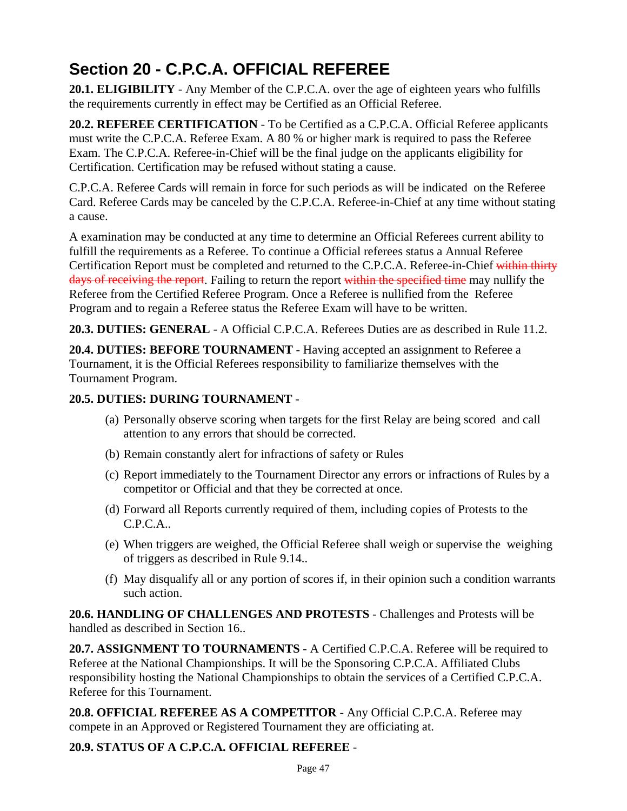# **Section 20 - C.P.C.A. OFFICIAL REFEREE**

**20.1. ELIGIBILITY** - Any Member of the C.P.C.A. over the age of eighteen years who fulfills the requirements currently in effect may be Certified as an Official Referee.

**20.2. REFEREE CERTIFICATION** - To be Certified as a C.P.C.A. Official Referee applicants must write the C.P.C.A. Referee Exam. A 80 % or higher mark is required to pass the Referee Exam. The C.P.C.A. Referee-in-Chief will be the final judge on the applicants eligibility for Certification. Certification may be refused without stating a cause.

C.P.C.A. Referee Cards will remain in force for such periods as will be indicated on the Referee Card. Referee Cards may be canceled by the C.P.C.A. Referee-in-Chief at any time without stating a cause.

A examination may be conducted at any time to determine an Official Referees current ability to fulfill the requirements as a Referee. To continue a Official referees status a Annual Referee Certification Report must be completed and returned to the C.P.C.A. Referee-in-Chief within thirty days of receiving the report. Failing to return the report within the specified time may nullify the Referee from the Certified Referee Program. Once a Referee is nullified from the Referee Program and to regain a Referee status the Referee Exam will have to be written.

**20.3. DUTIES: GENERAL** - A Official C.P.C.A. Referees Duties are as described in Rule 11.2.

**20.4. DUTIES: BEFORE TOURNAMENT** - Having accepted an assignment to Referee a Tournament, it is the Official Referees responsibility to familiarize themselves with the Tournament Program.

### **20.5. DUTIES: DURING TOURNAMENT** -

- (a) Personally observe scoring when targets for the first Relay are being scored and call attention to any errors that should be corrected.
- (b) Remain constantly alert for infractions of safety or Rules
- (c) Report immediately to the Tournament Director any errors or infractions of Rules by a competitor or Official and that they be corrected at once.
- (d) Forward all Reports currently required of them, including copies of Protests to the C.P.C.A..
- (e) When triggers are weighed, the Official Referee shall weigh or supervise the weighing of triggers as described in Rule 9.14..
- (f) May disqualify all or any portion of scores if, in their opinion such a condition warrants such action.

**20.6. HANDLING OF CHALLENGES AND PROTESTS** - Challenges and Protests will be handled as described in Section 16..

**20.7. ASSIGNMENT TO TOURNAMENTS** - A Certified C.P.C.A. Referee will be required to Referee at the National Championships. It will be the Sponsoring C.P.C.A. Affiliated Clubs responsibility hosting the National Championships to obtain the services of a Certified C.P.C.A. Referee for this Tournament.

**20.8. OFFICIAL REFEREE AS A COMPETITOR** - Any Official C.P.C.A. Referee may compete in an Approved or Registered Tournament they are officiating at.

### **20.9. STATUS OF A C.P.C.A. OFFICIAL REFEREE** -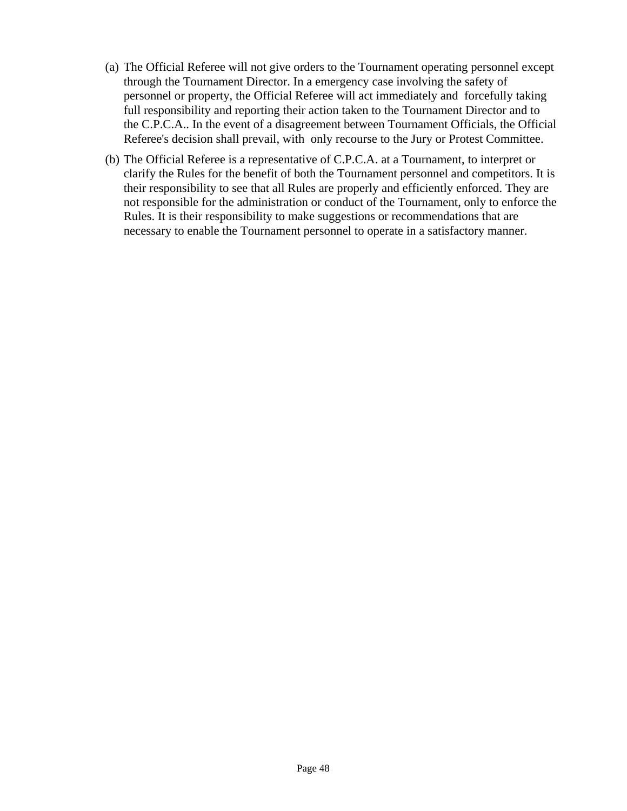- (a) The Official Referee will not give orders to the Tournament operating personnel except through the Tournament Director. In a emergency case involving the safety of personnel or property, the Official Referee will act immediately and forcefully taking full responsibility and reporting their action taken to the Tournament Director and to the C.P.C.A.. In the event of a disagreement between Tournament Officials, the Official Referee's decision shall prevail, with only recourse to the Jury or Protest Committee.
- (b) The Official Referee is a representative of C.P.C.A. at a Tournament, to interpret or clarify the Rules for the benefit of both the Tournament personnel and competitors. It is their responsibility to see that all Rules are properly and efficiently enforced. They are not responsible for the administration or conduct of the Tournament, only to enforce the Rules. It is their responsibility to make suggestions or recommendations that are necessary to enable the Tournament personnel to operate in a satisfactory manner.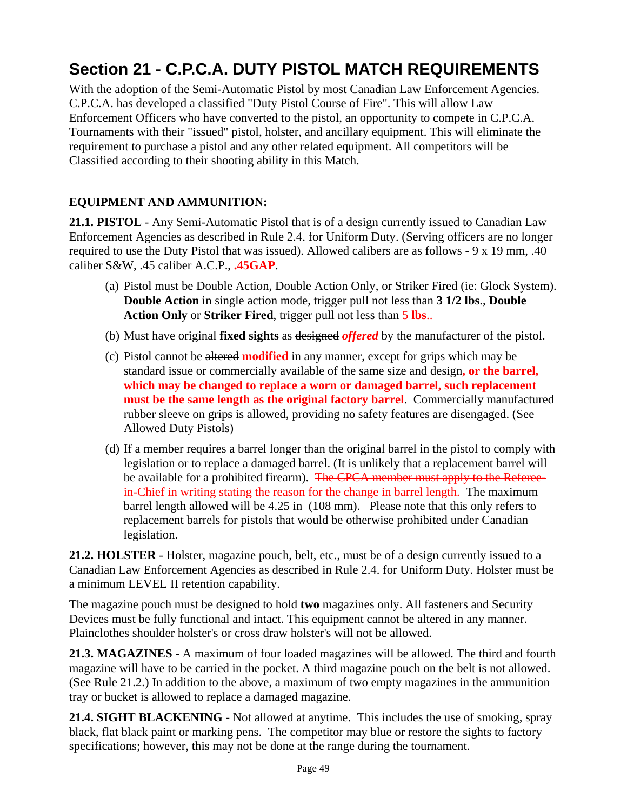# **Section 21 - C.P.C.A. DUTY PISTOL MATCH REQUIREMENTS**

With the adoption of the Semi-Automatic Pistol by most Canadian Law Enforcement Agencies. C.P.C.A. has developed a classified "Duty Pistol Course of Fire". This will allow Law Enforcement Officers who have converted to the pistol, an opportunity to compete in C.P.C.A. Tournaments with their "issued" pistol, holster, and ancillary equipment. This will eliminate the requirement to purchase a pistol and any other related equipment. All competitors will be Classified according to their shooting ability in this Match.

### **EQUIPMENT AND AMMUNITION:**

**21.1. PISTOL** - Any Semi-Automatic Pistol that is of a design currently issued to Canadian Law Enforcement Agencies as described in Rule 2.4. for Uniform Duty. (Serving officers are no longer required to use the Duty Pistol that was issued). Allowed calibers are as follows - 9 x 19 mm, .40 caliber S&W, .45 caliber A.C.P., **.45GAP**.

- (a) Pistol must be Double Action, Double Action Only, or Striker Fired (ie: Glock System). **Double Action** in single action mode, trigger pull not less than **3 1/2 lbs**., **Double Action Only** or **Striker Fired**, trigger pull not less than 5 **lbs**..
- (b) Must have original **fixed sights** as designed *offered* by the manufacturer of the pistol.
- (c) Pistol cannot be altered **modified** in any manner, except for grips which may be standard issue or commercially available of the same size and design**, or the barrel, which may be changed to replace a worn or damaged barrel, such replacement must be the same length as the original factory barrel**. Commercially manufactured rubber sleeve on grips is allowed, providing no safety features are disengaged. (See Allowed Duty Pistols)
- (d) If a member requires a barrel longer than the original barrel in the pistol to comply with legislation or to replace a damaged barrel. (It is unlikely that a replacement barrel will be available for a prohibited firearm). The CPCA member must apply to the Refereein-Chief in writing stating the reason for the change in barrel length. The maximum barrel length allowed will be 4.25 in (108 mm). Please note that this only refers to replacement barrels for pistols that would be otherwise prohibited under Canadian legislation.

**21.2. HOLSTER** - Holster, magazine pouch, belt, etc., must be of a design currently issued to a Canadian Law Enforcement Agencies as described in Rule 2.4. for Uniform Duty. Holster must be a minimum LEVEL II retention capability.

The magazine pouch must be designed to hold **two** magazines only. All fasteners and Security Devices must be fully functional and intact. This equipment cannot be altered in any manner. Plainclothes shoulder holster's or cross draw holster's will not be allowed.

**21.3. MAGAZINES** - A maximum of four loaded magazines will be allowed. The third and fourth magazine will have to be carried in the pocket. A third magazine pouch on the belt is not allowed. (See Rule 21.2.) In addition to the above, a maximum of two empty magazines in the ammunition tray or bucket is allowed to replace a damaged magazine.

**21.4. SIGHT BLACKENING** - Not allowed at anytime. This includes the use of smoking, spray black, flat black paint or marking pens. The competitor may blue or restore the sights to factory specifications; however, this may not be done at the range during the tournament.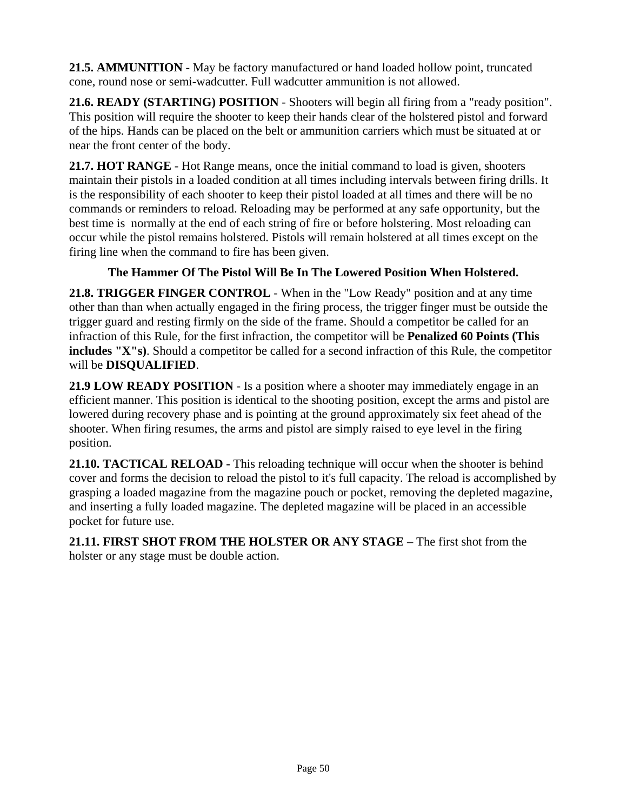**21.5. AMMUNITION** - May be factory manufactured or hand loaded hollow point, truncated cone, round nose or semi-wadcutter. Full wadcutter ammunition is not allowed.

**21.6. READY (STARTING) POSITION** - Shooters will begin all firing from a "ready position". This position will require the shooter to keep their hands clear of the holstered pistol and forward of the hips. Hands can be placed on the belt or ammunition carriers which must be situated at or near the front center of the body.

**21.7. HOT RANGE** - Hot Range means, once the initial command to load is given, shooters maintain their pistols in a loaded condition at all times including intervals between firing drills. It is the responsibility of each shooter to keep their pistol loaded at all times and there will be no commands or reminders to reload. Reloading may be performed at any safe opportunity, but the best time is normally at the end of each string of fire or before holstering. Most reloading can occur while the pistol remains holstered. Pistols will remain holstered at all times except on the firing line when the command to fire has been given.

### **The Hammer Of The Pistol Will Be In The Lowered Position When Holstered.**

**21.8. TRIGGER FINGER CONTROL** - When in the "Low Ready" position and at any time other than than when actually engaged in the firing process, the trigger finger must be outside the trigger guard and resting firmly on the side of the frame. Should a competitor be called for an infraction of this Rule, for the first infraction, the competitor will be **Penalized 60 Points (This includes "X"s)**. Should a competitor be called for a second infraction of this Rule, the competitor will be **DISQUALIFIED**.

**21.9 LOW READY POSITION** - Is a position where a shooter may immediately engage in an efficient manner. This position is identical to the shooting position, except the arms and pistol are lowered during recovery phase and is pointing at the ground approximately six feet ahead of the shooter. When firing resumes, the arms and pistol are simply raised to eye level in the firing position.

**21.10. TACTICAL RELOAD -** This reloading technique will occur when the shooter is behind cover and forms the decision to reload the pistol to it's full capacity. The reload is accomplished by grasping a loaded magazine from the magazine pouch or pocket, removing the depleted magazine, and inserting a fully loaded magazine. The depleted magazine will be placed in an accessible pocket for future use.

**21.11. FIRST SHOT FROM THE HOLSTER OR ANY STAGE** – The first shot from the holster or any stage must be double action.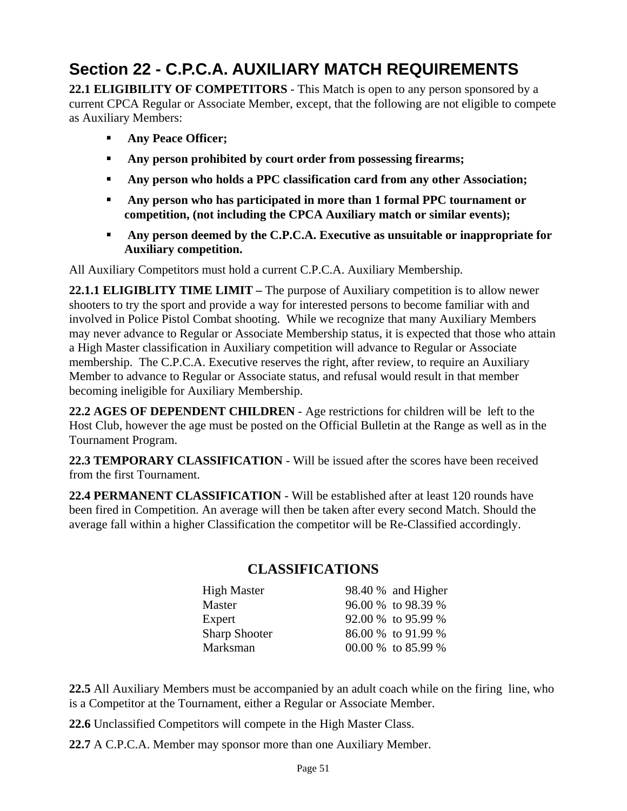# **Section 22 - C.P.C.A. AUXILIARY MATCH REQUIREMENTS**

**22.1 ELIGIBILITY OF COMPETITORS** - This Match is open to any person sponsored by a current CPCA Regular or Associate Member, except, that the following are not eligible to compete as Auxiliary Members:

- **Any Peace Officer;**
- **Any person prohibited by court order from possessing firearms;**
- **Any person who holds a PPC classification card from any other Association;**
- **Any person who has participated in more than 1 formal PPC tournament or competition, (not including the CPCA Auxiliary match or similar events);**
- **Any person deemed by the C.P.C.A. Executive as unsuitable or inappropriate for Auxiliary competition.**

All Auxiliary Competitors must hold a current C.P.C.A. Auxiliary Membership.

**22.1.1 ELIGIBLITY TIME LIMIT –** The purpose of Auxiliary competition is to allow newer shooters to try the sport and provide a way for interested persons to become familiar with and involved in Police Pistol Combat shooting. While we recognize that many Auxiliary Members may never advance to Regular or Associate Membership status, it is expected that those who attain a High Master classification in Auxiliary competition will advance to Regular or Associate membership. The C.P.C.A. Executive reserves the right, after review, to require an Auxiliary Member to advance to Regular or Associate status, and refusal would result in that member becoming ineligible for Auxiliary Membership.

**22.2 AGES OF DEPENDENT CHILDREN** - Age restrictions for children will be left to the Host Club, however the age must be posted on the Official Bulletin at the Range as well as in the Tournament Program.

**22.3 TEMPORARY CLASSIFICATION** - Will be issued after the scores have been received from the first Tournament.

**22.4 PERMANENT CLASSIFICATION** - Will be established after at least 120 rounds have been fired in Competition. An average will then be taken after every second Match. Should the average fall within a higher Classification the competitor will be Re-Classified accordingly.

| <b>High Master</b>   | 98.40 % and Higher |
|----------------------|--------------------|
| Master               | 96.00 % to 98.39 % |
| Expert               | 92.00 % to 95.99 % |
| <b>Sharp Shooter</b> | 86.00 % to 91.99 % |
| Marksman             | 00.00 % to 85.99 % |

### **CLASSIFICATIONS**

**22.5** All Auxiliary Members must be accompanied by an adult coach while on the firing line, who is a Competitor at the Tournament, either a Regular or Associate Member.

**22.6** Unclassified Competitors will compete in the High Master Class.

**22.7** A C.P.C.A. Member may sponsor more than one Auxiliary Member.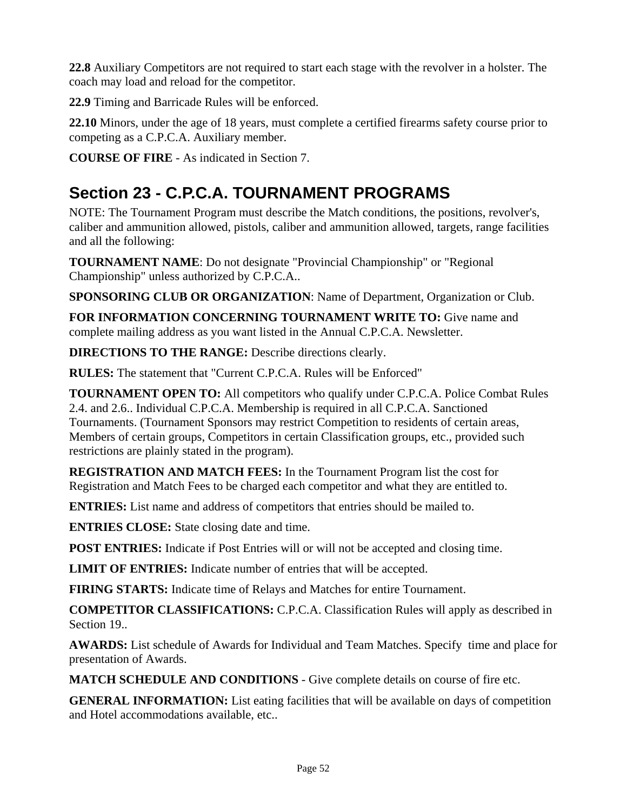**22.8** Auxiliary Competitors are not required to start each stage with the revolver in a holster. The coach may load and reload for the competitor.

**22.9** Timing and Barricade Rules will be enforced.

**22.10** Minors, under the age of 18 years, must complete a certified firearms safety course prior to competing as a C.P.C.A. Auxiliary member.

**COURSE OF FIRE** - As indicated in Section 7.

# **Section 23 - C.P.C.A. TOURNAMENT PROGRAMS**

NOTE: The Tournament Program must describe the Match conditions, the positions, revolver's, caliber and ammunition allowed, pistols, caliber and ammunition allowed, targets, range facilities and all the following:

**TOURNAMENT NAME**: Do not designate "Provincial Championship" or "Regional Championship" unless authorized by C.P.C.A..

**SPONSORING CLUB OR ORGANIZATION**: Name of Department, Organization or Club.

**FOR INFORMATION CONCERNING TOURNAMENT WRITE TO:** Give name and complete mailing address as you want listed in the Annual C.P.C.A. Newsletter.

**DIRECTIONS TO THE RANGE:** Describe directions clearly.

**RULES:** The statement that "Current C.P.C.A. Rules will be Enforced"

**TOURNAMENT OPEN TO:** All competitors who qualify under C.P.C.A. Police Combat Rules 2.4. and 2.6.. Individual C.P.C.A. Membership is required in all C.P.C.A. Sanctioned Tournaments. (Tournament Sponsors may restrict Competition to residents of certain areas, Members of certain groups, Competitors in certain Classification groups, etc., provided such restrictions are plainly stated in the program).

**REGISTRATION AND MATCH FEES:** In the Tournament Program list the cost for Registration and Match Fees to be charged each competitor and what they are entitled to.

**ENTRIES:** List name and address of competitors that entries should be mailed to.

**ENTRIES CLOSE:** State closing date and time.

**POST ENTRIES:** Indicate if Post Entries will or will not be accepted and closing time.

**LIMIT OF ENTRIES:** Indicate number of entries that will be accepted.

**FIRING STARTS:** Indicate time of Relays and Matches for entire Tournament.

**COMPETITOR CLASSIFICATIONS:** C.P.C.A. Classification Rules will apply as described in Section 19..

**AWARDS:** List schedule of Awards for Individual and Team Matches. Specify time and place for presentation of Awards.

**MATCH SCHEDULE AND CONDITIONS** - Give complete details on course of fire etc.

**GENERAL INFORMATION:** List eating facilities that will be available on days of competition and Hotel accommodations available, etc..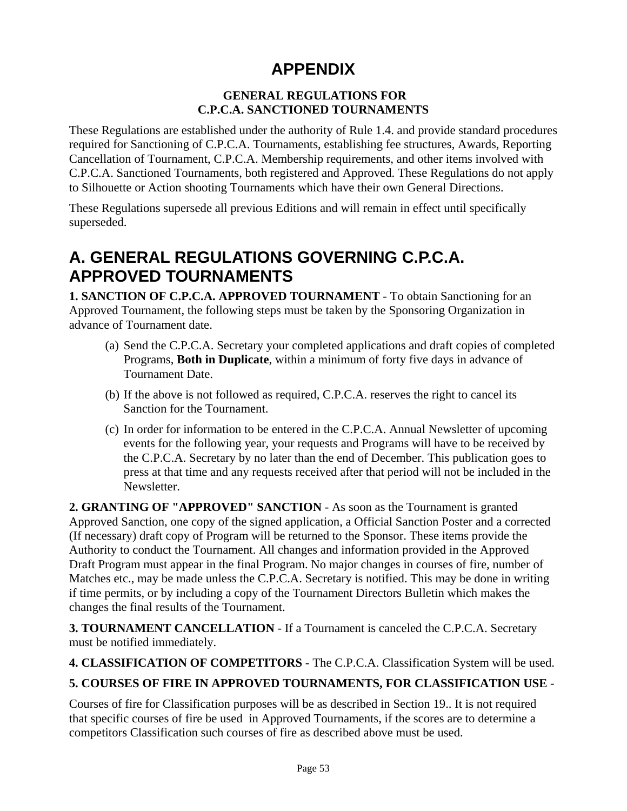## **APPENDIX**

### **GENERAL REGULATIONS FOR C.P.C.A. SANCTIONED TOURNAMENTS**

These Regulations are established under the authority of Rule 1.4. and provide standard procedures required for Sanctioning of C.P.C.A. Tournaments, establishing fee structures, Awards, Reporting Cancellation of Tournament, C.P.C.A. Membership requirements, and other items involved with C.P.C.A. Sanctioned Tournaments, both registered and Approved. These Regulations do not apply to Silhouette or Action shooting Tournaments which have their own General Directions.

These Regulations supersede all previous Editions and will remain in effect until specifically superseded.

## **A. GENERAL REGULATIONS GOVERNING C.P.C.A. APPROVED TOURNAMENTS**

**1. SANCTION OF C.P.C.A. APPROVED TOURNAMENT** - To obtain Sanctioning for an Approved Tournament, the following steps must be taken by the Sponsoring Organization in advance of Tournament date.

- (a) Send the C.P.C.A. Secretary your completed applications and draft copies of completed Programs, **Both in Duplicate**, within a minimum of forty five days in advance of Tournament Date.
- (b) If the above is not followed as required, C.P.C.A. reserves the right to cancel its Sanction for the Tournament.
- (c) In order for information to be entered in the C.P.C.A. Annual Newsletter of upcoming events for the following year, your requests and Programs will have to be received by the C.P.C.A. Secretary by no later than the end of December. This publication goes to press at that time and any requests received after that period will not be included in the Newsletter.

**2. GRANTING OF "APPROVED" SANCTION** - As soon as the Tournament is granted Approved Sanction, one copy of the signed application, a Official Sanction Poster and a corrected (If necessary) draft copy of Program will be returned to the Sponsor. These items provide the Authority to conduct the Tournament. All changes and information provided in the Approved Draft Program must appear in the final Program. No major changes in courses of fire, number of Matches etc., may be made unless the C.P.C.A. Secretary is notified. This may be done in writing if time permits, or by including a copy of the Tournament Directors Bulletin which makes the changes the final results of the Tournament.

**3. TOURNAMENT CANCELLATION** - If a Tournament is canceled the C.P.C.A. Secretary must be notified immediately.

**4. CLASSIFICATION OF COMPETITORS** - The C.P.C.A. Classification System will be used.

### **5. COURSES OF FIRE IN APPROVED TOURNAMENTS, FOR CLASSIFICATION USE** -

Courses of fire for Classification purposes will be as described in Section 19.. It is not required that specific courses of fire be used in Approved Tournaments, if the scores are to determine a competitors Classification such courses of fire as described above must be used.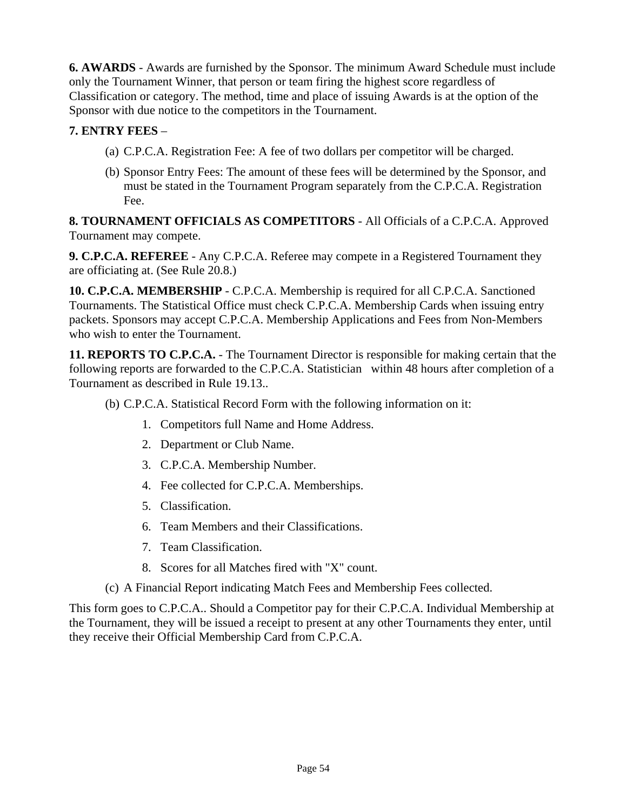**6. AWARDS** - Awards are furnished by the Sponsor. The minimum Award Schedule must include only the Tournament Winner, that person or team firing the highest score regardless of Classification or category. The method, time and place of issuing Awards is at the option of the Sponsor with due notice to the competitors in the Tournament.

### **7. ENTRY FEES** –

- (a) C.P.C.A. Registration Fee: A fee of two dollars per competitor will be charged.
- (b) Sponsor Entry Fees: The amount of these fees will be determined by the Sponsor, and must be stated in the Tournament Program separately from the C.P.C.A. Registration Fee.

**8. TOURNAMENT OFFICIALS AS COMPETITORS** - All Officials of a C.P.C.A. Approved Tournament may compete.

**9. C.P.C.A. REFEREE** - Any C.P.C.A. Referee may compete in a Registered Tournament they are officiating at. (See Rule 20.8.)

**10. C.P.C.A. MEMBERSHIP** - C.P.C.A. Membership is required for all C.P.C.A. Sanctioned Tournaments. The Statistical Office must check C.P.C.A. Membership Cards when issuing entry packets. Sponsors may accept C.P.C.A. Membership Applications and Fees from Non-Members who wish to enter the Tournament.

**11. REPORTS TO C.P.C.A.** - The Tournament Director is responsible for making certain that the following reports are forwarded to the C.P.C.A. Statistician within 48 hours after completion of a Tournament as described in Rule 19.13..

(b) C.P.C.A. Statistical Record Form with the following information on it:

- 1. Competitors full Name and Home Address.
- 2. Department or Club Name.
- 3. C.P.C.A. Membership Number.
- 4. Fee collected for C.P.C.A. Memberships.
- 5. Classification.
- 6. Team Members and their Classifications.
- 7. Team Classification.
- 8. Scores for all Matches fired with "X" count.
- (c) A Financial Report indicating Match Fees and Membership Fees collected.

This form goes to C.P.C.A.. Should a Competitor pay for their C.P.C.A. Individual Membership at the Tournament, they will be issued a receipt to present at any other Tournaments they enter, until they receive their Official Membership Card from C.P.C.A.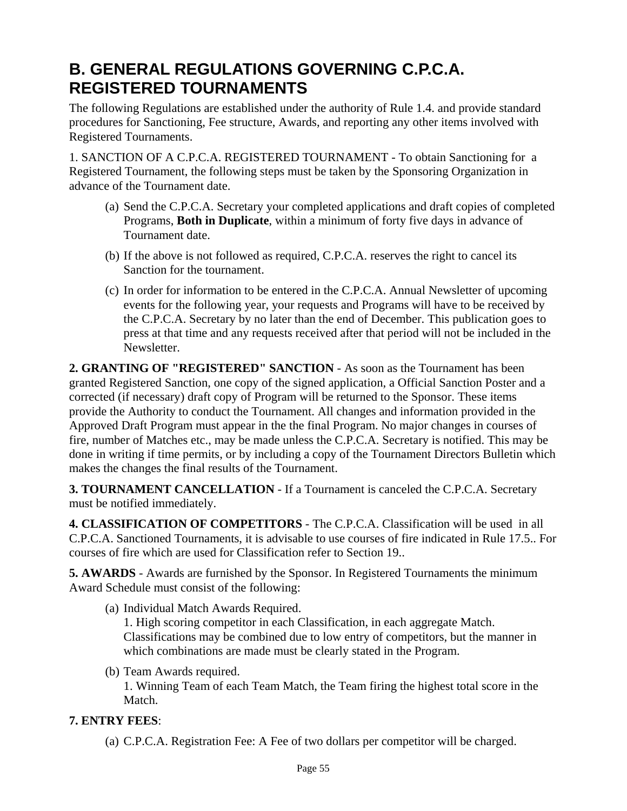## **B. GENERAL REGULATIONS GOVERNING C.P.C.A. REGISTERED TOURNAMENTS**

The following Regulations are established under the authority of Rule 1.4. and provide standard procedures for Sanctioning, Fee structure, Awards, and reporting any other items involved with Registered Tournaments.

1. SANCTION OF A C.P.C.A. REGISTERED TOURNAMENT - To obtain Sanctioning for a Registered Tournament, the following steps must be taken by the Sponsoring Organization in advance of the Tournament date.

- (a) Send the C.P.C.A. Secretary your completed applications and draft copies of completed Programs, **Both in Duplicate**, within a minimum of forty five days in advance of Tournament date.
- (b) If the above is not followed as required, C.P.C.A. reserves the right to cancel its Sanction for the tournament.
- (c) In order for information to be entered in the C.P.C.A. Annual Newsletter of upcoming events for the following year, your requests and Programs will have to be received by the C.P.C.A. Secretary by no later than the end of December. This publication goes to press at that time and any requests received after that period will not be included in the Newsletter.

**2. GRANTING OF "REGISTERED" SANCTION** - As soon as the Tournament has been granted Registered Sanction, one copy of the signed application, a Official Sanction Poster and a corrected (if necessary) draft copy of Program will be returned to the Sponsor. These items provide the Authority to conduct the Tournament. All changes and information provided in the Approved Draft Program must appear in the the final Program. No major changes in courses of fire, number of Matches etc., may be made unless the C.P.C.A. Secretary is notified. This may be done in writing if time permits, or by including a copy of the Tournament Directors Bulletin which makes the changes the final results of the Tournament.

**3. TOURNAMENT CANCELLATION** - If a Tournament is canceled the C.P.C.A. Secretary must be notified immediately.

**4. CLASSIFICATION OF COMPETITORS** - The C.P.C.A. Classification will be used in all C.P.C.A. Sanctioned Tournaments, it is advisable to use courses of fire indicated in Rule 17.5.. For courses of fire which are used for Classification refer to Section 19..

**5. AWARDS** - Awards are furnished by the Sponsor. In Registered Tournaments the minimum Award Schedule must consist of the following:

(a) Individual Match Awards Required.

1. High scoring competitor in each Classification, in each aggregate Match. Classifications may be combined due to low entry of competitors, but the manner in which combinations are made must be clearly stated in the Program.

(b) Team Awards required.

1. Winning Team of each Team Match, the Team firing the highest total score in the Match.

#### **7. ENTRY FEES**:

(a) C.P.C.A. Registration Fee: A Fee of two dollars per competitor will be charged.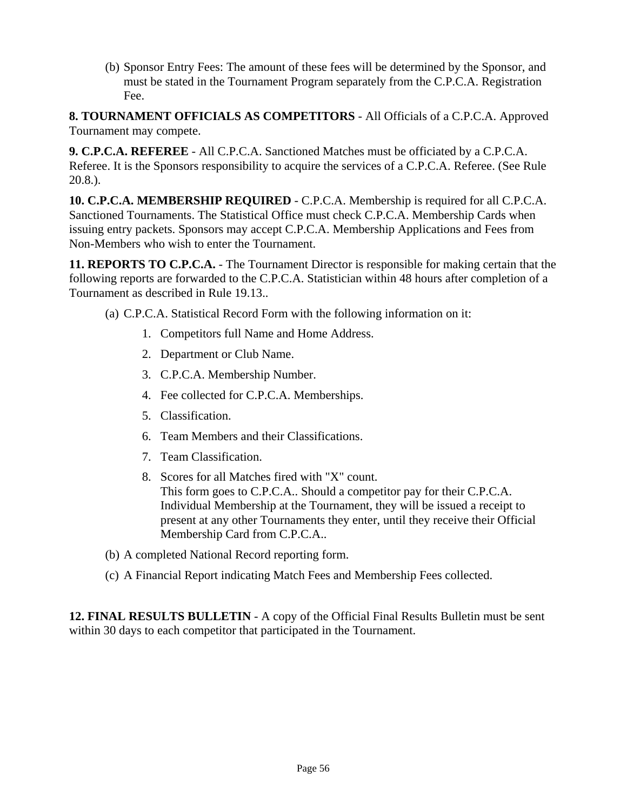(b) Sponsor Entry Fees: The amount of these fees will be determined by the Sponsor, and must be stated in the Tournament Program separately from the C.P.C.A. Registration Fee.

**8. TOURNAMENT OFFICIALS AS COMPETITORS** - All Officials of a C.P.C.A. Approved Tournament may compete.

**9. C.P.C.A. REFEREE** - All C.P.C.A. Sanctioned Matches must be officiated by a C.P.C.A. Referee. It is the Sponsors responsibility to acquire the services of a C.P.C.A. Referee. (See Rule 20.8.).

**10. C.P.C.A. MEMBERSHIP REQUIRED** - C.P.C.A. Membership is required for all C.P.C.A. Sanctioned Tournaments. The Statistical Office must check C.P.C.A. Membership Cards when issuing entry packets. Sponsors may accept C.P.C.A. Membership Applications and Fees from Non-Members who wish to enter the Tournament.

**11. REPORTS TO C.P.C.A.** - The Tournament Director is responsible for making certain that the following reports are forwarded to the C.P.C.A. Statistician within 48 hours after completion of a Tournament as described in Rule 19.13..

(a) C.P.C.A. Statistical Record Form with the following information on it:

- 1. Competitors full Name and Home Address.
- 2. Department or Club Name.
- 3. C.P.C.A. Membership Number.
- 4. Fee collected for C.P.C.A. Memberships.
- 5. Classification.
- 6. Team Members and their Classifications.
- 7. Team Classification.
- 8. Scores for all Matches fired with "X" count. This form goes to C.P.C.A.. Should a competitor pay for their C.P.C.A. Individual Membership at the Tournament, they will be issued a receipt to present at any other Tournaments they enter, until they receive their Official Membership Card from C.P.C.A..
- (b) A completed National Record reporting form.
- (c) A Financial Report indicating Match Fees and Membership Fees collected.

**12. FINAL RESULTS BULLETIN** - A copy of the Official Final Results Bulletin must be sent within 30 days to each competitor that participated in the Tournament.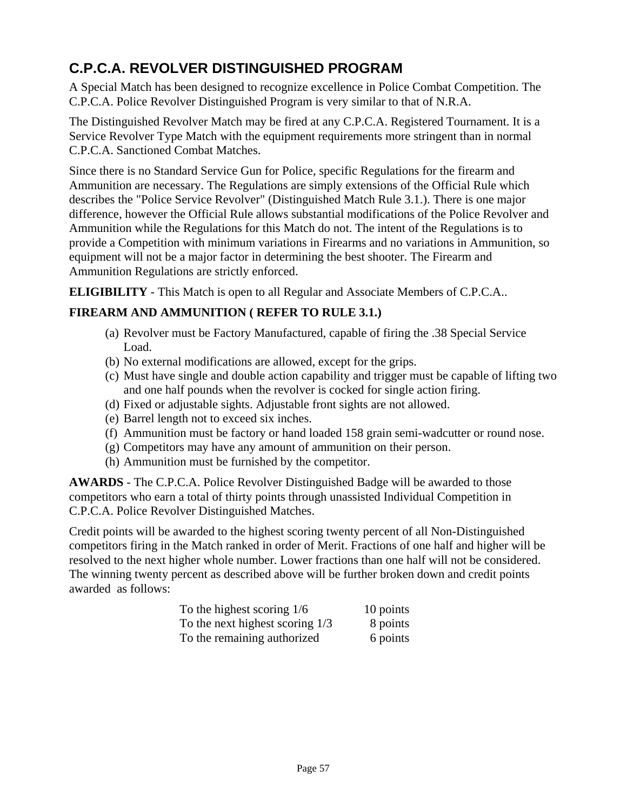## **C.P.C.A. REVOLVER DISTINGUISHED PROGRAM**

A Special Match has been designed to recognize excellence in Police Combat Competition. The C.P.C.A. Police Revolver Distinguished Program is very similar to that of N.R.A.

The Distinguished Revolver Match may be fired at any C.P.C.A. Registered Tournament. It is a Service Revolver Type Match with the equipment requirements more stringent than in normal C.P.C.A. Sanctioned Combat Matches.

Since there is no Standard Service Gun for Police, specific Regulations for the firearm and Ammunition are necessary. The Regulations are simply extensions of the Official Rule which describes the "Police Service Revolver" (Distinguished Match Rule 3.1.). There is one major difference, however the Official Rule allows substantial modifications of the Police Revolver and Ammunition while the Regulations for this Match do not. The intent of the Regulations is to provide a Competition with minimum variations in Firearms and no variations in Ammunition, so equipment will not be a major factor in determining the best shooter. The Firearm and Ammunition Regulations are strictly enforced.

**ELIGIBILITY** - This Match is open to all Regular and Associate Members of C.P.C.A..

### **FIREARM AND AMMUNITION ( REFER TO RULE 3.1.)**

- (a) Revolver must be Factory Manufactured, capable of firing the .38 Special Service Load.
- (b) No external modifications are allowed, except for the grips.
- (c) Must have single and double action capability and trigger must be capable of lifting two and one half pounds when the revolver is cocked for single action firing.
- (d) Fixed or adjustable sights. Adjustable front sights are not allowed.
- (e) Barrel length not to exceed six inches.
- (f) Ammunition must be factory or hand loaded 158 grain semi-wadcutter or round nose.
- (g) Competitors may have any amount of ammunition on their person.
- (h) Ammunition must be furnished by the competitor.

**AWARDS** - The C.P.C.A. Police Revolver Distinguished Badge will be awarded to those competitors who earn a total of thirty points through unassisted Individual Competition in C.P.C.A. Police Revolver Distinguished Matches.

Credit points will be awarded to the highest scoring twenty percent of all Non-Distinguished competitors firing in the Match ranked in order of Merit. Fractions of one half and higher will be resolved to the next higher whole number. Lower fractions than one half will not be considered. The winning twenty percent as described above will be further broken down and credit points awarded as follows:

| To the highest scoring $1/6$      | 10 points |
|-----------------------------------|-----------|
| To the next highest scoring $1/3$ | 8 points  |
| To the remaining authorized       | 6 points  |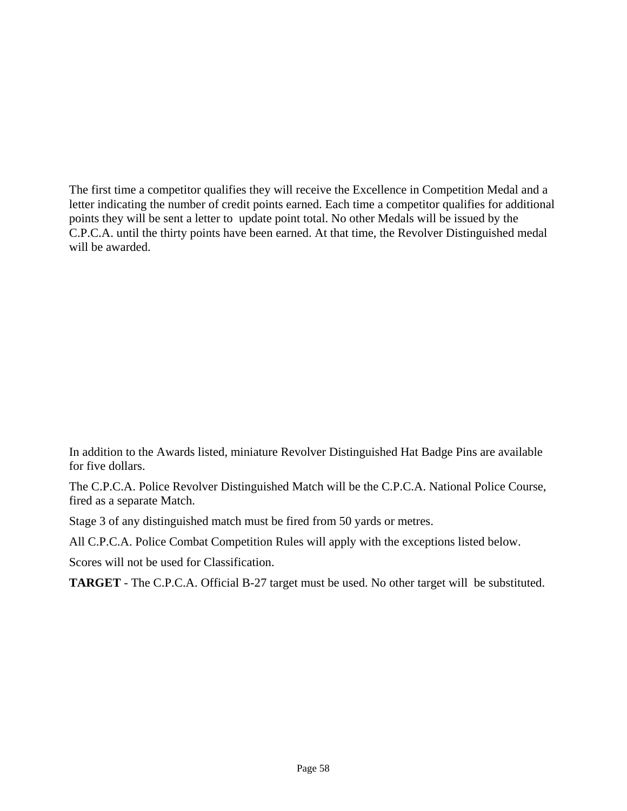The first time a competitor qualifies they will receive the Excellence in Competition Medal and a letter indicating the number of credit points earned. Each time a competitor qualifies for additional points they will be sent a letter to update point total. No other Medals will be issued by the C.P.C.A. until the thirty points have been earned. At that time, the Revolver Distinguished medal will be awarded.

In addition to the Awards listed, miniature Revolver Distinguished Hat Badge Pins are available for five dollars.

The C.P.C.A. Police Revolver Distinguished Match will be the C.P.C.A. National Police Course, fired as a separate Match.

Stage 3 of any distinguished match must be fired from 50 yards or metres.

All C.P.C.A. Police Combat Competition Rules will apply with the exceptions listed below.

Scores will not be used for Classification.

**TARGET** - The C.P.C.A. Official B-27 target must be used. No other target will be substituted.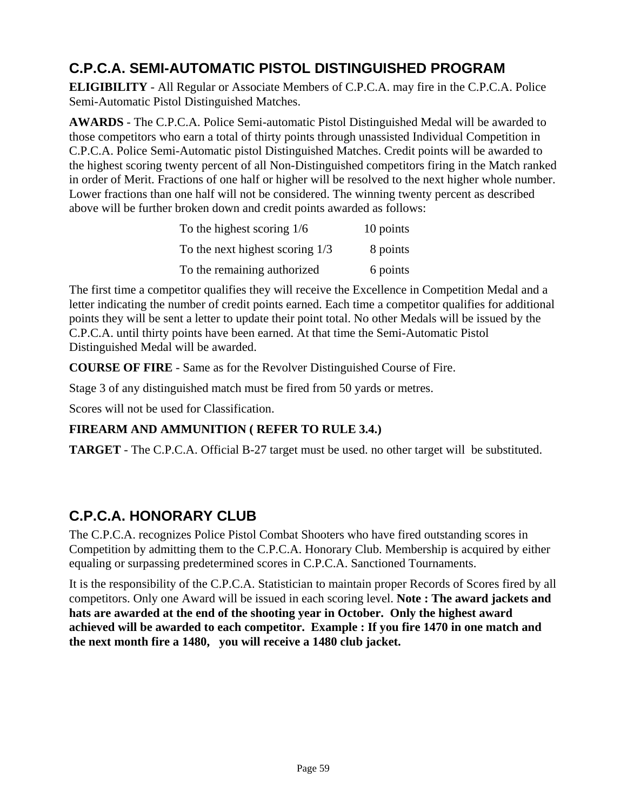## **C.P.C.A. SEMI-AUTOMATIC PISTOL DISTINGUISHED PROGRAM**

**ELIGIBILITY** - All Regular or Associate Members of C.P.C.A. may fire in the C.P.C.A. Police Semi-Automatic Pistol Distinguished Matches.

**AWARDS** - The C.P.C.A. Police Semi-automatic Pistol Distinguished Medal will be awarded to those competitors who earn a total of thirty points through unassisted Individual Competition in C.P.C.A. Police Semi-Automatic pistol Distinguished Matches. Credit points will be awarded to the highest scoring twenty percent of all Non-Distinguished competitors firing in the Match ranked in order of Merit. Fractions of one half or higher will be resolved to the next higher whole number. Lower fractions than one half will not be considered. The winning twenty percent as described above will be further broken down and credit points awarded as follows:

| To the highest scoring 1/6        | 10 points |
|-----------------------------------|-----------|
| To the next highest scoring $1/3$ | 8 points  |
| To the remaining authorized       | 6 points  |

The first time a competitor qualifies they will receive the Excellence in Competition Medal and a letter indicating the number of credit points earned. Each time a competitor qualifies for additional points they will be sent a letter to update their point total. No other Medals will be issued by the C.P.C.A. until thirty points have been earned. At that time the Semi-Automatic Pistol Distinguished Medal will be awarded.

**COURSE OF FIRE** - Same as for the Revolver Distinguished Course of Fire.

Stage 3 of any distinguished match must be fired from 50 yards or metres.

Scores will not be used for Classification.

### **FIREARM AND AMMUNITION ( REFER TO RULE 3.4.)**

**TARGET** - The C.P.C.A. Official B-27 target must be used. no other target will be substituted.

## **C.P.C.A. HONORARY CLUB**

The C.P.C.A. recognizes Police Pistol Combat Shooters who have fired outstanding scores in Competition by admitting them to the C.P.C.A. Honorary Club. Membership is acquired by either equaling or surpassing predetermined scores in C.P.C.A. Sanctioned Tournaments.

It is the responsibility of the C.P.C.A. Statistician to maintain proper Records of Scores fired by all competitors. Only one Award will be issued in each scoring level. **Note : The award jackets and hats are awarded at the end of the shooting year in October. Only the highest award achieved will be awarded to each competitor. Example : If you fire 1470 in one match and the next month fire a 1480, you will receive a 1480 club jacket.**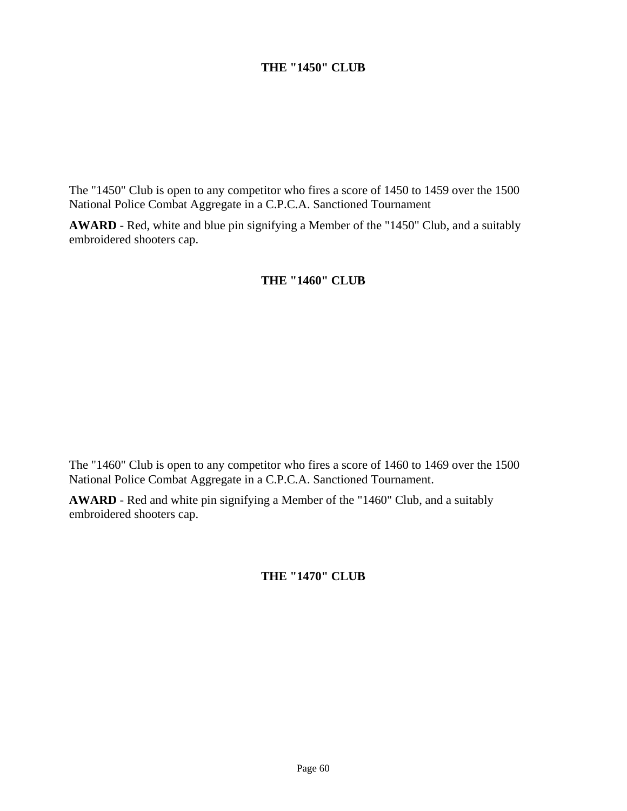#### **THE "1450" CLUB**

The "1450" Club is open to any competitor who fires a score of 1450 to 1459 over the 1500 National Police Combat Aggregate in a C.P.C.A. Sanctioned Tournament

**AWARD** - Red, white and blue pin signifying a Member of the "1450" Club, and a suitably embroidered shooters cap.

#### **THE "1460" CLUB**

The "1460" Club is open to any competitor who fires a score of 1460 to 1469 over the 1500 National Police Combat Aggregate in a C.P.C.A. Sanctioned Tournament.

**AWARD** - Red and white pin signifying a Member of the "1460" Club, and a suitably embroidered shooters cap.

#### **THE "1470" CLUB**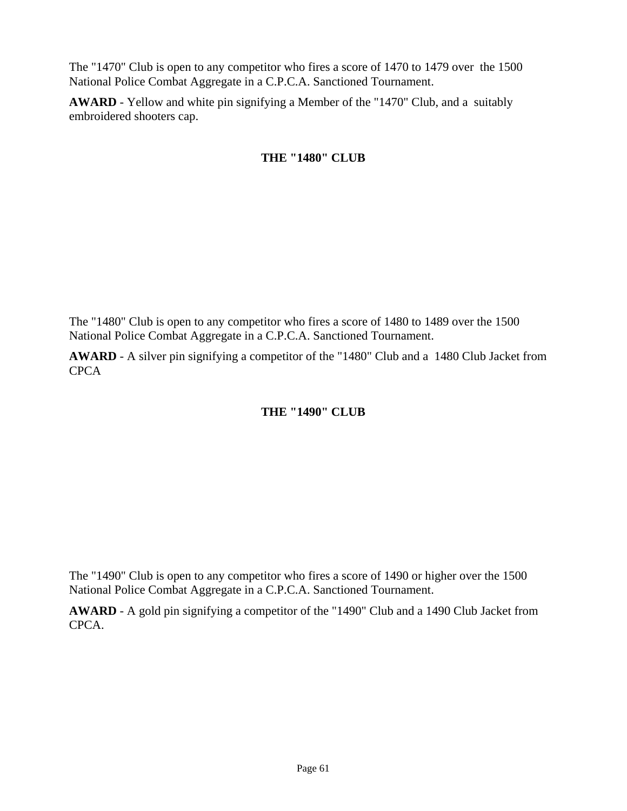The "1470" Club is open to any competitor who fires a score of 1470 to 1479 over the 1500 National Police Combat Aggregate in a C.P.C.A. Sanctioned Tournament.

**AWARD** - Yellow and white pin signifying a Member of the "1470" Club, and a suitably embroidered shooters cap.

### **THE "1480" CLUB**

The "1480" Club is open to any competitor who fires a score of 1480 to 1489 over the 1500 National Police Combat Aggregate in a C.P.C.A. Sanctioned Tournament.

**AWARD** - A silver pin signifying a competitor of the "1480" Club and a 1480 Club Jacket from CPCA

### **THE "1490" CLUB**

The "1490" Club is open to any competitor who fires a score of 1490 or higher over the 1500 National Police Combat Aggregate in a C.P.C.A. Sanctioned Tournament.

**AWARD** - A gold pin signifying a competitor of the "1490" Club and a 1490 Club Jacket from CPCA.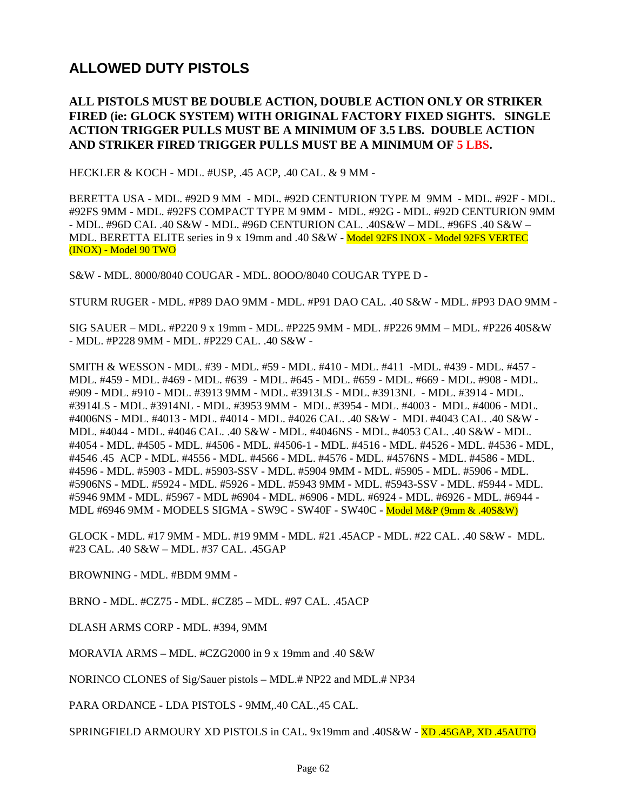## **ALLOWED DUTY PISTOLS**

#### **ALL PISTOLS MUST BE DOUBLE ACTION, DOUBLE ACTION ONLY OR STRIKER FIRED (ie: GLOCK SYSTEM) WITH ORIGINAL FACTORY FIXED SIGHTS. SINGLE ACTION TRIGGER PULLS MUST BE A MINIMUM OF 3.5 LBS. DOUBLE ACTION AND STRIKER FIRED TRIGGER PULLS MUST BE A MINIMUM OF 5 LBS.**

HECKLER & KOCH - MDL. #USP, .45 ACP, .40 CAL. & 9 MM -

BERETTA USA - MDL. #92D 9 MM - MDL. #92D CENTURION TYPE M 9MM - MDL. #92F - MDL. #92FS 9MM - MDL. #92FS COMPACT TYPE M 9MM - MDL. #92G - MDL. #92D CENTURION 9MM - MDL. #96D CAL .40 S&W - MDL. #96D CENTURION CAL. .40S&W – MDL. #96FS .40 S&W – MDL. BERETTA ELITE series in 9 x 19mm and .40 S&W - Model 92FS INOX - Model 92FS VERTEC (INOX) - Model 90 TWO

S&W - MDL. 8000/8040 COUGAR - MDL. 8OOO/8040 COUGAR TYPE D -

STURM RUGER - MDL. #P89 DAO 9MM - MDL. #P91 DAO CAL. .40 S&W - MDL. #P93 DAO 9MM -

SIG SAUER – MDL. #P220 9 x 19mm - MDL. #P225 9MM - MDL. #P226 9MM – MDL. #P226 40S&W - MDL. #P228 9MM - MDL. #P229 CAL. .40 S&W -

SMITH & WESSON - MDL. #39 - MDL. #59 - MDL. #410 - MDL. #411 -MDL. #439 - MDL. #457 - MDL. #459 - MDL. #469 - MDL. #639 - MDL. #645 - MDL. #659 - MDL. #669 - MDL. #908 - MDL. #909 - MDL. #910 - MDL. #3913 9MM - MDL. #3913LS - MDL. #3913NL - MDL. #3914 - MDL. #3914LS - MDL. #3914NL - MDL. #3953 9MM - MDL. #3954 - MDL. #4003 - MDL. #4006 - MDL. #4006NS - MDL. #4013 - MDL. #4014 - MDL. #4026 CAL. .40 S&W - MDL #4043 CAL. .40 S&W - MDL. #4044 - MDL. #4046 CAL. .40 S&W - MDL. #4046NS - MDL. #4053 CAL. .40 S&W - MDL. #4054 - MDL. #4505 - MDL. #4506 - MDL. #4506-1 - MDL. #4516 - MDL. #4526 - MDL. #4536 - MDL, #4546 .45 ACP - MDL. #4556 - MDL. #4566 - MDL. #4576 - MDL. #4576NS - MDL. #4586 - MDL. #4596 - MDL. #5903 - MDL. #5903-SSV - MDL. #5904 9MM - MDL. #5905 - MDL. #5906 - MDL. #5906NS - MDL. #5924 - MDL. #5926 - MDL. #5943 9MM - MDL. #5943-SSV - MDL. #5944 - MDL. #5946 9MM - MDL. #5967 - MDL #6904 - MDL. #6906 - MDL. #6924 - MDL. #6926 - MDL. #6944 - MDL #6946 9MM - MODELS SIGMA - SW9C - SW40F - SW40C - Model M&P (9mm & .40S&W)

GLOCK - MDL. #17 9MM - MDL. #19 9MM - MDL. #21 .45ACP - MDL. #22 CAL. .40 S&W - MDL. #23 CAL. .40 S&W – MDL. #37 CAL. .45GAP

BROWNING - MDL. #BDM 9MM -

BRNO - MDL. #CZ75 - MDL. #CZ85 – MDL. #97 CAL. .45ACP

DLASH ARMS CORP - MDL. #394, 9MM

MORAVIA ARMS – MDL. #CZG2000 in 9 x 19mm and .40 S&W

NORINCO CLONES of Sig/Sauer pistols – MDL.# NP22 and MDL.# NP34

PARA ORDANCE - LDA PISTOLS - 9MM,.40 CAL.,45 CAL.

SPRINGFIELD ARMOURY XD PISTOLS in CAL. 9x19mm and .40S&W - XD .45GAP, XD .45AUTO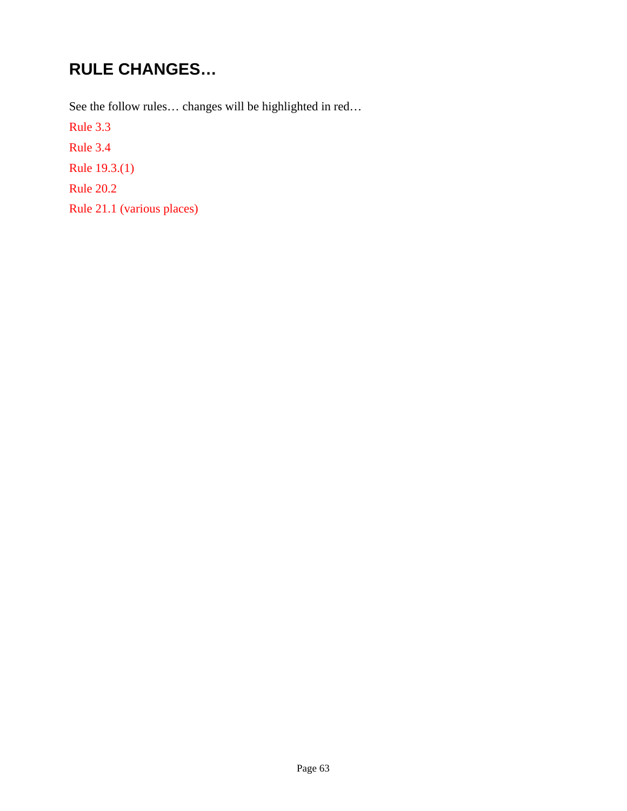# **RULE CHANGES…**

See the follow rules… changes will be highlighted in red…

Rule 3.3

Rule 3.4

Rule 19.3.(1)

Rule 20.2

Rule 21.1 (various places)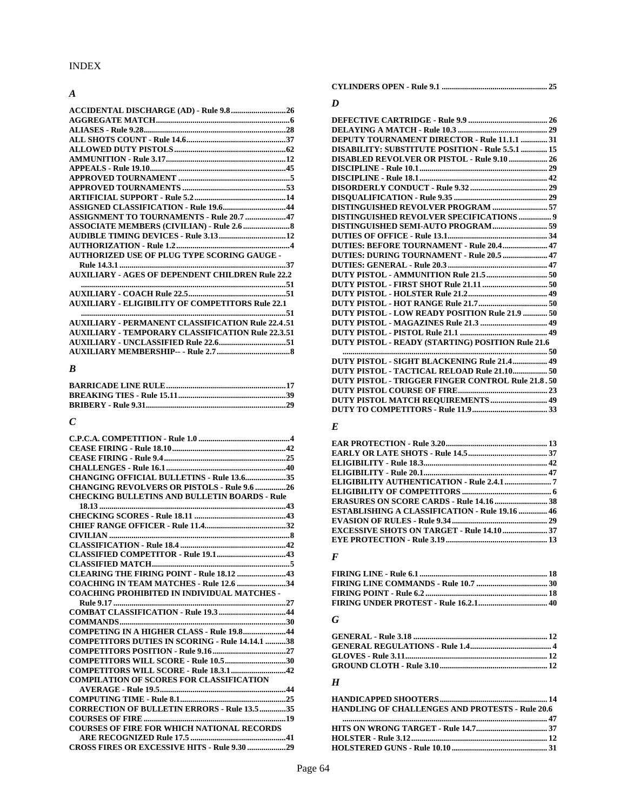#### *A*

| ACCIDENTAL DISCHARGE (AD) - Rule 9.826                   |
|----------------------------------------------------------|
|                                                          |
|                                                          |
|                                                          |
|                                                          |
|                                                          |
|                                                          |
|                                                          |
|                                                          |
|                                                          |
| <b>ASSIGNED CLASSIFICATION - Rule 19.644</b>             |
| ASSIGNMENT TO TOURNAMENTS - Rule 20.7 47                 |
|                                                          |
|                                                          |
|                                                          |
| <b>AUTHORIZED USE OF PLUG TYPE SCORING GAUGE -</b>       |
|                                                          |
| <b>AUXILIARY - AGES OF DEPENDENT CHILDREN Rule 22.2</b>  |
|                                                          |
|                                                          |
| <b>AUXILIARY - ELIGIBILITY OF COMPETITORS Rule 22.1</b>  |
|                                                          |
| <b>AUXILIARY - PERMANENT CLASSIFICATION Rule 22.4.51</b> |
| <b>AUXILIARY - TEMPORARY CLASSIFICATION Rule 22.3.51</b> |
|                                                          |
|                                                          |

#### *B*

**AUXILIARY MEMBERSHIP-- - Rule 2.7 .................................... 8** 

#### *C*

| <b>CHANGING OFFICIAL BULLETINS - Rule 13.635</b>       |
|--------------------------------------------------------|
| <b>CHANGING REVOLVERS OR PISTOLS - Rule 9.6  26</b>    |
| <b>CHECKING BULLETINS AND BULLETIN BOARDS - Rule</b>   |
|                                                        |
|                                                        |
|                                                        |
|                                                        |
|                                                        |
|                                                        |
|                                                        |
| CLEARING THE FIRING POINT - Rule 18.12 43              |
| COACHING IN TEAM MATCHES - Rule 12.6 34                |
| <b>COACHING PROHIBITED IN INDIVIDUAL MATCHES -</b>     |
|                                                        |
|                                                        |
|                                                        |
| COMPETING IN A HIGHER CLASS - Rule 19.844              |
| <b>COMPETITORS DUTIES IN SCORING - Rule 14.14.1 38</b> |
|                                                        |
| COMPETITORS WILL SCORE - Rule 10.530                   |
|                                                        |
| <b>COMPILATION OF SCORES FOR CLASSIFICATION</b>        |
|                                                        |
|                                                        |
| <b>CORRECTION OF BULLETIN ERRORS - Rule 13.5 35</b>    |
|                                                        |
| <b>COURSES OF FIRE FOR WHICH NATIONAL RECORDS</b>      |
|                                                        |
| CROSS FIRES OR EXCESSIVE HITS - Rule 9.30 29           |

**CYLINDERS OPEN - Rule 9.1 .................................................... 25** 

#### *D*

| DEPUTY TOURNAMENT DIRECTOR - Rule 11.1.1  31             |
|----------------------------------------------------------|
| <b>DISABILITY: SUBSTITUTE POSITION - Rule 5.5.1  15</b>  |
| DISABLED REVOLVER OR PISTOL - Rule 9.10  26              |
|                                                          |
|                                                          |
|                                                          |
|                                                          |
|                                                          |
| <b>DISTINGUISHED REVOLVER SPECIFICATIONS  9</b>          |
|                                                          |
|                                                          |
| DUTIES: BEFORE TOURNAMENT - Rule 20.4  47                |
|                                                          |
|                                                          |
|                                                          |
|                                                          |
|                                                          |
|                                                          |
| DUTY PISTOL - LOW READY POSITION Rule 21.9  50           |
|                                                          |
|                                                          |
| DUTY PISTOL - READY (STARTING) POSITION Rule 21.6        |
|                                                          |
| <b>DUTY PISTOL - SIGHT BLACKENING Rule 21.4 49</b>       |
|                                                          |
| <b>DUTY PISTOL - TRIGGER FINGER CONTROL Rule 21.8.50</b> |
|                                                          |

#### *E*

| <b>ESTABLISHING A CLASSIFICATION - Rule 19.16  46</b> |  |
|-------------------------------------------------------|--|
|                                                       |  |
|                                                       |  |
|                                                       |  |

**DUTY PISTOL COURSE OF FIRE ............................................ 23 DUTY PISTOL MATCH REQUIREMENTS ............................ 49 DUTY TO COMPETITORS - Rule 11.9 ..................................... 33** 

#### *F*

#### *G*

#### *H*

| <b>HANDLING OF CHALLENGES AND PROTESTS - Rule 20.6</b> |  |
|--------------------------------------------------------|--|
|                                                        |  |
|                                                        |  |
|                                                        |  |
|                                                        |  |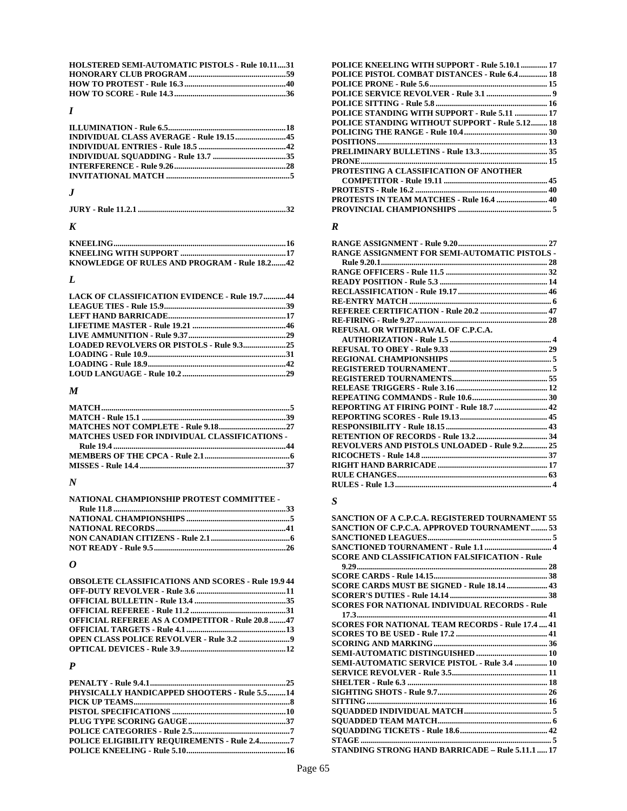| <b>HOLSTERED SEMI-AUTOMATIC PISTOLS - Rule 10.1131</b> |  |
|--------------------------------------------------------|--|
|                                                        |  |
|                                                        |  |
|                                                        |  |

### *I*

### *J*

#### *K*

| KNOWLEDGE OF RULES AND PROGRAM - Rule 18.242 |  |
|----------------------------------------------|--|

### *L*

| <b>LACK OF CLASSIFICATION EVIDENCE - Rule 19.744</b> |  |
|------------------------------------------------------|--|
|                                                      |  |
|                                                      |  |
|                                                      |  |
|                                                      |  |
|                                                      |  |
|                                                      |  |
|                                                      |  |
|                                                      |  |

### *M*

| <b>MATCHES USED FOR INDIVIDUAL CLASSIFICATIONS -</b> |  |
|------------------------------------------------------|--|
|                                                      |  |
|                                                      |  |
|                                                      |  |

### *N*

| NATIONAL CHAMPIONSHIP PROTEST COMMITTEE - |  |
|-------------------------------------------|--|
|                                           |  |
|                                           |  |
|                                           |  |
|                                           |  |
|                                           |  |

### *O*

| <b>OBSOLETE CLASSIFICATIONS AND SCORES - Rule 19.9 44</b> |  |
|-----------------------------------------------------------|--|
|                                                           |  |
|                                                           |  |
|                                                           |  |
| <b>OFFICIAL REFEREE AS A COMPETITOR - Rule 20.8 47</b>    |  |
|                                                           |  |
|                                                           |  |
|                                                           |  |

#### *P*

| PHYSICALLY HANDICAPPED SHOOTERS - Rule 5.514 |  |
|----------------------------------------------|--|
|                                              |  |
|                                              |  |
|                                              |  |
|                                              |  |
| POLICE ELIGIBILITY REQUIREMENTS - Rule 2.47  |  |
|                                              |  |
|                                              |  |

| POLICE KNEELING WITH SUPPORT - Rule 5.10.1  17        |  |
|-------------------------------------------------------|--|
| POLICE PISTOL COMBAT DISTANCES - Rule 6.4 18          |  |
|                                                       |  |
|                                                       |  |
|                                                       |  |
| POLICE STANDING WITH SUPPORT - Rule 5.11  17          |  |
| <b>POLICE STANDING WITHOUT SUPPORT - Rule 5.12 18</b> |  |
|                                                       |  |
|                                                       |  |
|                                                       |  |
|                                                       |  |
| PROTESTING A CLASSIFICATION OF ANOTHER                |  |
|                                                       |  |
|                                                       |  |
| <b>PROTESTS IN TEAM MATCHES - Rule 16.4  40</b>       |  |
|                                                       |  |
|                                                       |  |

#### *R*

|                                                     | 27 |
|-----------------------------------------------------|----|
| RANGE ASSIGNMENT FOR SEMI-AUTOMATIC PISTOLS -       |    |
|                                                     |    |
|                                                     |    |
|                                                     |    |
|                                                     |    |
|                                                     |    |
|                                                     |    |
|                                                     |    |
| <b>REFUSAL OR WITHDRAWAL OF C.P.C.A.</b>            |    |
|                                                     |    |
|                                                     |    |
|                                                     |    |
|                                                     |    |
|                                                     |    |
|                                                     |    |
|                                                     |    |
|                                                     |    |
|                                                     |    |
|                                                     |    |
|                                                     |    |
| <b>REVOLVERS AND PISTOLS UNLOADED - Rule 9.2 25</b> |    |
|                                                     |    |
|                                                     |    |
|                                                     |    |
|                                                     |    |
|                                                     |    |

### *S*

| SANCTION OF A C.P.C.A. REGISTERED TOURNAMENT 55      |
|------------------------------------------------------|
| SANCTION OF C.P.C.A. APPROVED TOURNAMENT 53          |
|                                                      |
|                                                      |
| <b>SCORE AND CLASSIFICATION FALSIFICATION - Rule</b> |
|                                                      |
|                                                      |
| SCORE CARDS MUST BE SIGNED - Rule 18.14  43          |
|                                                      |
| <b>SCORES FOR NATIONAL INDIVIDUAL RECORDS - Rule</b> |
|                                                      |
|                                                      |
|                                                      |
|                                                      |
|                                                      |
| <b>SEMI-AUTOMATIC SERVICE PISTOL - Rule 3.4  10</b>  |
|                                                      |
|                                                      |
|                                                      |
|                                                      |
|                                                      |
|                                                      |
|                                                      |
|                                                      |
| STANDING STRONG HAND BARRICADE - Rule 5.11.1  17     |
|                                                      |